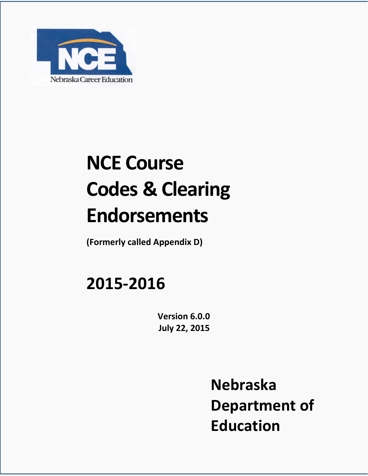

# **NCE Course Codes & Clearing Endorsements**

**(Formerly called Appendix D)** 

# **2015-2016**

**Version 6.0.0 July 22, 2015**

> **Nebraska Department of Education**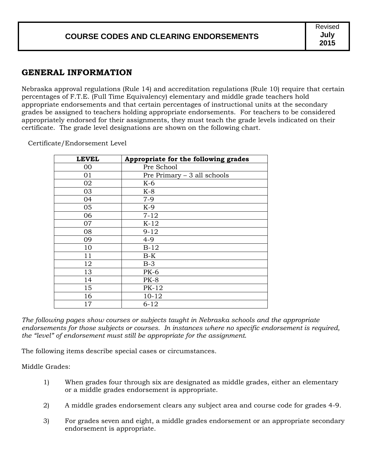#### **GENERAL INFORMATION**

Nebraska approval regulations (Rule 14) and accreditation regulations (Rule 10) require that certain percentages of F.T.E. (Full Time Equivalency) elementary and middle grade teachers hold appropriate endorsements and that certain percentages of instructional units at the secondary grades be assigned to teachers holding appropriate endorsements. For teachers to be considered appropriately endorsed for their assignments, they must teach the grade levels indicated on their certificate. The grade level designations are shown on the following chart.

Certificate/Endorsement Level

| <b>LEVEL</b> | Appropriate for the following grades |
|--------------|--------------------------------------|
| 00           | Pre School                           |
| 01           | Pre Primary $-3$ all schools         |
| 02           | $K-6$                                |
| 03           | $K-8$                                |
| 04           | $7 - 9$                              |
| 05           | $K-9$                                |
| 06           | $7 - 12$                             |
| 07           | $K-12$                               |
| 08           | $9 - 12$                             |
| 09           | $4 - 9$                              |
| 10           | $B-12$                               |
| 11           | $B-K$                                |
| 12           | $B-3$                                |
| 13           | <b>PK-6</b>                          |
| 14           | $PK-8$                               |
| 15           | PK-12                                |
| 16           | $10 - 12$                            |
| 17           | $6 - 12$                             |

*The following pages show courses or subjects taught in Nebraska schools and the appropriate endorsements for those subjects or courses. In instances where no specific endorsement is required, the "level" of endorsement must still be appropriate for the assignment*.

The following items describe special cases or circumstances.

Middle Grades:

- 1) When grades four through six are designated as middle grades, either an elementary or a middle grades endorsement is appropriate.
- 2) A middle grades endorsement clears any subject area and course code for grades 4-9.
- 3) For grades seven and eight, a middle grades endorsement or an appropriate secondary endorsement is appropriate.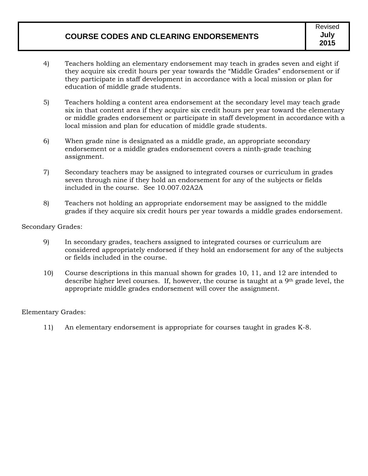- 4) Teachers holding an elementary endorsement may teach in grades seven and eight if they acquire six credit hours per year towards the "Middle Grades" endorsement or if they participate in staff development in accordance with a local mission or plan for education of middle grade students.
- 5) Teachers holding a content area endorsement at the secondary level may teach grade six in that content area if they acquire six credit hours per year toward the elementary or middle grades endorsement or participate in staff development in accordance with a local mission and plan for education of middle grade students.
- 6) When grade nine is designated as a middle grade, an appropriate secondary endorsement or a middle grades endorsement covers a ninth-grade teaching assignment.
- 7) Secondary teachers may be assigned to integrated courses or curriculum in grades seven through nine if they hold an endorsement for any of the subjects or fields included in the course. See 10.007.02A2A
- 8) Teachers not holding an appropriate endorsement may be assigned to the middle grades if they acquire six credit hours per year towards a middle grades endorsement.

#### Secondary Grades:

- 9) In secondary grades, teachers assigned to integrated courses or curriculum are considered appropriately endorsed if they hold an endorsement for any of the subjects or fields included in the course.
- 10) Course descriptions in this manual shown for grades 10, 11, and 12 are intended to describe higher level courses. If, however, the course is taught at a 9th grade level, the appropriate middle grades endorsement will cover the assignment.

#### Elementary Grades:

11) An elementary endorsement is appropriate for courses taught in grades K-8.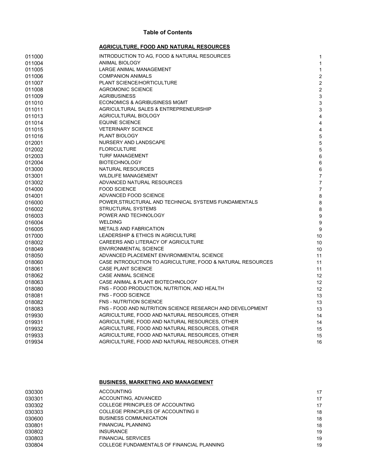#### **Table of Contents**

#### **AGRICULTURE, FOOD AND NATURAL RESOURCES**

| 011000 | INTRODUCTION TO AG, FOOD & NATURAL RESOURCES               | 1                |
|--------|------------------------------------------------------------|------------------|
| 011004 | <b>ANIMAL BIOLOGY</b>                                      | $\mathbf{1}$     |
| 011005 | LARGE ANIMAL MANAGEMENT                                    | 1                |
| 011006 | <b>COMPANION ANIMALS</b>                                   | $\overline{c}$   |
| 011007 | PLANT SCIENCE/HORTICULTURE                                 | $\overline{c}$   |
| 011008 | <b>AGROMONIC SCIENCE</b>                                   | $\overline{c}$   |
| 011009 | <b>AGRIBUSINESS</b>                                        | 3                |
| 011010 | <b>ECONOMICS &amp; AGRIBUSINESS MGMT</b>                   | $\mathbf{3}$     |
| 011011 | AGRICULTURAL SALES & ENTREPRENEURSHIP                      | $\mathsf 3$      |
| 011013 | AGRICULTURAL BIOLOGY                                       | $\overline{4}$   |
| 011014 | <b>EQUINE SCIENCE</b>                                      | $\overline{4}$   |
| 011015 | <b>VETERINARY SCIENCE</b>                                  | $\overline{4}$   |
| 011016 | PLANT BIOLOGY                                              | 5                |
| 012001 | NURSERY AND LANDSCAPE                                      | 5                |
| 012002 | <b>FLORICULTURE</b>                                        | 5                |
| 012003 | <b>TURF MANAGEMENT</b>                                     | 6                |
| 012004 | <b>BIOTECHNOLOGY</b>                                       | $\,6\,$          |
| 013000 | NATURAL RESOURCES                                          | 6                |
| 013001 | <b>WILDLIFE MANAGEMENT</b>                                 | $\overline{7}$   |
| 013002 | ADVANCED NATURAL RESOURCES                                 | $\overline{7}$   |
| 014000 | <b>FOOD SCIENCE</b>                                        | $\overline{7}$   |
| 014001 | ADVANCED FOOD SCIENCE                                      | 8                |
| 016000 | POWER, STRUCTURAL AND TECHNICAL SYSTEMS FUNDAMENTALS       | 8                |
| 016002 | <b>STRUCTURAL SYSTEMS</b>                                  | 8                |
| 016003 | POWER AND TECHNOLOGY                                       | $\boldsymbol{9}$ |
| 016004 | <b>WELDING</b>                                             | 9                |
| 016005 | <b>METALS AND FABRICATION</b>                              | 9                |
| 017000 | LEADERSHIP & ETHICS IN AGRICULTURE                         | 10               |
| 018002 | CAREERS AND LITERACY OF AGRICULTURE                        | 10               |
| 018049 | <b>ENVIRONMENTAL SCIENCE</b>                               | 10               |
| 018050 | ADVANCED PLACEMENT ENVIRONMENTAL SCIENCE                   | 11               |
| 018060 | CASE INTRODUCTION TO AGRICULTURE, FOOD & NATURAL RESOURCES | 11               |
| 018061 | CASE PLANT SCIENCE                                         | 11               |
| 018062 | <b>CASE ANIMAL SCIENCE</b>                                 | 12               |
| 018063 | CASE ANIMAL & PLANT BIOTECHNOLOGY                          | 12               |
| 018080 | FNS - FOOD PRODUCTION, NUTRITION, AND HEALTH               | 12               |
| 018081 | FNS - FOOD SCIENCE                                         | 13               |
| 018082 | FNS - NUTRITION SCIENCE                                    | 13               |
| 018083 | FNS - FOOD AND NUTRITION SCIENCE RESEARCH AND DEVELOPMENT  | 13               |
| 019930 | AGRICULTURE, FOOD AND NATURAL RESOURCES, OTHER             | 14               |
| 019931 | AGRICULTURE, FOOD AND NATURAL RESOURCES, OTHER             | 14               |
| 019932 | AGRICULTURE, FOOD AND NATURAL RESOURCES, OTHER             | 15               |
| 019933 | AGRICULTURE, FOOD AND NATURAL RESOURCES, OTHER             | 15               |
| 019934 | AGRICULTURE, FOOD AND NATURAL RESOURCES, OTHER             | 16               |
|        |                                                            |                  |

#### **BUSINESS, MARKETING AND MANAGEMENT**

| 030300 | <b>ACCOUNTING</b>                          | 17 |
|--------|--------------------------------------------|----|
| 030301 | ACCOUNTING, ADVANCED                       | 17 |
| 030302 | COLLEGE PRINCIPLES OF ACCOUNTING           | 17 |
| 030303 | COLLEGE PRINCIPLES OF ACCOUNTING II        | 18 |
| 030600 | <b>BUSINESS COMMUNICATION</b>              | 18 |
| 030801 | <b>FINANCIAL PLANNING</b>                  | 18 |
| 030802 | <b>INSURANCE</b>                           | 19 |
| 030803 | <b>FINANCIAL SERVICES</b>                  | 19 |
| 030804 | COLLEGE FUNDAMENTALS OF FINANCIAL PLANNING | 19 |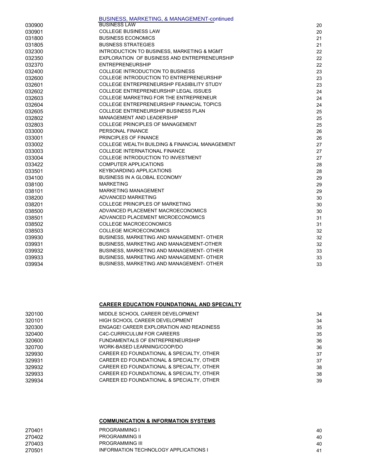|        | BUSINESS, MARKETING, & MANAGEMENT-continued      |    |
|--------|--------------------------------------------------|----|
| 030900 | <b>BUSINESS LAW</b>                              | 20 |
| 030901 | <b>COLLEGE BUSINESS LAW</b>                      | 20 |
| 031800 | <b>BUSINESS ECONOMICS</b>                        | 21 |
| 031805 | <b>BUSNESS STRATEGIES</b>                        | 21 |
| 032300 | INTRODUCTION TO BUSINESS, MARKETING & MGMT       | 22 |
| 032350 | EXPLORATION OF BUSINESS AND ENTREPRENEURSHIP     | 22 |
| 032370 | <b>ENTREPRENEURSHIP</b>                          | 22 |
| 032400 | <b>COLLEGE INTRODUCTION TO BUSINESS</b>          | 23 |
| 032600 | <b>COLLEGE INTRODUCTION TO ENTREPRENEURSHIP</b>  | 23 |
| 032601 | COLLEGE ENTREPRENEURSHP FEASIBILITY STUDY        | 23 |
| 032602 | <b>COLLEGE ENTREPRENEURSHIP LEGAL ISSUES</b>     | 24 |
| 032603 | <b>COLLEGE MARKETING FOR THE ENTREPRENEUR</b>    | 24 |
| 032604 | <b>COLLEGE ENTREPRENEURSHIP FINANCIAL TOPICS</b> | 24 |
| 032605 | <b>COLLEGE ENTRENEURSHIP BUSINESS PLAN</b>       | 25 |
| 032802 | MANAGEMENT AND LEADERSHIP                        | 25 |
| 032803 | <b>COLLEGE PRINCIPLES OF MANAGEMENT</b>          | 25 |
| 033000 | PERSONAL FINANCE                                 | 26 |
| 033001 | <b>PRINCIPLES OF FINANCE</b>                     | 26 |
| 033002 | COLLEGE WEALTH BUILDING & FINANCIAL MANAGEMENT   | 27 |
| 033003 | <b>COLLEGE INTERNATIONAL FINANCE</b>             | 27 |
| 033004 | <b>COLLEGE INTRODUCTION TO INVESTMENT</b>        | 27 |
| 033422 | <b>COMPUTER APPLICATIONS</b>                     | 28 |
| 033501 | <b>KEYBOARDING APPLICATIONS</b>                  | 28 |
| 034100 | BUSINESS IN A GLOBAL ECONOMY                     | 29 |
| 038100 | <b>MARKETING</b>                                 | 29 |
| 038101 | <b>MARKETING MANAGEMENT</b>                      | 29 |
| 038200 | ADVANCED MARKETING                               | 30 |
| 038201 | <b>COLLEGE PRINCIPLES OF MARKETING</b>           | 30 |
| 038500 | ADVANCED PLACEMENT MACROECONOMICS                | 30 |
| 038501 | ADVANCED PLACEMENT MICROECONOMICS                | 31 |
| 038502 | <b>COLLEGE MACROECONOMICS</b>                    | 31 |
| 038503 | <b>COLLEGE MICROECONOMICS</b>                    | 32 |
| 039930 | BUSINESS, MARKETING AND MANAGEMENT- OTHER        | 32 |
| 039931 | BUSINESS, MARKETING AND MANAGEMENT-OTHER         | 32 |
| 039932 | BUSINESS, MARKETING AND MANAGEMENT- OTHER        | 33 |
| 039933 | BUSINESS, MARKETING AND MANAGEMENT- OTHER        | 33 |
| 039934 | BUSINESS, MARKETING AND MANAGEMENT- OTHER        | 33 |

#### **CAREER EDUCATION FOUNDATIONAL AND SPECIALTY**

| MIDDLE SCHOOL CAREER DEVELOPMENT          | 34 |
|-------------------------------------------|----|
| HIGH SCHOOL CAREER DEVELOPMENT            | 34 |
| ENGAGE! CAREER EXPLORATION AND READINESS  | 35 |
| C4C-CURRICULUM FOR CAREERS                | 35 |
| FUNDAMENTALS OF ENTREPRENEURSHIP          | 36 |
| WORK-BASED LEARNING/COOP/DO               | 36 |
| CAREER ED FOUNDATIONAL & SPECIALTY, OTHER | 37 |
| CAREER ED FOUNDATIONAL & SPECIALTY, OTHER | 37 |
| CAREER ED FOUNDATIONAL & SPECIALTY, OTHER | 38 |
| CAREER ED FOUNDATIONAL & SPECIALTY, OTHER | 38 |
| CAREER ED FOUNDATIONAL & SPECIALTY, OTHER | 39 |
|                                           |    |

#### **COMMUNICATION & INFORMATION SYSTEMS**

| 270401 | <b>PROGRAMMING I</b>                  | 40 |
|--------|---------------------------------------|----|
| 270402 | <b>PROGRAMMING II</b>                 | 40 |
| 270403 | <b>PROGRAMMING III</b>                | 40 |
| 270501 | INFORMATION TECHNOLOGY APPLICATIONS I | 41 |
|        |                                       |    |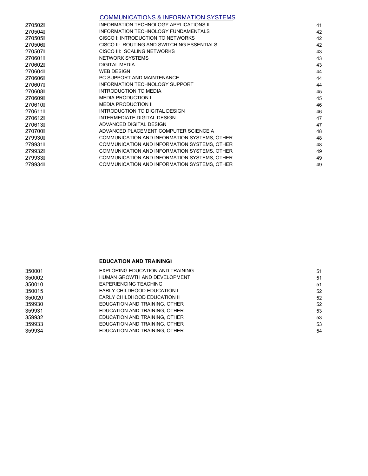#### COMMUNICATIONS & INFORMATION SYSTEMS

| 270502A | <b>INFORMATION TECHNOLOGY APPLICATIONS II</b> | 41 |
|---------|-----------------------------------------------|----|
| 270504A | <b>INFORMATION TECHNOLOGY FUNDAMENTALS</b>    | 42 |
| 270505A | CISCO I: INTRODUCTION TO NETWORKS             | 42 |
| 270506A | CISCO II: ROUTING AND SWITCHING ESSENTIALS    | 42 |
| 270507Á | CISCO III: SCALING NETWORKS                   | 43 |
| 270601A | <b>NETWORK SYSTEMS</b>                        | 43 |
| 270602Á | <b>DIGITAL MEDIA</b>                          | 43 |
| 270604A | <b>WEB DESIGN</b>                             | 44 |
| 270606Á | PC SUPPORT AND MAINTENANCE                    | 44 |
| 270607A | <b>INFORMATION TECHNOLOGY SUPPORT</b>         | 44 |
| 270608A | <b>INTRODUCTION TO MEDIA</b>                  | 45 |
| 270609A | <b>MEDIA PRODUCTION I</b>                     | 45 |
| 270610A | <b>MEDIA PRODUCTION II</b>                    | 46 |
| 270611A | INTRODUCTION TO DIGITAL DESIGN                | 46 |
| 270612A | <b>INTERMEDIATE DIGITAL DESIGN</b>            | 47 |
| 270613A | ADVANCED DIGITAL DESIGN                       | 47 |
| 270700A | ADVANCED PLACEMENT COMPUTER SCIENCE A         | 48 |
| 279930A | COMMUNICATION AND INFORMATION SYSTEMS, OTHER  | 48 |
| 279931A | COMMUNICATION AND INFORMATION SYSTEMS, OTHER  | 48 |
| 279932A | COMMUNICATION AND INFORMATION SYSTEMS, OTHER  | 49 |
| 279933A | COMMUNICATION AND INFORMATION SYSTEMS, OTHER  | 49 |
| 279934A | COMMUNICATION AND INFORMATION SYSTEMS, OTHER  | 49 |
|         |                                               |    |

#### **EDUCATION AND TRAINING**

| 350001 | EXPLORING EDUCATION AND TRAINING | 51 |
|--------|----------------------------------|----|
| 350002 | HUMAN GROWTH AND DEVELOPMENT     | 51 |
| 350010 | EXPERIENCING TEACHING            | 51 |
| 350015 | EARLY CHILDHOOD EDUCATION I      | 52 |
| 350020 | EARLY CHILDHOOD EDUCATION II     | 52 |
| 359930 | EDUCATION AND TRAINING, OTHER    | 52 |
| 359931 | EDUCATION AND TRAINING, OTHER    | 53 |
| 359932 | EDUCATION AND TRAINING, OTHER    | 53 |
| 359933 | EDUCATION AND TRAINING, OTHER    | 53 |
| 359934 | EDUCATION AND TRAINING, OTHER    | 54 |
|        |                                  |    |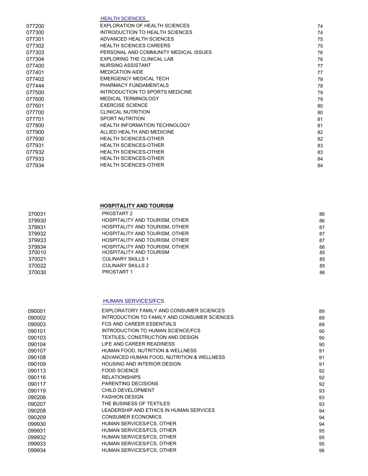|        | <b>HEALTH SCIENCES</b>                |    |
|--------|---------------------------------------|----|
| 077200 | <b>EXPLORATION OF HEALTH SCIENCES</b> | 74 |
| 077300 | INTRODUCTION TO HEALTH SCIENCES       | 74 |
| 077301 | ADVANCED HEALTH SCIENCES              | 75 |
| 077302 | <b>HEALTH SCIENCES CAREERS</b>        | 75 |
| 077303 | PERSONAL AND COMMUNITY MEDICAL ISSUES | 76 |
| 077304 | <b>EXPLORING THE CLINICAL LAB</b>     | 76 |
| 077400 | <b>NURSING ASSISTANT</b>              | 77 |
| 077401 | <b>MEDICATION AIDE</b>                | 77 |
| 077402 | <b>EMERGENCY MEDICAL TECH</b>         | 78 |
| 077444 | PHARMACY FUNDAMENTALS                 | 78 |
| 077500 | INTRODUCTION TO SPORTS MEDICINE       | 79 |
| 077600 | <b>MEDICAL TERMINOLOGY</b>            | 79 |
| 077601 | <b>EXERCISE SCIENCE</b>               | 80 |
| 077700 | <b>CLINICAL NUTRITION</b>             | 80 |
| 077701 | <b>SPORT NUTRITION</b>                | 81 |
| 077800 | HEALTH INFORMATION TECHNOLOGY         | 81 |
| 077900 | ALLIED HEALTH AND MEDICINE            | 82 |
| 077930 | <b>HEALTH SCIENCES-OTHER</b>          | 82 |
| 077931 | <b>HEALTH SCIENCES-OTHER</b>          | 83 |
| 077932 | <b>HEALTH SCIENCES-OTHER</b>          | 83 |
| 077933 | <b>HEALTH SCIENCES-OTHER</b>          | 84 |
| 077934 | <b>HEALTH SCIENCES-OTHER</b>          | 84 |
|        |                                       |    |

#### **HOSPITALITY AND TOURISM**

| 370031 | PROSTART 2                            | 86 |
|--------|---------------------------------------|----|
| 379930 | HOSPITALITY AND TOURISM, OTHER        | 86 |
| 379931 | HOSPITALITY AND TOURISM, OTHER        | 87 |
| 379932 | HOSPITALITY AND TOURISM, OTHER        | 87 |
| 379933 | HOSPITALITY AND TOURISM, OTHER        | 87 |
| 379934 | <b>HOSPITALITY AND TOURISM, OTHER</b> | 88 |
| 370010 | HOSPITALITY AND TOURISM               | 85 |
| 370021 | <b>CULINARY SKILLS 1</b>              | 85 |
| 370022 | <b>CULINARY SKILLS 2</b>              | 85 |
| 370030 | PROSTART 1                            | 86 |
|        |                                       |    |

#### HUMAN SERVICES/FCS

| 090001 | EXPLORATORY FAMILY AND CONSUMER SCIENCES     | 89 |
|--------|----------------------------------------------|----|
| 090002 | INTRODUCTION TO FAMILY AND CONSUMER SCIENCES | 89 |
| 090003 | FCS AND CAREER ESSENTIALS                    | 89 |
| 090101 | INTRODUCTION TO HUMAN SCIENCE/FCS            | 90 |
| 090103 | TEXTILES, CONSTRUCTION AND DESIGN            | 90 |
| 090104 | LIFE AND CAREER READINESS                    | 90 |
| 090107 | HUMAN FOOD, NUTRITION & WELLNESS             | 91 |
| 090108 | ADVANCED HUMAN FOOD, NUTRITION & WELLNESS    | 91 |
| 090109 | <b>HOUSING AND INTERIOR DESIGN</b>           | 91 |
| 090113 | <b>FOOD SCIENCE</b>                          | 92 |
| 090116 | <b>RELATIONSHIPS</b>                         | 92 |
| 090117 | <b>PARENTING DECISIONS</b>                   | 92 |
| 090119 | CHILD DEVELOPMENT                            | 93 |
| 090206 | <b>FASHION DESIGN</b>                        | 93 |
| 090207 | THE BUSINESS OF TEXTILES                     | 93 |
| 090208 | LEADERSHIP AND ETHICS IN HUMAN SERVICES      | 94 |
| 090209 | <b>CONSUMER ECONOMICS</b>                    | 94 |
| 099930 | HUMAN SERVICES/FCS, OTHER                    | 94 |
| 099931 | HUMAN SERVICES/FCS, OTHER                    | 95 |
| 099932 | HUMAN SERVICES/FCS, OTHER                    | 95 |
| 099933 | HUMAN SERVICES/FCS, OTHER                    | 95 |
| 099934 | HUMAN SERVICES/FCS, OTHER                    | 96 |
|        |                                              |    |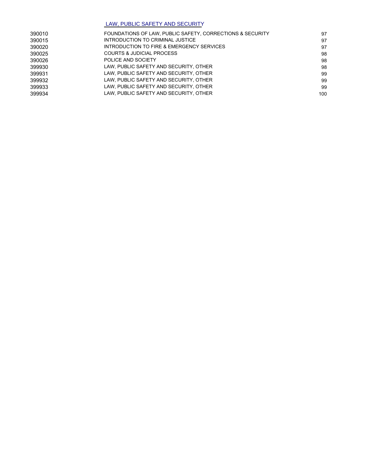#### LAW, PUBLIC SAFETY AND SECURITY

| 390010 | FOUNDATIONS OF LAW, PUBLIC SAFETY, CORRECTIONS & SECURITY | 97  |
|--------|-----------------------------------------------------------|-----|
| 390015 | INTRODUCTION TO CRIMINAL JUSTICE                          | 97  |
| 390020 | INTRODUCTION TO FIRE & EMERGENCY SERVICES                 | 97  |
| 390025 | <b>COURTS &amp; JUDICIAL PROCESS</b>                      | 98  |
| 390026 | POLICE AND SOCIETY                                        | 98  |
| 399930 | LAW, PUBLIC SAFETY AND SECURITY, OTHER                    | 98  |
| 399931 | LAW, PUBLIC SAFETY AND SECURITY, OTHER                    | 99  |
| 399932 | LAW, PUBLIC SAFETY AND SECURITY, OTHER                    | 99  |
| 399933 | LAW, PUBLIC SAFETY AND SECURITY, OTHER                    | 99  |
| 399934 | LAW, PUBLIC SAFETY AND SECURITY, OTHER                    | 100 |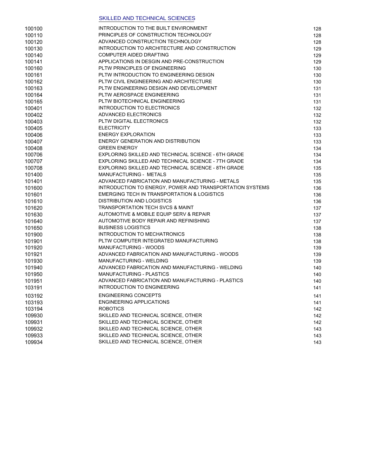#### SKILLED AND TECHNICAL SCIENCES

| 100100 | INTRODUCTION TO THE BUILT ENVIRONMENT                      | 128 |
|--------|------------------------------------------------------------|-----|
| 100110 | PRINCIPLES OF CONSTRUCTION TECHNOLOGY                      | 128 |
| 100120 | ADVANCED CONSTRUCTION TECHNOLOGY                           | 128 |
| 100130 | INTRODUCTION TO ARCHITECTURE AND CONSTRUCTION              | 129 |
| 100140 | COMPUTER AIDED DRAFTING                                    | 129 |
| 100141 | APPLICATIONS IN DESGIN AND PRE-CONSTRUCTION                | 129 |
| 100160 | PLTW PRINCIPLES OF ENGINEERING                             | 130 |
| 100161 | PLTW INTRODUCTION TO ENGINEERING DESIGN                    | 130 |
| 100162 | PLTW CIVIL ENGINEERING AND ARCHITECTURE                    | 130 |
| 100163 | PLTW ENGINEERING DESIGN AND DEVELOPMENT                    | 131 |
| 100164 | PLTW AEROSPACE ENGINEERING                                 | 131 |
| 100165 | PLTW BIOTECHNICAL ENGINEERING                              | 131 |
| 100401 | <b>INTRODUCTION TO ELECTRONICS</b>                         | 132 |
| 100402 | ADVANCED ELECTRONICS                                       | 132 |
| 100403 | PLTW DIGITAL ELECTRONICS                                   | 132 |
| 100405 | <b>ELECTRICITY</b>                                         | 133 |
| 100406 | <b>ENERGY EXPLORATION</b>                                  | 133 |
| 100407 | <b>ENERGY GENERATION AND DISTRIBUTION</b>                  | 133 |
| 100408 | <b>GREEN ENERGY</b>                                        | 134 |
| 100706 | <b>EXPLORING SKILLED AND TECHNICAL SCIENCE - 6TH GRADE</b> | 134 |
| 100707 | EXPLORING SKILLED AND TECHNICAL SCIENCE - 7TH GRADE        | 134 |
| 100708 | EXPLORING SKILLED AND TECHNICAL SCIENCE - 8TH GRADE        | 135 |
| 101400 | MANUFACTURING - METALS                                     | 135 |
| 101401 | ADVANCED FABRICATION AND MANUFACTURING - METALS            | 135 |
| 101600 | INTRODUCTION TO ENERGY, POWER AND TRANSPORTATION SYSTEMS   | 136 |
| 101601 | EMERGING TECH IN TRANSPORTATION & LOGISTICS                | 136 |
| 101610 | <b>DISTRIBUTION AND LOGISTICS</b>                          | 136 |
| 101620 | <b>TRANSPORTATION TECH SVCS &amp; MAINT</b>                | 137 |
| 101630 | AUTOMOTIVE & MOBILE EQUIP SERV & REPAIR                    | 137 |
| 101640 | AUTOMOTIVE BODY REPAIR AND REFINISHING                     | 137 |
| 101650 | <b>BUSINESS LOGISTICS</b>                                  | 138 |
| 101900 | INTRODUCTION TO MECHATRONICS                               | 138 |
| 101901 | PLTW COMPUTER INTEGRATED MANUFACTURING                     | 138 |
| 101920 | MANUFACTURING - WOODS                                      | 139 |
| 101921 | ADVANCED FABRICATION AND MANUFACTURING - WOODS             | 139 |
| 101930 | MANUFACTURING - WELDING                                    | 139 |
| 101940 | ADVANCED FABRICATION AND MANUFACTURING - WELDING           | 140 |
| 101950 | <b>MANUFACTURING - PLASTICS</b>                            | 140 |
| 101951 | ADVANCED FABRICATION AND MANUFACTURING - PLASTICS          | 140 |
| 103191 | <b>INTRODUCTION TO ENGINEERING</b>                         | 141 |
| 103192 | <b>ENGINEERING CONCEPTS</b>                                | 141 |
| 103193 | <b>ENGINEERING APPLICATIONS</b>                            | 141 |
| 103194 | <b>ROBOTICS</b>                                            | 142 |
| 109930 | SKILLED AND TECHNICAL SCIENCE, OTHER                       | 142 |
| 109931 | SKILLED AND TECHNICAL SCIENCE, OTHER                       | 142 |
| 109932 | SKILLED AND TECHNICAL SCIENCE, OTHER                       | 143 |
| 109933 | SKILLED AND TECHNICAL SCIENCE, OTHER                       | 143 |
| 109934 | SKILLED AND TECHNICAL SCIENCE, OTHER                       | 143 |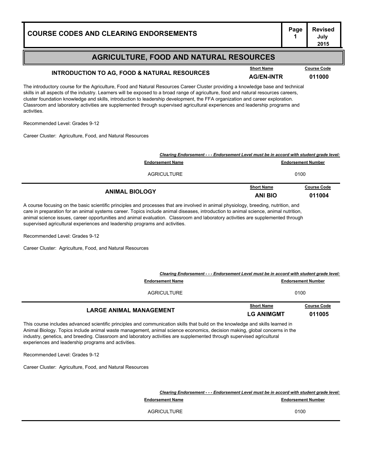# **Page Revised**

#### **AGRICULTURE, FOOD AND NATURAL RESOURCES**

## **INTRODUCTION TO AG, FOOD & NATURAL RESOURCES**<br>AG/EN-INTR **011000**

**July 2015**

The introductory course for the Agriculture, Food and Natural Resources Career Cluster providing a knowledge base and technical skills in all aspects of the industry. Learners will be exposed to a broad range of agriculture, food and natural resources careers, cluster foundation knowledge and skills, introduction to leadership development, the FFA organization and career exploration. Classroom and laboratory activities are supplemented through supervised agricultural experiences and leadership programs and activities.

Recommended Level: Grades 9-12

Career Cluster: Agriculture, Food, and Natural Resources

| Clearing Endorsement - - - Endorsement Level must be in accord with student grade level: |                                     |                              |
|------------------------------------------------------------------------------------------|-------------------------------------|------------------------------|
| <b>Endorsement Name</b>                                                                  | <b>Endorsement Number</b>           |                              |
| AGRICULTURE                                                                              | 0100                                |                              |
| <b>ANIMAL BIOLOGY</b>                                                                    | <b>Short Name</b><br><b>ANI BIO</b> | <b>Course Code</b><br>011004 |

A course focusing on the basic scientific principles and processes that are involved in animal physiology, breeding, nutrition, and care in preparation for an animal systems career. Topics include animal diseases, introduction to animal science, animal nutrition, animal science issues, career opportunities and animal evaluation. Classroom and laboratory activities are supplemented through supervised agricultural experiences and leadership programs and activities.

Recommended Level: Grades 9-12

Career Cluster: Agriculture, Food, and Natural Resources

| <b>Endorsement Name</b>        | Clearing Endorsement - - - Endorsement Level must be in accord with student grade level:<br><b>Endorsement Number</b> |                              |
|--------------------------------|-----------------------------------------------------------------------------------------------------------------------|------------------------------|
| <b>AGRICULTURE</b>             | 0100                                                                                                                  |                              |
| <b>LARGE ANIMAL MANAGEMENT</b> | <b>Short Name</b><br><b>LG ANIMGMT</b>                                                                                | <b>Course Code</b><br>011005 |

This course includes advanced scientific principles and communication skills that build on the knowledge and skills learned in Animal Biology. Topics include animal waste management, animal science economics, decision making, global concerns in the industry, genetics, and breeding. Classroom and laboratory activities are supplemented through supervised agricultural experiences and leadership programs and activities.

Recommended Level: Grades 9-12

Career Cluster: Agriculture, Food, and Natural Resources

|                         | Clearing Endorsement - - - Endorsement Level must be in accord with student grade level: |  |  |
|-------------------------|------------------------------------------------------------------------------------------|--|--|
| <b>Endorsement Name</b> | <b>Endorsement Number</b>                                                                |  |  |
| <b>AGRICULTURE</b>      | 0100                                                                                     |  |  |

#### **Course Code**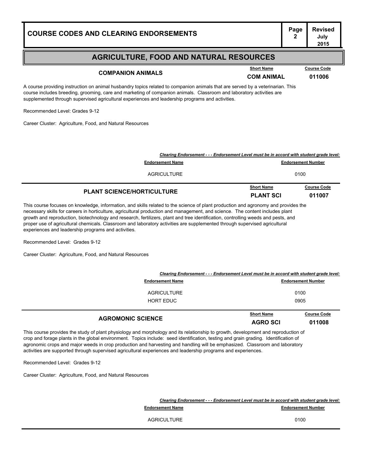### **Page Revised July 2015 COURSE CODES AND CLEARING ENDORSEMENTS<sup>2</sup> AGRICULTURE, FOOD AND NATURAL RESOURCES** A course providing instruction on animal husbandry topics related to companion animals that are served by a veterinarian. This course includes breeding, grooming, care and marketing of companion animals. Classroom and laboratory activities are supplemented through supervised agricultural experiences and leadership programs and activities. Recommended Level: Grades 9-12 Career Cluster: Agriculture, Food, and Natural Resources **COMPANION ANIMALS COMPANION ANIMALS COM ANIMAL COM COM COM COM COM COM COM COM COM COM COM COM COM COM COM COM COM COM COM COM COM COM COM COM COM COM COM COM Short Name Course Code** *Clearing Endorsement - - - Endorsement Level must be in accord with student grade level:* **Endorsement Name Endorsement Number** AGRICULTURE 0100 **PLANT SCIENCE/HORTICULTURE PLANT SCI <sup>011007</sup> Course Code**

This course focuses on knowledge, information, and skills related to the science of plant production and agronomy and provides the necessary skills for careers in horticulture, agricultural production and management, and science. The content includes plant growth and reproduction, biotechnology and research, fertilizers, plant and tree identification, controlling weeds and pests, and proper use of agricultural chemicals. Classroom and laboratory activities are supplemented through supervised agricultural experiences and leadership programs and activities.

Recommended Level: Grades 9-12

Career Cluster: Agriculture, Food, and Natural Resources

| <b>HORT EDUC</b>                                                                         | <b>Short Name</b>         | 0905<br><b>Course Code</b> |
|------------------------------------------------------------------------------------------|---------------------------|----------------------------|
|                                                                                          |                           |                            |
| AGRICULTURE                                                                              |                           | 0100                       |
| <b>Endorsement Name</b>                                                                  | <b>Endorsement Number</b> |                            |
| Clearing Endorsement - - - Endorsement Level must be in accord with student grade level: |                           |                            |

This course provides the study of plant physiology and morphology and its relationship to growth, development and reproduction of crop and forage plants in the global environment. Topics include: seed identification, testing and grain grading. Identification of agronomic crops and major weeds in crop production and harvesting and handling will be emphasized. Classroom and laboratory activities are supported through supervised agricultural experiences and leadership programs and experiences.

Recommended Level: Grades 9-12

| Clearing Endorsement - - - Endorsement Level must be in accord with student grade level: |                           |
|------------------------------------------------------------------------------------------|---------------------------|
| <b>Endorsement Name</b>                                                                  | <b>Endorsement Number</b> |
| AGRICULTURE                                                                              | 0100                      |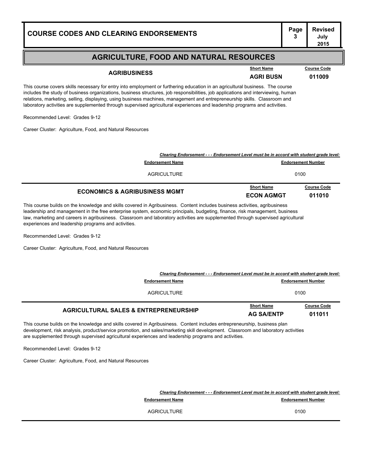| <b>COURSE CODES AND CLEARING ENDORSEMENTS</b> | - Pag |
|-----------------------------------------------|-------|
|                                               |       |

|                     | -------------    | ---------- |
|---------------------|------------------|------------|
| <b>AGRIBUSINESS</b> | <b>AGRI BUSN</b> | 011009     |
|                     |                  |            |

**Short Name Course Code**

**July 2015**

This course covers skills necessary for entry into employment or furthering education in an agricultural business. The course includes the study of business organizations, business structures, job responsibilities, job applications and interviewing, human relations, marketing, selling, displaying, using business machines, management and entrepreneurship skills. Classroom and laboratory activities are supplemented through supervised agricultural experiences and leadership programs and activities.

Recommended Level: Grades 9-12

Career Cluster: Agriculture, Food, and Natural Resources

| <b>ECONOMICS &amp; AGRIBUSINESS MGMT</b>                                                                            | <b>Short Name</b><br><b>ECON AGMGT</b> | <b>Course Code</b><br>011010 |
|---------------------------------------------------------------------------------------------------------------------|----------------------------------------|------------------------------|
| <b>AGRICULTURE</b>                                                                                                  |                                        | 0100                         |
| Clearing Endorsement - - - Endorsement Level must be in accord with student grade level:<br><b>Endorsement Name</b> |                                        | <b>Endorsement Number</b>    |

This course builds on the knowledge and skills covered in Agribusiness. Content includes business activities, agribusiness leadership and management in the free enterprise system, economic principals, budgeting, finance, risk management, business law, marketing and careers in agribusiness. Classroom and laboratory activities are supplemented through supervised agricultural experiences and leadership programs and activities.

Recommended Level: Grades 9-12

Career Cluster: Agriculture, Food, and Natural Resources

| Clearing Endorsement - - - Endorsement Level must be in accord with student grade level: |                                        |                              |
|------------------------------------------------------------------------------------------|----------------------------------------|------------------------------|
| <b>Endorsement Name</b>                                                                  | <b>Endorsement Number</b>              |                              |
| AGRICULTURE                                                                              | 0100                                   |                              |
| <b>AGRICULTURAL SALES &amp; ENTREPRENEURSHIP</b>                                         | <b>Short Name</b><br><b>AG SA/ENTP</b> | <b>Course Code</b><br>011011 |

This course builds on the knowledge and skills covered in Agribusiness. Content includes entrepreneurship, business plan development, risk analysis, product/service promotion, and sales/marketing skill development. Classroom and laboratory activities are supplemented through supervised agricultural experiences and leadership programs and activities.

Recommended Level: Grades 9-12

Career Cluster: Agriculture, Food, and Natural Resources

*Clearing Endorsement - - - Endorsement Level must be in accord with student grade level:*

**Endorsement Name Endorsement Number** 

AGRICULTURE 0100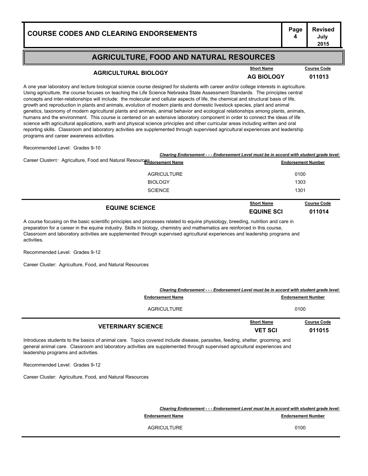#### **AGRICULTURE, FOOD AND NATURAL RESOURCES**

### **AGRICULTURAL BIOLOGY AG BIOLOGY <sup>011013</sup>**

**Short Name Course Code**

**July 2015**

A one year laboratory and lecture biological science course designed for students with career and/or college interests in agriculture. Using agriculture, the course focuses on teaching the Life Science Nebraska State Assessment Standards. The principles central concepts and inter-relationships will include: the molecular and cellular aspects of life, the chemical and structural basis of life, growth and reproduction in plants and animals, evolution of modern plants and domestic livestock species, plant and animal genetics, taxonomy of modern agricultural plants and animals, animal behavior and ecological relationships among plants, animals, humans and the environment. This course is centered on an extensive laboratory component in order to connect the ideas of life science with agricultural applications, earth and physical science principles and other curricular areas including written and oral reporting skills. Classroom and laboratory activities are supplemented through supervised agricultural experiences and leadership programs and career awareness activities.

Recommended Level: Grades 9-10

|                                                                        | <b>EQUINE SCIENCE</b>                                                                    | <b>Short Name</b><br><b>EQUINE SCI</b> | <b>Course Code</b><br>011014 |
|------------------------------------------------------------------------|------------------------------------------------------------------------------------------|----------------------------------------|------------------------------|
|                                                                        | <b>SCIENCE</b>                                                                           | 1301                                   |                              |
|                                                                        | <b>BIOLOGY</b>                                                                           | 1303                                   |                              |
|                                                                        | <b>AGRICULTURE</b>                                                                       |                                        | 0100                         |
| Career Clusters: Agriculture, Food and Natural ResourceRdorsement Name |                                                                                          | <b>Endorsement Number</b>              |                              |
|                                                                        | Clearing Endorsement - - - Endorsement Level must be in accord with student grade level: |                                        |                              |

A course focusing on the basic scientific principles and processes related to equine physiology, breeding, nutrition and care in preparation for a career in the equine industry. Skills in biology, chemistry and mathematics are reinforced in this course, Classroom and laboratory activities are supplemented through supervised agricultural experiences and leadership programs and activities.

Recommended Level: Grades 9-12

Career Cluster: Agriculture, Food, and Natural Resources

|                           | Clearing Endorsement - - - Endorsement Level must be in accord with student grade level: |                              |  |
|---------------------------|------------------------------------------------------------------------------------------|------------------------------|--|
| <b>Endorsement Name</b>   |                                                                                          | <b>Endorsement Number</b>    |  |
| <b>AGRICULTURE</b>        | 0100                                                                                     |                              |  |
| <b>VETERINARY SCIENCE</b> | <b>Short Name</b><br><b>VET SCI</b>                                                      | <b>Course Code</b><br>011015 |  |

Introduces students to the basics of animal care. Topics covered include disease, parasites, feeding, shelter, grooming, and general animal care. Classroom and laboratory activities are supplemented through supervised agricultural experiences and leadership programs and activities.

Recommended Level: Grades 9-12

Career Cluster: Agriculture, Food, and Natural Resources

*Clearing Endorsement - - - Endorsement Level must be in accord with student grade level:*

**Endorsement Name Endorsement Number** 

AGRICULTURE 0100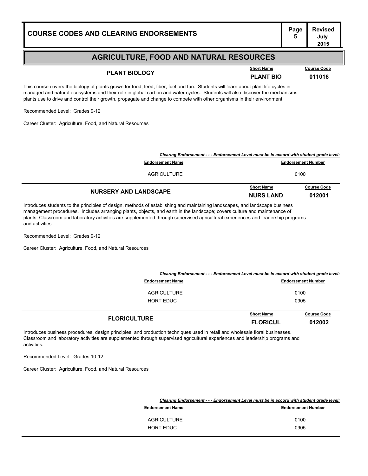| <b>COURSE CODES AND CLEARING ENDORSEMENTS</b> | Page | <b>Revised</b><br>July<br>2015 |
|-----------------------------------------------|------|--------------------------------|
|-----------------------------------------------|------|--------------------------------|

## **PLANT BIOLOGY COUTSE COOLS PLANT BIOLOGY PLANT BIO 011016**

**Course Code** 

This course covers the biology of plants grown for food, feed, fiber, fuel and fun. Students will learn about plant life cycles in managed and natural ecosystems and their role in global carbon and water cycles. Students will also discover the mechanisms plants use to drive and control their growth, propagate and change to compete with other organisms in their environment.

Recommended Level: Grades 9-12

Career Cluster: Agriculture, Food, and Natural Resources

| Clearing Endorsement - - - Endorsement Level must be in accord with student grade level: |                                       |                              |
|------------------------------------------------------------------------------------------|---------------------------------------|------------------------------|
| <b>Endorsement Name</b>                                                                  |                                       | <b>Endorsement Number</b>    |
| AGRICULTURE                                                                              |                                       | 0100                         |
| <b>NURSERY AND LANDSCAPE</b>                                                             | <b>Short Name</b><br><b>NURS LAND</b> | <b>Course Code</b><br>012001 |

Introduces students to the principles of design, methods of establishing and maintaining landscapes, and landscape business management procedures. Includes arranging plants, objects, and earth in the landscape; covers culture and maintenance of plants. Classroom and laboratory activities are supplemented through supervised agricultural experiences and leadership programs and activities.

Recommended Level: Grades 9-12

Career Cluster: Agriculture, Food, and Natural Resources

| Clearing Endorsement - - - Endorsement Level must be in accord with student grade level: |                         |            |                           |
|------------------------------------------------------------------------------------------|-------------------------|------------|---------------------------|
|                                                                                          | <b>Endorsement Name</b> |            | <b>Endorsement Number</b> |
|                                                                                          | <b>AGRICULTURE</b>      | 0100       |                           |
|                                                                                          | <b>HORT EDUC</b>        | 0905       |                           |
|                                                                                          |                         | Short Name | Course Code               |

| <b>FLORICULTURE</b>                                                                                         | <u>WITWEST WITH</u><br><b>FLORICUL</b> | $-0.100$<br>012002 |
|-------------------------------------------------------------------------------------------------------------|----------------------------------------|--------------------|
| re procodures, design principles, and production techniques used in retail and wholesale floral businesses. |                                        |                    |

Introduces business procedures, design principles, and production techniques used in retail and wholesale floral businesses. Classroom and laboratory activities are supplemented through supervised agricultural experiences and leadership programs and activities.

Recommended Level: Grades 10-12

| Clearing Endorsement - - - Endorsement Level must be in accord with student grade level: |                           |  |
|------------------------------------------------------------------------------------------|---------------------------|--|
| <b>Endorsement Name</b>                                                                  | <b>Endorsement Number</b> |  |
|                                                                                          |                           |  |
| <b>AGRICULTURE</b>                                                                       | 0100                      |  |
| HORT EDUC                                                                                | 0905                      |  |
|                                                                                          |                           |  |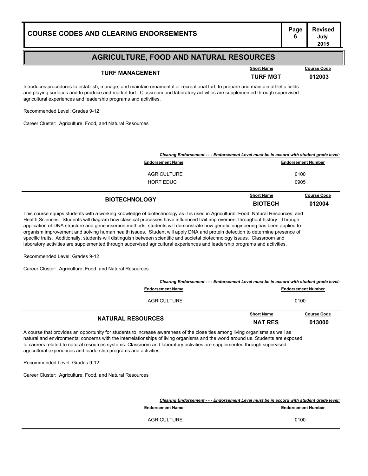#### **AGRICULTURE, FOOD AND NATURAL RESOURCES**

## **TURF MANAGEMENT COUTSE COMPUTER MANAGEMENT TURF MGT 012003**

**Short Name Course Code**

**July 2015**

Introduces procedures to establish, manage, and maintain ornamental or recreational turf, to prepare and maintain athletic fields and playing surfaces and to produce and market turf. Classroom and laboratory activities are supplemented through supervised agricultural experiences and leadership programs and activities.

Recommended Level: Grades 9-12

Career Cluster: Agriculture, Food, and Natural Resources

| Clearing Endorsement - - - Endorsement Level must be in accord with student grade level: |                   |                           |  |
|------------------------------------------------------------------------------------------|-------------------|---------------------------|--|
| <b>Endorsement Name</b>                                                                  |                   | <b>Endorsement Number</b> |  |
| <b>AGRICULTURE</b>                                                                       |                   | 0100                      |  |
| HORT EDUC                                                                                |                   | 0905                      |  |
|                                                                                          | <b>Short Name</b> | <b>Course Code</b>        |  |

**BIOTECHNOLOGY BIOTECH <sup>012004</sup>**

This course equips students with a working knowledge of biotechnology as it is used in Agricultural, Food, Natural Resources, and Health Sciences. Students will diagram how classical processes have influenced trait improvement throughout history. Through application of DNA structure and gene insertion methods, students will demonstrate how genetic engineering has been applied to organism improvement and solving human health issues. Student will apply DNA and protein detection to determine presence of specific traits. Additionally, students will distinguish between scientific and societal biotechnology issues. Classroom and laboratory activities are supplemented through supervised agricultural experiences and leadership programs and activities.

Recommended Level: Grades 9-12

Career Cluster: Agriculture, Food, and Natural Resources

| Clearing Endorsement - - - Endorsement Level must be in accord with student grade level: |                                     |                              |
|------------------------------------------------------------------------------------------|-------------------------------------|------------------------------|
| <b>Endorsement Name</b>                                                                  | <b>Endorsement Number</b>           |                              |
| AGRICULTURE                                                                              | 0100                                |                              |
| <b>NATURAL RESOURCES</b>                                                                 | <b>Short Name</b><br><b>NAT RES</b> | <b>Course Code</b><br>013000 |

A course that provides an opportunity for students to increase awareness of the close ties among living organisms as well as natural and environmental concerns with the interrelationships of living organisms and the world around us. Students are exposed to careers related to natural resources systems. Classroom and laboratory activities are supplemented through supervised agricultural experiences and leadership programs and activities.

Recommended Level: Grades 9-12

| Clearing Endorsement - - - Endorsement Level must be in accord with student grade level: |                         |                           |
|------------------------------------------------------------------------------------------|-------------------------|---------------------------|
|                                                                                          | <b>Endorsement Name</b> | <b>Endorsement Number</b> |
|                                                                                          | AGRICULTURE             | 0100                      |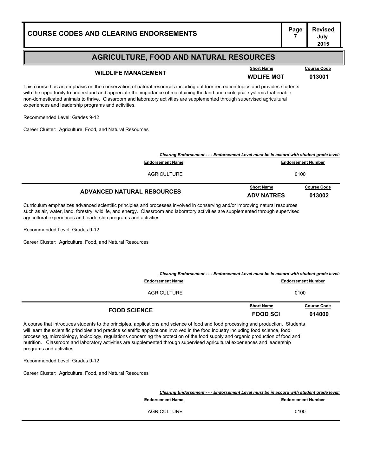| <b>COURSE CODES AND CLEARING ENDORSEMENTS</b>                                                                                                                                                                                                                                                                                                                                                                                                    | Page              | <b>Revised</b><br>July<br>2015 |  |
|--------------------------------------------------------------------------------------------------------------------------------------------------------------------------------------------------------------------------------------------------------------------------------------------------------------------------------------------------------------------------------------------------------------------------------------------------|-------------------|--------------------------------|--|
| <b>AGRICULTURE, FOOD AND NATURAL RESOURCES</b>                                                                                                                                                                                                                                                                                                                                                                                                   |                   |                                |  |
|                                                                                                                                                                                                                                                                                                                                                                                                                                                  | <b>Short Name</b> | <b>Course Code</b>             |  |
| <b>WILDLIFE MANAGEMENT</b>                                                                                                                                                                                                                                                                                                                                                                                                                       | <b>WDLIFE MGT</b> | 013001                         |  |
| This course has an emphasis on the conservation of natural resources including outdoor recreation topics and provides students<br>with the opportunity to understand and appreciate the importance of maintaining the land and ecological systems that enable<br>non-domesticated animals to thrive. Classroom and laboratory activities are supplemented through supervised agricultural<br>experiences and leadership programs and activities. |                   |                                |  |
|                                                                                                                                                                                                                                                                                                                                                                                                                                                  |                   |                                |  |

Recommended Level: Grades 9-12

Career Cluster: Agriculture, Food, and Natural Resources

| Clearing Endorsement - - - Endorsement Level must be in accord with student grade level: |                                        |                              |
|------------------------------------------------------------------------------------------|----------------------------------------|------------------------------|
| <b>Endorsement Name</b>                                                                  |                                        | <b>Endorsement Number</b>    |
| AGRICULTURE                                                                              |                                        | 0100                         |
| <b>ADVANCED NATURAL RESOURCES</b>                                                        | <b>Short Name</b><br><b>ADV NATRES</b> | <b>Course Code</b><br>013002 |

Curriculum emphasizes advanced scientific principles and processes involved in conserving and/or improving natural resources such as air, water, land, forestry, wildlife, and energy. Classroom and laboratory activities are supplemented through supervised agricultural experiences and leadership programs and activities.

Recommended Level: Grades 9-12

Career Cluster: Agriculture, Food, and Natural Resources

| Clearing Endorsement - - - Endorsement Level must be in accord with student grade level:<br><b>Endorsement Name</b> |                                      | <b>Endorsement Number</b>    |
|---------------------------------------------------------------------------------------------------------------------|--------------------------------------|------------------------------|
| AGRICULTURE                                                                                                         |                                      | 0100                         |
| <b>FOOD SCIENCE</b>                                                                                                 | <b>Short Name</b><br><b>FOOD SCI</b> | <b>Course Code</b><br>014000 |

A course that introduces students to the principles, applications and science of food and food processing and production. Students will learn the scientific principles and practice scientific applications involved in the food industry including food science, food processing, microbiology, toxicology, regulations concerning the protection of the food supply and organic production of food and nutrition. Classroom and laboratory activities are supplemented through supervised agricultural experiences and leadership programs and activities.

Recommended Level: Grades 9-12

|                         | Clearing Endorsement - - - Endorsement Level must be in accord with student grade level: |  |
|-------------------------|------------------------------------------------------------------------------------------|--|
| <b>Endorsement Name</b> | <b>Endorsement Number</b>                                                                |  |
| <b>AGRICULTURE</b>      | 0100                                                                                     |  |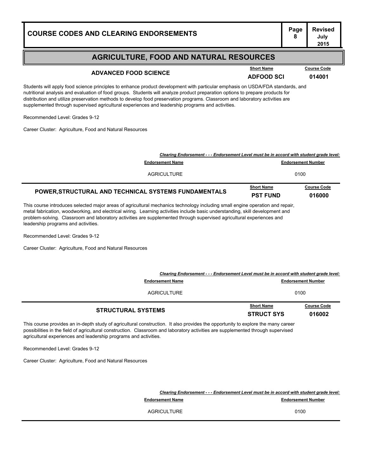# **Page Revised**

#### **AGRICULTURE, FOOD AND NATURAL RESOURCES**

## **ADVANCED FOOD SCIENCE ADFOOD SCI <sup>014001</sup>**

**Course Code** 

Students will apply food science principles to enhance product development with particular emphasis on USDA/FDA standards, and nutritional analysis and evaluation of food groups. Students will analyze product preparation options to prepare products for distribution and utilize preservation methods to develop food preservation programs. Classroom and laboratory activities are supplemented through supervised agricultural experiences and leadership programs and activities.

Recommended Level: Grades 9-12

Career Cluster: Agriculture, Food and Natural Resources

| POWER, STRUCTURAL AND TECHNICAL SYSTEMS FUNDAMENTALS                                     | <b>PST FUND</b>   | 016000                    |
|------------------------------------------------------------------------------------------|-------------------|---------------------------|
|                                                                                          | <b>Short Name</b> | <b>Course Code</b>        |
| AGRICULTURE                                                                              |                   | 0100                      |
| <b>Endorsement Name</b>                                                                  |                   | <b>Endorsement Number</b> |
| Clearing Endorsement - - - Endorsement Level must be in accord with student grade level: |                   |                           |

This course introduces selected major areas of agricultural mechanics technology including small engine operation and repair, metal fabrication, woodworking, and electrical wiring. Learning activities include basic understanding, skill development and problem-solving. Classroom and laboratory activities are supplemented through supervised agricultural experiences and leadership programs and activities.

Recommended Level: Grades 9-12

Career Cluster: Agriculture, Food and Natural Resources

| Clearing Endorsement - - - Endorsement Level must be in accord with student grade level: |                                        |                              |
|------------------------------------------------------------------------------------------|----------------------------------------|------------------------------|
| <b>Endorsement Name</b>                                                                  |                                        | <b>Endorsement Number</b>    |
| <b>AGRICULTURE</b>                                                                       |                                        | 0100                         |
| <b>STRUCTURAL SYSTEMS</b>                                                                | <b>Short Name</b><br><b>STRUCT SYS</b> | <b>Course Code</b><br>016002 |

This course provides an in-depth study of agricultural construction. It also provides the opportunity to explore the many career possibilities in the field of agricultural construction. Classroom and laboratory activities are supplemented through supervised agricultural experiences and leadership programs and activities.

Recommended Level: Grades 9-12

Career Cluster: Agriculture, Food and Natural Resources

*Clearing Endorsement - - - Endorsement Level must be in accord with student grade level:*

**Endorsement Name Endorsement Number** 8.000 **Endorsement Number** 

AGRICULTURE 0100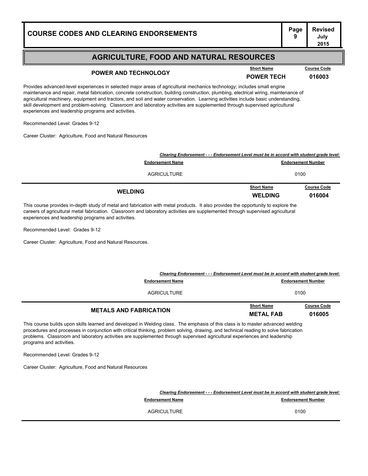## **Page Revised**

#### **AGRICULTURE, FOOD AND NATURAL RESOURCES**

## **POWER AND TECHNOLOGY POWER AND TECHNOLOGY POWER TECH 016003**

**Course Code** 

Provides advanced-level experiences in selected major areas of agricultural mechanics technology; includes small engine maintenance and repair, metal fabrication, concrete construction, building construction, plumbing, electrical wiring, maintenance of agricultural machinery, equipment and tractors, and soil and water conservation. Learning activities include basic understanding, skill development and problem-solving. Classroom and laboratory activities are supplemented through supervised agricultural experiences and leadership programs and activities.

Recommended Level: Grades 9-12

Career Cluster: Agriculture, Food and Natural Resources

|                                                                                          | <b>WELDING</b>    | 016004                    |
|------------------------------------------------------------------------------------------|-------------------|---------------------------|
| <b>WELDING</b>                                                                           | <b>Short Name</b> | <b>Course Code</b>        |
| AGRICULTURE                                                                              |                   | 0100                      |
| <b>Endorsement Name</b>                                                                  |                   | <b>Endorsement Number</b> |
| Clearing Endorsement - - - Endorsement Level must be in accord with student grade level: |                   |                           |

This course provides in-depth study of metal and fabrication with metal products. It also provides the opportunity to explore the careers of agricultural metal fabrication. Classroom and laboratory activities are supplemented through supervised agricultural experiences and leadership programs and activities.

Recommended Level: Grades 9-12

Career Cluster: Agriculture, Food and Natural Resources.

| <b>METALS AND FABRICATION</b>                                                                                       | <b>Short Name</b><br><b>METAL FAB</b> | <b>Course Code</b><br>016005 |
|---------------------------------------------------------------------------------------------------------------------|---------------------------------------|------------------------------|
| AGRICULTURE                                                                                                         |                                       | 0100                         |
| Clearing Endorsement - - - Endorsement Level must be in accord with student grade level:<br><b>Endorsement Name</b> |                                       | <b>Endorsement Number</b>    |

This course builds upon skills learned and developed in Welding class. The emphasis of this class is to master advanced welding procedures and processes in conjunction with critical thinking, problem solving, drawing, and technical reading to solve fabrication problems. Classroom and laboratory activities are supplemented through supervised agricultural experiences and leadership programs and activities.

Recommended Level: Grades 9-12

Career Cluster: Agriculture, Food and Natural Resources

*Clearing Endorsement - - - Endorsement Level must be in accord with student grade level:* **Endorsement Name Endorsement Number** 9.000 **Endorsement Number** 

AGRICULTURE 0100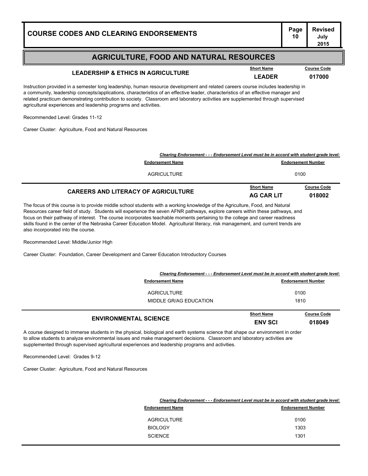#### **Page Revised July 2015**

#### **AGRICULTURE, FOOD AND NATURAL RESOURCES**

## **LEADERSHIP & ETHICS IN AGRICULTURE LEADER <sup>017000</sup>**

Instruction provided in a semester long leadership, human resource development and related careers course includes leadership in a community, leadership concepts/applications, characteristics of an effective leader, characteristics of an effective manager and related practicum demonstrating contribution to society. Classroom and laboratory activities are supplemented through supervised agricultural experiences and leadership programs and activities.

Recommended Level: Grades 11-12

Career Cluster: Agriculture, Food and Natural Resources

| <b>Course Code</b><br>018002                                                                                          |
|-----------------------------------------------------------------------------------------------------------------------|
|                                                                                                                       |
| Clearing Endorsement - - - Endorsement Level must be in accord with student grade level:<br><b>Endorsement Number</b> |
|                                                                                                                       |

The focus of this course is to provide middle school students with a working knowledge of the Agriculture, Food, and Natural Resources career field of study. Students will experience the seven AFNR pathways, explore careers within these pathways, and focus on their pathway of interest. The course incorporates teachable moments pertaining to the college and career readiness skills found in the center of the Nebraska Career Education Model. Agricultural literacy, risk management, and current trends are also incorporated into the course.

Recommended Level: Middle/Junior High

Career Cluster: Foundation, Career Development and Career Education Introductory Courses

| Clearing Endorsement - - - Endorsement Level must be in accord with student grade level: |                   |                           |
|------------------------------------------------------------------------------------------|-------------------|---------------------------|
| <b>Endorsement Name</b>                                                                  |                   | <b>Endorsement Number</b> |
| AGRICULTURE                                                                              |                   | 0100                      |
| MIDDLE GR/AG EDUCATION                                                                   | 1810              |                           |
| FURTHERMENTAL AAIFMAF                                                                    | <b>Short Name</b> | <b>Course Code</b>        |

| <b>ENVIRONMENTAL SCIENCE</b>                                                                                     | <b>ENV SCI</b> | 018049 |
|------------------------------------------------------------------------------------------------------------------|----------------|--------|
| ned to immerse students in the physical biological and sarth systems soispes that shape our environment in erder |                |        |

A course designed to immerse students in the physical, biological and earth systems science that shape our environment in order to allow students to analyze environmental issues and make management decisions. Classroom and laboratory activities are supplemented through supervised agricultural experiences and leadership programs and activities.

Recommended Level: Grades 9-12

Career Cluster: Agriculture, Food and Natural Resources

| Clearing Endorsement - - - Endorsement Level must be in accord with student grade level: |                           |
|------------------------------------------------------------------------------------------|---------------------------|
| <b>Endorsement Name</b>                                                                  | <b>Endorsement Number</b> |
| <b>AGRICULTURE</b>                                                                       | 0100                      |
| <b>BIOLOGY</b>                                                                           | 1303                      |
| <b>SCIENCE</b>                                                                           | 1301                      |

**Course Code**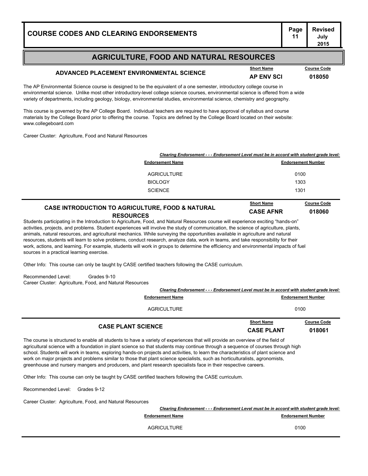# **Page Revised**

#### **AGRICULTURE, FOOD AND NATURAL RESOURCES**

#### **ADVANCED PLACEMENT ENVIRONMENTAL SCIENCE AP ENV SCI <sup>018050</sup>**

**July 2015**

The AP Environmental Science course is designed to be the equivalent of a one semester, introductory college course in environmental science. Unlike most other introductory-level college science courses, environmental science is offered from a wide variety of departments, including geology, biology, environmental studies, environmental science, chemistry and geography.

This course is governed by the AP College Board. Individual teachers are required to have approval of syllabus and course materials by the College Board prior to offering the course. Topics are defined by the College Board located on their website: www.collegeboard.com

Career Cluster: Agriculture, Food and Natural Resources

| Clearing Endorsement - - - Endorsement Level must be in accord with student grade level: |                                                                              |                                                                                |
|------------------------------------------------------------------------------------------|------------------------------------------------------------------------------|--------------------------------------------------------------------------------|
| <b>Endorsement Name</b>                                                                  |                                                                              | <b>Endorsement Number</b>                                                      |
| <b>AGRICULTURE</b>                                                                       |                                                                              | 0100                                                                           |
| <b>BIOLOGY</b>                                                                           | 1303                                                                         |                                                                                |
| <b>SCIENCE</b>                                                                           | 1301                                                                         |                                                                                |
| <b>CASE INTRODUCTION TO AGRICULTURE, FOOD &amp; NATURAL</b>                              | <b>Short Name</b><br>$\sim$ $\sim$ $\sim$ $\sim$ $\sim$ $\sim$ $\sim$ $\sim$ | <b>Course Code</b><br>$\mathbf{A} \mathbf{A} \mathbf{A} \mathbf{A} \mathbf{A}$ |

**RESOURCES CASE AFNR <sup>018060</sup>**

Students participating in the Introduction to Agriculture, Food, and Natural Resources course will experience exciting "hands-on" activities, projects, and problems. Student experiences will involve the study of communication, the science of agriculture, plants, animals, natural resources, and agricultural mechanics. While surveying the opportunities available in agriculture and natural resources, students will learn to solve problems, conduct research, analyze data, work in teams, and take responsibility for their work, actions, and learning. For example, students will work in groups to determine the efficiency and environmental impacts of fuel sources in a practical learning exercise.

Other Info: This course can only be taught by CASE certified teachers following the CASE curriculum.

Recommended Level: Grades 9-10 Career Cluster: Agriculture, Food, and Natural Resources

| <b>CASE PLANT SCIENCE</b>                                                                | <b>Short Name</b><br><b>CASE PLANT</b> | <b>Course Code</b><br>018061 |
|------------------------------------------------------------------------------------------|----------------------------------------|------------------------------|
| AGRICULTURE                                                                              |                                        | 0100                         |
| <b>Endorsement Name</b>                                                                  |                                        | <b>Endorsement Number</b>    |
| Clearing Endorsement - - - Endorsement Level must be in accord with student grade level: |                                        |                              |

The course is structured to enable all students to have a variety of experiences that will provide an overview of the field of agricultural science with a foundation in plant science so that students may continue through a sequence of courses through high school. Students will work in teams, exploring hands-on projects and activities, to learn the characteristics of plant science and work on major projects and problems similar to those that plant science specialists, such as horticulturalists, agronomists, greenhouse and nursery mangers and producers, and plant research specialists face in their respective careers.

Other Info: This course can only be taught by CASE certified teachers following the CASE curriculum.

Recommended Level: Grades 9-12

Career Cluster: Agriculture, Food, and Natural Resources

| Clearing Endorsement - - - Endorsement Level must be in accord with student grade level: |                           |
|------------------------------------------------------------------------------------------|---------------------------|
| <b>Endorsement Name</b>                                                                  | <b>Endorsement Number</b> |
| AGRICULTURE                                                                              | 0100                      |

**Short Name Course Code**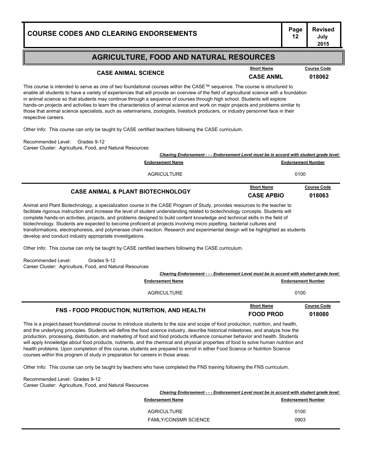#### **AGRICULTURE, FOOD AND NATURAL RESOURCES**

#### **CASE ANIMAL SCIENCE CASE ANML <sup>018062</sup>**

**Short Name Course Code**

**July 2015**

This course is intended to serve as one of two foundational courses within the CASE™ sequence. The course is structured to enable all students to have a variety of experiences that will provide an overview of the field of agricultural science with a foundation in animal science so that students may continue through a sequence of courses through high school. Students will explore hands-on projects and activities to learn the characteristics of animal science and work on major projects and problems similar to those that animal science specialists, such as veterinarians, zoologists, livestock producers, or industry personnel face in their respective careers.

Other Info: This course can only be taught by CASE certified teachers following the CASE curriculum.

Recommended Level: Grades 9-12 Career Cluster: Agriculture, Food, and Natural Resources

|                                              | Clearing Endorsement - - - Endorsement Level must be in accord with student grade level: |                           |  |
|----------------------------------------------|------------------------------------------------------------------------------------------|---------------------------|--|
| <b>Endorsement Name</b>                      |                                                                                          | <b>Endorsement Number</b> |  |
| <b>AGRICULTURE</b>                           |                                                                                          | 0100                      |  |
| <b>CASE ANIMAL &amp; PLANT BIOTECHNOLOGY</b> | <b>Short Name</b>                                                                        | <b>Course Code</b>        |  |
|                                              | <b>CASE APBIO</b>                                                                        | 018063                    |  |

Animal and Plant Biotechnology, a specialization course in the CASE Program of Study, provides resources to the teacher to facilitate rigorous instruction and increase the level of student understanding related to biotechnology concepts. Students will complete hands-on activities, projects, and problems designed to build content knowledge and technical skills in the field of biotechnology. Students are expected to become proficient at projects involving micro pipetting, bacterial cultures and transformations, electrophoresis, and polymerase chain reaction. Research and experimental design will be highlighted as students develop and conduct industry appropriate investigations.

Other Info: This course can only be taught by CASE certified teachers following the CASE curriculum.

Recommended Level: Grades 9-12 Career Cluster: Agriculture, Food, and Natural Resources

| Clearing Endorsement - - - Endorsement Level must be in accord with student grade level: |                                       |                              |
|------------------------------------------------------------------------------------------|---------------------------------------|------------------------------|
| <b>Endorsement Name</b>                                                                  |                                       | <b>Endorsement Number</b>    |
| AGRICULTURE                                                                              |                                       | 0100                         |
| <b>FNS - FOOD PRODUCTION, NUTRITION, AND HEALTH</b>                                      | <b>Short Name</b><br><b>FOOD PROD</b> | <b>Course Code</b><br>018080 |

This is a project-based foundational course to introduce students to the size and scope of food production, nutrition, and health, and the underlying principles. Students will define the food science industry, describe historical milestones, and analyze how the production, processing, distribution, and marketing of food and food products influence consumer behavior and health. Students will apply knowledge about food products, nutrients, and the chemical and physical properties of food to solve human nutrition and health problems. Upon completion of this course, students are prepared to enroll in either Food Science or Nutrition Science courses within this program of study in preparation for careers in those areas.

Other Info: This course can only be taught by teachers who have completed the FNS training following the FNS curriculum.

Recommended Level: Grades 9-12 Career Cluster: Agriculture, Food, and Natural Resources

| Clearing Endorsement - - - Endorsement Level must be in accord with student grade level: |                           |
|------------------------------------------------------------------------------------------|---------------------------|
| <b>Endorsement Name</b>                                                                  | <b>Endorsement Number</b> |
| AGRICULTURE                                                                              | 0100                      |
| <b>FAMLY/CONSMR SCIENCE</b>                                                              | 0903                      |
|                                                                                          |                           |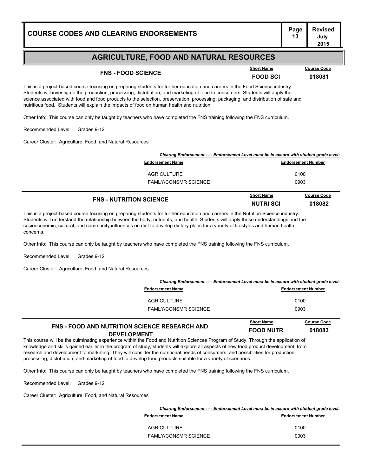| <b>COURSE CODES AND CLEARING ENDORSEMENTS</b> | Page | <b>Revised</b><br>July<br>2015 |
|-----------------------------------------------|------|--------------------------------|
|                                               |      |                                |
|                                               |      |                                |

## **FNS - FOOD SCIENCE**<br> **FOOD SCIENCE**<br> **FOOD SCI 018081**

**Course Code** 

This is a project-based course focusing on preparing students for further education and careers in the Food Science industry. Students will investigate the production, processing, distribution, and marketing of food to consumers. Students will apply the science associated with food and food products to the selection, preservation, processing, packaging, and distribution of safe and nutritious food. Students will explain the impacts of food on human health and nutrition.

Other Info: This course can only be taught by teachers who have completed the FNS training following the FNS curriculum.

Recommended Level: Grades 9-12

Career Cluster: Agriculture, Food, and Natural Resources

| Clearing Endorsement - - - Endorsement Level must be in accord with student grade level: |                                         |  |  |
|------------------------------------------------------------------------------------------|-----------------------------------------|--|--|
| <b>Endorsement Name</b>                                                                  | <b>Endorsement Number</b>               |  |  |
| AGRICULTURE                                                                              | 0100                                    |  |  |
| <b>FAMLY/CONSMR SCIENCE</b>                                                              | 0903                                    |  |  |
|                                                                                          | <b>Short Name</b><br><b>Course Code</b> |  |  |

| <b>FNS - NUTRITION SCIENCE</b> |  | <b>NUTRISCI</b> | 018082 |   |  |
|--------------------------------|--|-----------------|--------|---|--|
|                                |  |                 |        | . |  |

This is a project-based course focusing on preparing students for further education and careers in the Nutrition Science industry. Students will understand the relationship between the body, nutrients, and health. Students will apply these understandings and the socioeconomic, cultural, and community influences on diet to develop dietary plans for a variety of lifestyles and human health concerns.

Other Info: This course can only be taught by teachers who have completed the FNS training following the FNS curriculum.

Recommended Level: Grades 9-12

Career Cluster: Agriculture, Food, and Natural Resources

| Clearing Endorsement - - - Endorsement Level must be in accord with student grade level: |                           |
|------------------------------------------------------------------------------------------|---------------------------|
| <b>Endorsement Name</b>                                                                  | <b>Endorsement Number</b> |
| AGRICULTURE                                                                              | 0100                      |
| <b>FAMLY/CONSMR SCIENCE</b>                                                              | 0903                      |
|                                                                                          |                           |

|                                                      | <b>Short Name</b> | <b>Course Code</b> |
|------------------------------------------------------|-------------------|--------------------|
| <b>FNS - FOOD AND NUTRITION SCIENCE RESEARCH AND</b> | <b>FOOD NUTR</b>  | 018083             |
| <b>DEVELOPMENT</b>                                   |                   |                    |

This course will be the culminating experience within the Food and Nutrition Sciences Program of Study. Through the application of knowledge and skills gained earlier in the program of study, students will explore all aspects of new food product development, from research and development to marketing. They will consider the nutritional needs of consumers, and possibilities for production, processing, distribution, and marketing of food to develop food products suitable for a variety of scenarios.

Other Info: This course can only be taught by teachers who have completed the FNS training following the FNS curriculum.

Recommended Level: Grades 9-12

| Clearing Endorsement - - - Endorsement Level must be in accord with student grade level: |                           |
|------------------------------------------------------------------------------------------|---------------------------|
| <b>Endorsement Name</b>                                                                  | <b>Endorsement Number</b> |
| <b>AGRICULTURE</b>                                                                       | 0100                      |
| <b>FAMLY/CONSMR SCIENCE</b>                                                              | 0903                      |
|                                                                                          |                           |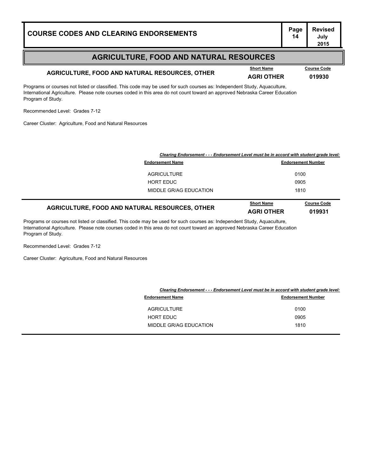## **AGRICULTURE, FOOD AND NATURAL RESOURCES, OTHER AGRI OTHER <sup>019930</sup>**

**Course Code** 

**July 2015**

Programs or courses not listed or classified. This code may be used for such courses as: Independent Study, Aquaculture, International Agriculture. Please note courses coded in this area do not count toward an approved Nebraska Career Education Program of Study.

Recommended Level: Grades 7-12

Career Cluster: Agriculture, Food and Natural Resources

| Clearing Endorsement - - - Endorsement Level must be in accord with student grade level: |                                        |                              |
|------------------------------------------------------------------------------------------|----------------------------------------|------------------------------|
| <b>Endorsement Name</b>                                                                  |                                        | <b>Endorsement Number</b>    |
| <b>AGRICULTURE</b>                                                                       |                                        | 0100                         |
| <b>HORT EDUC</b>                                                                         |                                        | 0905                         |
| MIDDLE GR/AG EDUCATION                                                                   |                                        | 1810                         |
| AGRICULTURE, FOOD AND NATURAL RESOURCES, OTHER                                           | <b>Short Name</b><br><b>AGRI OTHER</b> | <b>Course Code</b><br>019931 |

Programs or courses not listed or classified. This code may be used for such courses as: Independent Study, Aquaculture, International Agriculture. Please note courses coded in this area do not count toward an approved Nebraska Career Education Program of Study.

Recommended Level: Grades 7-12

| Clearing Endorsement - - - Endorsement Level must be in accord with student grade level: |                           |
|------------------------------------------------------------------------------------------|---------------------------|
| <b>Endorsement Name</b>                                                                  | <b>Endorsement Number</b> |
| <b>AGRICULTURE</b>                                                                       | 0100                      |
| <b>HORT EDUC</b>                                                                         | 0905                      |
| MIDDLE GR/AG EDUCATION                                                                   | 1810                      |
|                                                                                          |                           |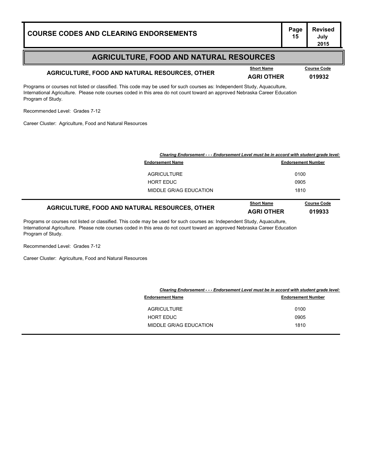## **AGRICULTURE, FOOD AND NATURAL RESOURCES, OTHER AGRI OTHER <sup>019932</sup>**

**Course Code** 

**July 2015**

Programs or courses not listed or classified. This code may be used for such courses as: Independent Study, Aquaculture, International Agriculture. Please note courses coded in this area do not count toward an approved Nebraska Career Education Program of Study.

Recommended Level: Grades 7-12

Career Cluster: Agriculture, Food and Natural Resources

|                                                | Clearing Endorsement - - - Endorsement Level must be in accord with student grade level: |                              |  |
|------------------------------------------------|------------------------------------------------------------------------------------------|------------------------------|--|
| <b>Endorsement Name</b>                        |                                                                                          | <b>Endorsement Number</b>    |  |
| <b>AGRICULTURE</b>                             |                                                                                          | 0100                         |  |
| <b>HORT EDUC</b>                               |                                                                                          | 0905                         |  |
| MIDDLE GR/AG EDUCATION                         |                                                                                          | 1810                         |  |
| AGRICULTURE, FOOD AND NATURAL RESOURCES, OTHER | <b>Short Name</b><br><b>AGRI OTHER</b>                                                   | <b>Course Code</b><br>019933 |  |

Programs or courses not listed or classified. This code may be used for such courses as: Independent Study, Aquaculture, International Agriculture. Please note courses coded in this area do not count toward an approved Nebraska Career Education Program of Study.

Recommended Level: Grades 7-12

| Clearing Endorsement - - - Endorsement Level must be in accord with student grade level: |                           |
|------------------------------------------------------------------------------------------|---------------------------|
| <b>Endorsement Name</b>                                                                  | <b>Endorsement Number</b> |
| <b>AGRICULTURE</b>                                                                       | 0100                      |
| <b>HORT EDUC</b>                                                                         | 0905                      |
| MIDDLE GR/AG EDUCATION                                                                   | 1810                      |
|                                                                                          |                           |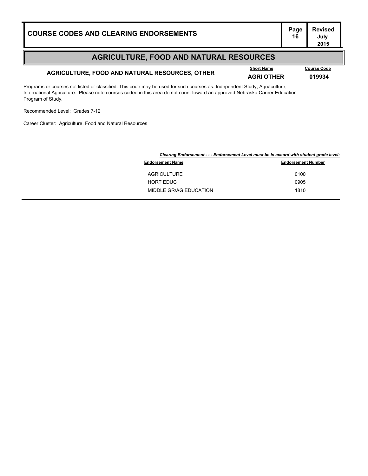## **AGRICULTURE, FOOD AND NATURAL RESOURCES, OTHER AGRI OTHER <sup>019934</sup>**

**Course Code** 

**July 2015**

Programs or courses not listed or classified. This code may be used for such courses as: Independent Study, Aquaculture, International Agriculture. Please note courses coded in this area do not count toward an approved Nebraska Career Education Program of Study.

Recommended Level: Grades 7-12

| Clearing Endorsement - - - Endorsement Level must be in accord with student grade level: |  |
|------------------------------------------------------------------------------------------|--|
| <b>Endorsement Number</b>                                                                |  |
| 0100                                                                                     |  |
| 0905                                                                                     |  |
| 1810                                                                                     |  |
|                                                                                          |  |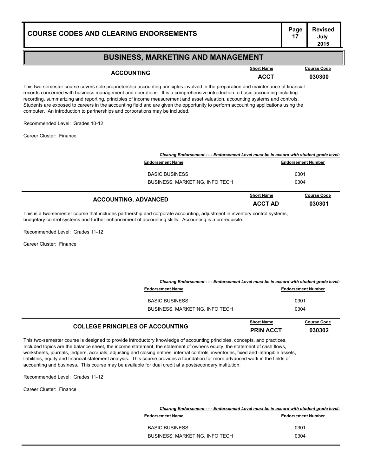#### **BUSINESS, MARKETING AND MANAGEMENT**

**ACCOUNTING ACCT <sup>030300</sup> Short Name Course Code**

**July 2015**

This two-semester course covers sole proprietorship accounting principles involved in the preparation and maintenance of financial records concerned with business management and operations. It is a comprehensive introduction to basic accounting including recording, summarizing and reporting, principles of income measurement and asset valuation, accounting systems and controls. Students are exposed to careers in the accounting field and are given the opportunity to perform accounting applications using the computer. An introduction to partnerships and corporations may be included.

Recommended Level: Grades 10-12

Career Cluster: Finance

| Clearing Endorsement - - - Endorsement Level must be in accord with student grade level: |                              |                              |
|------------------------------------------------------------------------------------------|------------------------------|------------------------------|
| <b>Endorsement Name</b>                                                                  | <b>Endorsement Number</b>    |                              |
| <b>BASIC BUSINESS</b>                                                                    | 0301                         |                              |
| BUSINESS, MARKETING, INFO TECH                                                           | 0304                         |                              |
| <b>ACCOUNTING, ADVANCED</b>                                                              | <b>Short Name</b><br>ACCT AD | <b>Course Code</b><br>030301 |

This is a two-semester course that includes partnership and corporate accounting, adjustment in inventory control systems, budgetary control systems and further enhancement of accounting skills. Accounting is a prerequisite.

Recommended Level: Grades 11-12

Career Cluster: Finance

| Clearing Endorsement - - - Endorsement Level must be in accord with student grade level: |                   |                           |  |
|------------------------------------------------------------------------------------------|-------------------|---------------------------|--|
| <b>Endorsement Name</b>                                                                  |                   | <b>Endorsement Number</b> |  |
| <b>BASIC BUSINESS</b>                                                                    |                   | 0301                      |  |
| <b>BUSINESS, MARKETING, INFO TECH</b>                                                    |                   | 0304                      |  |
|                                                                                          | <b>Short Name</b> | <b>Course Code</b>        |  |

| <b>COLLEGE PRINCIPLES OF ACCOUNTING</b> | Short Name       | Course Cod |
|-----------------------------------------|------------------|------------|
|                                         | <b>PRIN ACCT</b> | 030302     |

This two-semester course is designed to provide introductory knowledge of accounting principles, concepts, and practices. Included topics are the balance sheet, the income statement, the statement of owner's equity, the statement of cash flows, worksheets, journals, ledgers, accruals, adjusting and closing entries, internal controls, inventories, fixed and intangible assets, liabilities, equity and financial statement analysis. This course provides a foundation for more advanced work in the fields of accounting and business. This course may be available for dual credit at a postsecondary institution.

Recommended Level: Grades 11-12

Career Cluster: Finance

| Clearing Endorsement - - - Endorsement Level must be in accord with student grade level: |                           |
|------------------------------------------------------------------------------------------|---------------------------|
| <b>Endorsement Name</b>                                                                  | <b>Endorsement Number</b> |
| <b>BASIC BUSINESS</b>                                                                    | 0301                      |
| BUSINESS, MARKETING, INFO TECH                                                           | 0304                      |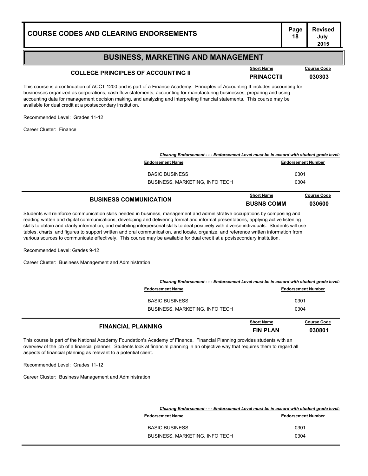#### **BUSINESS, MARKETING AND MANAGEMENT**

## **COLLEGE PRINCIPLES OF ACCOUNTING II Belock Manne PRINACCTII 030303**

This course is a continuation of ACCT 1200 and is part of a Finance Academy. Principles of Accounting II includes accounting for businesses organized as corporations, cash flow statements, accounting for manufacturing businesses, preparing and using accounting data for management decision making, and analyzing and interpreting financial statements. This course may be available for dual credit at a postsecondary institution.

Recommended Level: Grades 11-12

Career Cluster: Finance

| <b>BUSINESS COMMUNICATION</b>                                                            | <b>Short Name</b><br><b>BUSNS COMM</b> | <b>Course Code</b><br><b>030600</b> |
|------------------------------------------------------------------------------------------|----------------------------------------|-------------------------------------|
| <b>BASIC BUSINESS</b><br><b>BUSINESS, MARKETING, INFO TECH</b>                           | 0301<br>0304                           |                                     |
| <b>Endorsement Name</b>                                                                  |                                        | <b>Endorsement Number</b>           |
| Clearing Endorsement - - - Endorsement Level must be in accord with student grade level: |                                        |                                     |

Students will reinforce communication skills needed in business, management and administrative occupations by composing and reading written and digital communications, developing and delivering formal and informal presentations, applying active listening skills to obtain and clarify information, and exhibiting interpersonal skills to deal positively with diverse individuals. Students will use tables, charts, and figures to support written and oral communication, and locate, organize, and reference written information from various sources to communicate effectively. This course may be available for dual credit at a postsecondary institution.

Recommended Level: Grades 9-12

Career Cluster: Business Management and Administration

| <b>FINANCIAL PLANNING</b>                                                                                           | <b>Short Name</b><br><b>FIN PLAN</b> | <b>Course Code</b><br>030801 |
|---------------------------------------------------------------------------------------------------------------------|--------------------------------------|------------------------------|
| <b>BASIC BUSINESS</b><br><b>BUSINESS, MARKETING, INFO TECH</b>                                                      |                                      | 0301<br>0304                 |
| Clearing Endorsement - - - Endorsement Level must be in accord with student grade level:<br><b>Endorsement Name</b> |                                      | <b>Endorsement Number</b>    |

This course is part of the National Academy Foundation's Academy of Finance. Financial Planning provides students with an overview of the job of a financial planner. Students look at financial planning in an objective way that requires them to regard all aspects of financial planning as relevant to a potential client.

Recommended Level: Grades 11-12

Career Cluster: Business Management and Administration

| Clearing Endorsement - - - Endorsement Level must be in accord with student grade level: |
|------------------------------------------------------------------------------------------|
| <b>Endorsement Number</b>                                                                |
| 0301                                                                                     |
| 0304                                                                                     |
|                                                                                          |

**Course Code**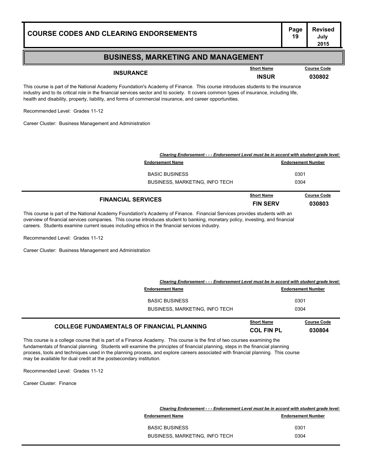#### **BUSINESS, MARKETING AND MANAGEMENT**

**INSURANCE INSUR <sup>030802</sup>**

**Short Name Course Code**

**July 2015**

This course is part of the National Academy Foundation's Academy of Finance. This course introduces students to the insurance industry and to its critical role in the financial services sector and to society. It covers common types of insurance, including life, health and disability, property, liability, and forms of commercial insurance, and career opportunities.

Recommended Level: Grades 11-12

Career Cluster: Business Management and Administration

| Clearing Endorsement - - - Endorsement Level must be in accord with student grade level: |                           |                    |
|------------------------------------------------------------------------------------------|---------------------------|--------------------|
| <b>Endorsement Name</b>                                                                  | <b>Endorsement Number</b> |                    |
| <b>BASIC BUSINESS</b>                                                                    | 0301                      |                    |
| BUSINESS, MARKETING, INFO TECH                                                           | 0304                      |                    |
|                                                                                          | <b>Short Name</b>         | <b>Course Code</b> |
| <b>FINANCIAL SERVICES</b><br><b>FIN SERV</b>                                             |                           | 030803             |

This course is part of the National Academy Foundation's Academy of Finance. Financial Services provides students with an overview of financial services companies. This course introduces student to banking, monetary policy, investing, and financial careers. Students examine current issues including ethics in the financial services industry.

Recommended Level: Grades 11-12

Career Cluster: Business Management and Administration

| <b>COLLEGE FUNDAMENTALS OF FINANCIAL PLANNING</b>                                        | <b>Short Name</b><br><b>COL FIN PL</b> | <b>Course Code</b><br>030804 |
|------------------------------------------------------------------------------------------|----------------------------------------|------------------------------|
| <b>BUSINESS, MARKETING, INFO TECH</b>                                                    | 0304                                   |                              |
| <b>BASIC BUSINESS</b>                                                                    |                                        | 0301                         |
| <b>Endorsement Name</b>                                                                  |                                        | <b>Endorsement Number</b>    |
| Clearing Endorsement - - - Endorsement Level must be in accord with student grade level: |                                        |                              |

This course is a college course that is part of a Finance Academy. This course is the first of two courses examining the fundamentals of financial planning. Students will examine the principles of financial planning, steps in the financial planning process, tools and techniques used in the planning process, and explore careers associated with financial planning. This course may be available for dual credit at the postsecondary institution.

Recommended Level: Grades 11-12

Career Cluster: Finance

|                                       | Clearing Endorsement - - - Endorsement Level must be in accord with student grade level: |
|---------------------------------------|------------------------------------------------------------------------------------------|
| <b>Endorsement Name</b>               | <b>Endorsement Number</b>                                                                |
| <b>BASIC BUSINESS</b>                 | 0301                                                                                     |
| <b>BUSINESS, MARKETING, INFO TECH</b> | 0304                                                                                     |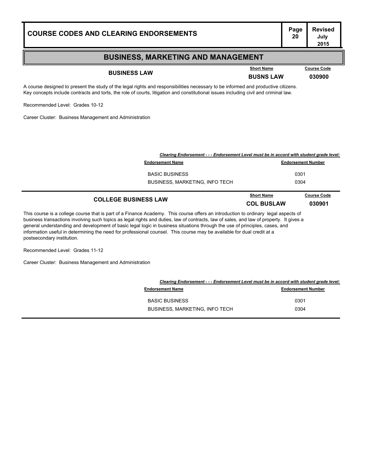| <b>COURSE CODES AND CLEARING ENDORSEMENTS</b>                | Page<br>20 | <b>Revised</b><br>July<br>2015 |
|--------------------------------------------------------------|------------|--------------------------------|
| <b>BUSINESS, MARKETING AND MANAGEMENT</b>                    |            |                                |
| <b>Short Name</b><br><b>BUSINESS LAW</b><br><b>BUSNS LAW</b> |            | <b>Course Code</b><br>030900   |

A course designed to present the study of the legal rights and responsibilities necessary to be informed and productive citizens. Key concepts include contracts and torts, the role of courts, litigation and constitutional issues including civil and criminal law.

Recommended Level: Grades 10-12

Career Cluster: Business Management and Administration

| Clearing Endorsement - - - Endorsement Level must be in accord with student grade level: |                           |
|------------------------------------------------------------------------------------------|---------------------------|
| <b>Endorsement Name</b>                                                                  | <b>Endorsement Number</b> |
| <b>BASIC BUSINESS</b>                                                                    | 0301                      |
| <b>BUSINESS, MARKETING, INFO TECH</b>                                                    | 0304                      |
|                                                                                          |                           |

### **COLLEGE BUSINESS LAW COL BUSLAW <sup>030901</sup> Short Name Course Code**

This course is a college course that is part of a Finance Academy. This course offers an introduction to ordinary legal aspects of business transactions involving such topics as legal rights and duties, law of contracts, law of sales, and law of property. It gives a general understanding and development of basic legal logic in business situations through the use of principles, cases, and information useful in determining the need for professional counsel. This course may be available for dual credit at a postsecondary institution.

Recommended Level: Grades 11-12

Career Cluster: Business Management and Administration

| Clearing Endorsement - - - Endorsement Level must be in accord with student grade level: |                           |
|------------------------------------------------------------------------------------------|---------------------------|
| <b>Endorsement Name</b>                                                                  | <b>Endorsement Number</b> |
| <b>BASIC BUSINESS</b>                                                                    | 0301                      |
| <b>BUSINESS, MARKETING, INFO TECH</b>                                                    | 0304                      |
|                                                                                          |                           |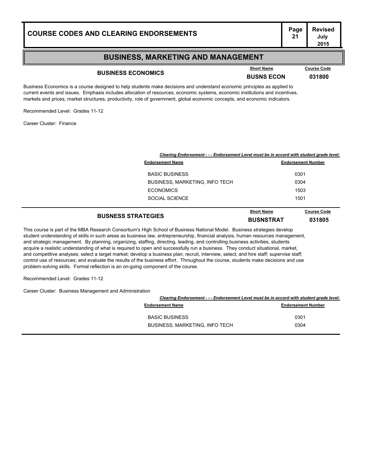#### **BUSINESS, MARKETING AND MANAGEMENT**

## **BUSINESS ECONOMICS**<br>**BUSINESS ECONOMICS**<br>**BUSNS ECON** 031800

**Course Code** 

**July 2015**

Business Economics is a course designed to help students make decisions and understand economic principles as applied to current events and issues. Emphasis includes allocation of resources, economic systems, economic institutions and incentives, markets and prices, market structures, productivity, role of government, global economic concepts, and economic indicators.

Recommended Level: Grades 11-12

Career Cluster: Finance

| Clearing Endorsement - - - Endorsement Level must be in accord with student grade level: |                                       |                           |
|------------------------------------------------------------------------------------------|---------------------------------------|---------------------------|
|                                                                                          | <b>Endorsement Name</b>               | <b>Endorsement Number</b> |
|                                                                                          | <b>BASIC BUSINESS</b>                 | 0301                      |
|                                                                                          | <b>BUSINESS, MARKETING, INFO TECH</b> | 0304                      |
|                                                                                          | <b>ECONOMICS</b>                      | 1503                      |
|                                                                                          | SOCIAL SCIENCE                        | 1501                      |
|                                                                                          |                                       |                           |

**BUSNESS STRATEGIES BUSNSTRAT <sup>031805</sup> Course Code** 

This course is part of the MBA Research Consortium's High School of Business National Model. Business strategies develop student understanding of skills in such areas as business law, entrepreneurship, financial analysis, human resources management, and strategic management. By planning, organizing, staffing, directing, leading, and controlling business activities, students acquire a realistic understanding of what is required to open and successfully run a business. They conduct situational, market, and competitive analyses; select a target market; develop a business plan; recruit, interview, select, and hire staff; supervise staff; control use of resources; and evaluate the results of the business effort. Throughout the course, students make decisions and use problem-solving skills. Formal reflection is an on-going component of the course.

Recommended Level: Grades 11-12

Career Cluster: Business Management and Administration

| Clearing Endorsement - - - Endorsement Level must be in accord with student grade level: |                           |
|------------------------------------------------------------------------------------------|---------------------------|
| <b>Endorsement Name</b>                                                                  | <b>Endorsement Number</b> |
| <b>BASIC BUSINESS</b>                                                                    | 0301                      |
| <b>BUSINESS, MARKETING, INFO TECH</b>                                                    | 0304                      |
|                                                                                          |                           |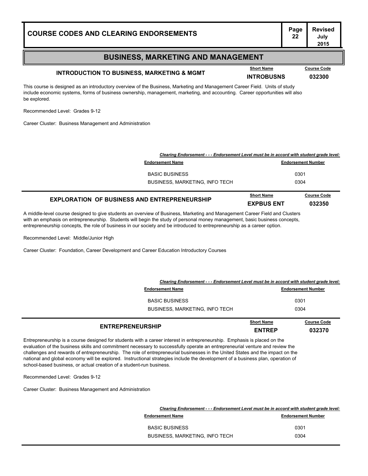#### **BUSINESS, MARKETING AND MANAGEMENT**

## **INTRODUCTION TO BUSINESS, MARKETING & MGMT INTROBUSNS <sup>032300</sup>**

This course is designed as an introductory overview of the Business, Marketing and Management Career Field. Units of study include economic systems, forms of business ownership, management, marketing, and accounting. Career opportunities will also be explored.

Recommended Level: Grades 9-12

Career Cluster: Business Management and Administration

| Clearing Endorsement - - - Endorsement Level must be in accord with student grade level: |                                        |                              |
|------------------------------------------------------------------------------------------|----------------------------------------|------------------------------|
| <b>Endorsement Name</b>                                                                  |                                        | <b>Endorsement Number</b>    |
| <b>BASIC BUSINESS</b>                                                                    |                                        | 0301                         |
| <b>BUSINESS, MARKETING, INFO TECH</b>                                                    |                                        | 0304                         |
| <b>EXPLORATION OF BUSINESS AND ENTREPRENEURSHIP</b>                                      | <b>Short Name</b><br><b>FXPRUS FNT</b> | <b>Course Code</b><br>032350 |

A middle-level course designed to give students an overview of Business, Marketing and Management Career Field and Clusters with an emphasis on entrepreneurship. Students will begin the study of personal money management, basic business concepts, entrepreneurship concepts, the role of business in our society and be introduced to entrepreneurship as a career option.

Recommended Level: Middle/Junior High

Career Cluster: Foundation, Career Development and Career Education Introductory Courses

| Clearing Endorsement - - - Endorsement Level must be in accord with student grade level: |                                    |                              |
|------------------------------------------------------------------------------------------|------------------------------------|------------------------------|
| <b>Endorsement Name</b>                                                                  |                                    | <b>Endorsement Number</b>    |
| <b>BASIC BUSINESS</b>                                                                    |                                    | 0301                         |
| <b>BUSINESS, MARKETING, INFO TECH</b>                                                    | 0304                               |                              |
| <b>ENTREPRENEURSHIP</b>                                                                  | <b>Short Name</b><br><b>ENTREP</b> | <b>Course Code</b><br>032370 |

Entrepreneurship is a course designed for students with a career interest in entrepreneurship. Emphasis is placed on the evaluation of the business skills and commitment necessary to successfully operate an entrepreneurial venture and review the challenges and rewards of entrepreneurship. The role of entrepreneurial businesses in the United States and the impact on the national and global economy will be explored. Instructional strategies include the development of a business plan, operation of school-based business, or actual creation of a student-run business.

Recommended Level: Grades 9-12

Career Cluster: Business Management and Administration

| Clearing Endorsement - - - Endorsement Level must be in accord with student grade level: |  |
|------------------------------------------------------------------------------------------|--|
| <b>Endorsement Number</b>                                                                |  |
| 0301                                                                                     |  |
| 0304                                                                                     |  |
|                                                                                          |  |

**Course Code**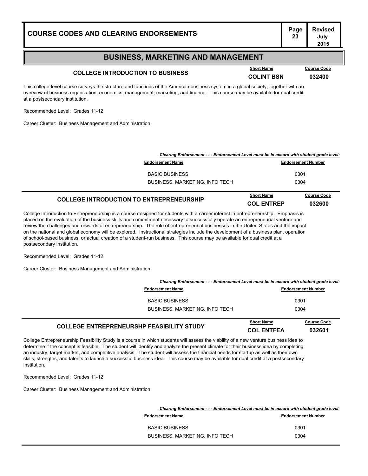## **Page Revised**

#### **BUSINESS, MARKETING AND MANAGEMENT**

## **COLLEGE INTRODUCTION TO BUSINESS COLLEGE INTRODUCTION TO BUSINESS COLINT BSN 032400**

This college-level course surveys the structure and functions of the American business system in a global society, together with an overview of business organization, economics, management, marketing, and finance. This course may be available for dual credit at a postsecondary institution.

Recommended Level: Grades 11-12

Career Cluster: Business Management and Administration

| Clearing Endorsement - - - Endorsement Level must be in accord with student grade level: |                           |
|------------------------------------------------------------------------------------------|---------------------------|
| <b>Endorsement Name</b>                                                                  | <b>Endorsement Number</b> |
| <b>BASIC BUSINESS</b>                                                                    | 0301                      |
| <b>BUSINESS, MARKETING, INFO TECH</b>                                                    | 0304                      |
|                                                                                          |                           |

#### **COLLEGE INTRODUCTION TO ENTREPRENEURSHIP COL ENTREP <sup>032600</sup> Course Code**

College Introduction to Entrepreneurship is a course designed for students with a career interest in entrepreneurship. Emphasis is placed on the evaluation of the business skills and commitment necessary to successfully operate an entrepreneurial venture and review the challenges and rewards of entrepreneurship. The role of entrepreneurial businesses in the United States and the impact on the national and global economy will be explored. Instructional strategies include the development of a business plan, operation of school-based business, or actual creation of a student-run business. This course may be available for dual credit at a postsecondary institution.

Recommended Level: Grades 11-12

Career Cluster: Business Management and Administration

|                                       | Clearing Endorsement - - - Endorsement Level must be in accord with student grade level: |  |  |
|---------------------------------------|------------------------------------------------------------------------------------------|--|--|
| <b>Endorsement Name</b>               | <b>Endorsement Number</b>                                                                |  |  |
| <b>BASIC BUSINESS</b>                 | 0301                                                                                     |  |  |
| <b>BUSINESS, MARKETING, INFO TECH</b> | 0304                                                                                     |  |  |
|                                       |                                                                                          |  |  |

#### **COLLEGE ENTREPRENEURSHP FEASIBILITY STUDY COLLEGE ENTREPRENEURSHP FEASIBILITY STUDY COL ENTFEA 032601 Course Code**

College Entrepreneurship Feasibility Study is a course in which students will assess the viability of a new venture business idea to determine if the concept is feasible, The student will identify and analyze the present climate for their business idea by completing an industry, target market, and competitive analysis. The student will assess the financial needs for startup as well as their own skills, strengths, and talents to launch a successful business idea. This course may be available for dual credit at a postsecondary institution.

Recommended Level: Grades 11-12

Career Cluster: Business Management and Administration

| Clearing Endorsement - - - Endorsement Level must be in accord with student grade level: |                           |
|------------------------------------------------------------------------------------------|---------------------------|
| <b>Endorsement Name</b>                                                                  | <b>Endorsement Number</b> |
| <b>BASIC BUSINESS</b>                                                                    | 0301                      |
| <b>BUSINESS, MARKETING, INFO TECH</b>                                                    | 0304                      |

**Course Code** 

**July 2015**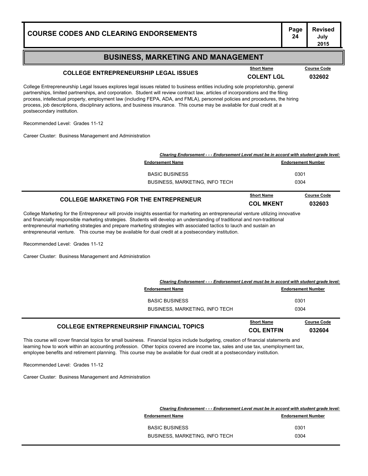#### **BUSINESS, MARKETING AND MANAGEMENT**

## **COLLEGE ENTREPRENEURSHIP LEGAL ISSUES COLENT LGL <sup>032602</sup>**

College Entrepreneurship Legal Issues explores legal issues related to business entities including sole proprietorship, general partnerships, limited partnerships, and corporation. Student will review contract law, articles of incorporations and the filing process, intellectual property, employment law (including FEPA, ADA, and FMLA), personnel policies and procedures, the hiring process, job descriptions, disciplinary actions, and business insurance. This course may be available for dual credit at a postsecondary institution.

Recommended Level: Grades 11-12

Career Cluster: Business Management and Administration

| Clearing Endorsement - - - Endorsement Level must be in accord with student grade level: |                                |                              |
|------------------------------------------------------------------------------------------|--------------------------------|------------------------------|
| <b>Endorsement Name</b>                                                                  |                                | <b>Endorsement Number</b>    |
| <b>BASIC BUSINESS</b>                                                                    |                                | 0301                         |
| <b>BUSINESS, MARKETING, INFO TECH</b>                                                    |                                | 0304                         |
| <b>COLLEGE MARKETING FOR THE ENTREPRENEUR</b>                                            | <b>Short Name</b><br>COL MKENT | <b>Course Code</b><br>032603 |

College Marketing for the Entrepreneur will provide insights essential for marketing an entrepreneurial venture utilizing innovative and financially responsible marketing strategies. Students will develop an understanding of traditional and non-traditional entrepreneurial marketing strategies and prepare marketing strategies with associated tactics to lauch and sustain an entrepreneurial venture. This course may be available for dual credit at a postsecondary institution.

Recommended Level: Grades 11-12

Career Cluster: Business Management and Administration

| Clearing Endorsement - - - Endorsement Level must be in accord with student grade level: |                                        |                              |
|------------------------------------------------------------------------------------------|----------------------------------------|------------------------------|
| <b>Endorsement Name</b>                                                                  |                                        | <b>Endorsement Number</b>    |
| <b>BASIC BUSINESS</b>                                                                    |                                        | 0301                         |
| <b>BUSINESS, MARKETING, INFO TECH</b>                                                    |                                        | 0304                         |
| <b>COLLEGE ENTREPRENEURSHIP FINANCIAL TOPICS</b>                                         | <b>Short Name</b><br><b>COL ENTFIN</b> | <b>Course Code</b><br>032604 |

This course will cover financial topics for small business. Financial topics include budgeting, creation of financial statements and learning how to work within an accounting profession. Other topics covered are income tax, sales and use tax, unemployment tax, employee benefits and retirement planning. This course may be available for dual credit at a postsecondary institution.

Recommended Level: Grades 11-12

Career Cluster: Business Management and Administration

| Clearing Endorsement - - - Endorsement Level must be in accord with student grade level: |
|------------------------------------------------------------------------------------------|
| <b>Endorsement Number</b>                                                                |
| 0301                                                                                     |
| 0304                                                                                     |
|                                                                                          |

**Course Code**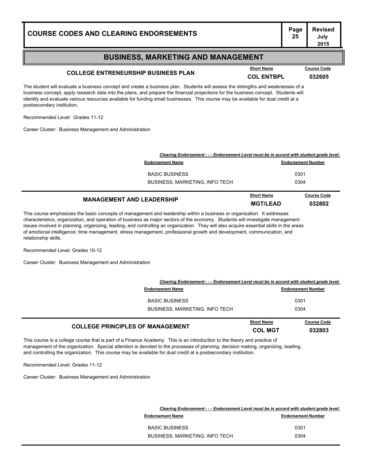#### **BUSINESS, MARKETING AND MANAGEMENT**

## **COLLEGE ENTRENEURSHIP BUSINESS PLAN Example 1 COLLEGE ENTRENEURSHIP BUSINESS PLAN COL ENTBPL 032605**

The student will evaluate a business concept and create a business plan. Students will assess the strengths and weaknesses of a business concept, apply research data into the plans, and prepare the financial projections for the business concept. Students will identify and evaluate various resources available for funding small businesses. This course may be available for dual credit at a postsecondary institution.

Recommended Level: Grades 11-12

Career Cluster: Business Management and Administration

| Clearing Endorsement - - - Endorsement Level must be in accord with student grade level: |                                      |                              |  |
|------------------------------------------------------------------------------------------|--------------------------------------|------------------------------|--|
| <b>Endorsement Name</b>                                                                  | <b>Endorsement Number</b>            |                              |  |
| <b>BASIC BUSINESS</b>                                                                    |                                      | 0301                         |  |
| <b>BUSINESS, MARKETING, INFO TECH</b>                                                    |                                      | 0304                         |  |
| <b>MANAGEMENT AND LEADERSHIP</b>                                                         | <b>Short Name</b><br><b>MGT/LEAD</b> | <b>Course Code</b><br>032802 |  |

This course emphasizes the basic concepts of management and leadership within a business or organization. It addresses characteristics, organization, and operation of business as major sectors of the economy. Students will investigate management issues involved in planning, organizing, leading, and controlling an organization. They will also acquire essential skills in the areas of emotional intelligence: time management, stress management, professional growth and development, communication, and relationship skills.

Recommended Level: Grades 10-12

Career Cluster: Business Management and Administration

| Clearing Endorsement - - - Endorsement Level must be in accord with student grade level: |                                     |                              |
|------------------------------------------------------------------------------------------|-------------------------------------|------------------------------|
| <b>Endorsement Name</b>                                                                  |                                     | <b>Endorsement Number</b>    |
| <b>BASIC BUSINESS</b>                                                                    |                                     | 0301                         |
| <b>BUSINESS, MARKETING, INFO TECH</b>                                                    |                                     | 0304                         |
| <b>COLLEGE PRINCIPLES OF MANAGEMENT</b>                                                  | <b>Short Name</b><br><b>COL MGT</b> | <b>Course Code</b><br>032803 |

This course is a college course that is part of a Finance Academy. This is an introduction to the theory and practice of management of the organization. Special attention is devoted to the processes of planning, decision making, organizing, leading, and controlling the organization. This course may be available for dual credit at a postsecondary institution.

Recommended Level: Grades 11-12

Career Cluster: Business Management and Administration

| Clearing Endorsement - - - Endorsement Level must be in accord with student grade level: |
|------------------------------------------------------------------------------------------|
| <b>Endorsement Number</b>                                                                |
| 0301                                                                                     |
| 0304                                                                                     |
|                                                                                          |

**Course Code**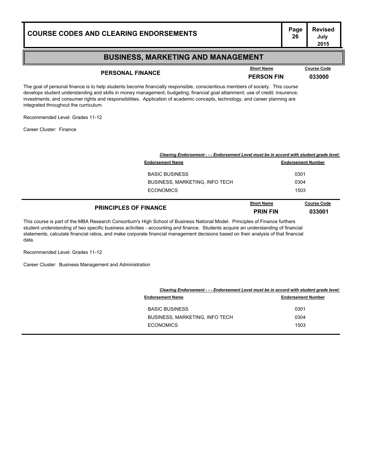#### **BUSINESS, MARKETING AND MANAGEMENT**

## **PERSONAL FINANCE PERSON FIN <sup>033000</sup>**

**Course Code** 

**July 2015**

The goal of personal finance is to help students become financially responsible, conscientious members of society. This course develops student understanding and skills in money management; budgeting; financial goal attainment; use of credit; insurance; investments; and consumer rights and responsibilities. Application of academic concepts, technology, and career planning are integrated throughout the curriculum.

Recommended Level: Grades 11-12

Career Cluster: Finance

| Clearing Endorsement - - - Endorsement Level must be in accord with student grade level: |                                      |                              |
|------------------------------------------------------------------------------------------|--------------------------------------|------------------------------|
| <b>Endorsement Name</b>                                                                  |                                      | <b>Endorsement Number</b>    |
| <b>BASIC BUSINESS</b>                                                                    |                                      | 0301                         |
| BUSINESS, MARKETING, INFO TECH                                                           | 0304                                 |                              |
| <b>ECONOMICS</b>                                                                         | 1503                                 |                              |
| <b>PRINCIPLES OF FINANCE</b>                                                             | <b>Short Name</b><br><b>PRIN FIN</b> | <b>Course Code</b><br>033001 |

This course is part of the MBA Research Consortium's High School of Business National Model. Principles of Finance furthers student understanding of two specific business activities - accounting and finance. Students acquire an understanding of financial statements, calculate financial ratios, and make corporate financial management decisions based on their analysis of that financial data.

Recommended Level: Grades 11-12

Career Cluster: Business Management and Administration

|                                       | Clearing Endorsement - - - Endorsement Level must be in accord with student grade level: |
|---------------------------------------|------------------------------------------------------------------------------------------|
| <b>Endorsement Name</b>               | <b>Endorsement Number</b>                                                                |
| <b>BASIC BUSINESS</b>                 | 0301                                                                                     |
| <b>BUSINESS, MARKETING, INFO TECH</b> | 0304                                                                                     |
| <b>ECONOMICS</b>                      | 1503                                                                                     |
|                                       |                                                                                          |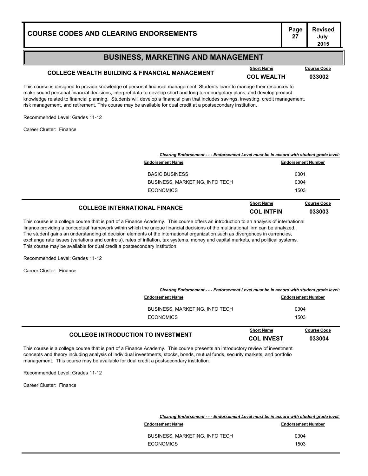#### **BUSINESS, MARKETING AND MANAGEMENT**

## **COLLEGE WEALTH BUILDING & FINANCIAL MANAGEMENT COL WEALTH <sup>033002</sup>**

This course is designed to provide knowledge of personal financial management. Students learn to manage their resources to make sound personal financial decisions, interpret data to develop short and long term budgetary plans, and develop product knowledge related to financial planning. Students will develop a financial plan that includes savings, investing, credit management, risk management, and retirement. This course may be available for dual credit at a postsecondary institution.

Recommended Level: Grades 11-12

Career Cluster: Finance

| Clearing Endorsement - - - Endorsement Level must be in accord with student grade level: |                                        |                              |
|------------------------------------------------------------------------------------------|----------------------------------------|------------------------------|
| <b>Endorsement Name</b>                                                                  |                                        | <b>Endorsement Number</b>    |
| <b>BASIC BUSINESS</b>                                                                    |                                        | 0301                         |
| <b>BUSINESS, MARKETING, INFO TECH</b>                                                    | 0304                                   |                              |
| <b>ECONOMICS</b>                                                                         | 1503                                   |                              |
| <b>COLLEGE INTERNATIONAL FINANCE</b>                                                     | <b>Short Name</b><br><b>COL INTFIN</b> | <b>Course Code</b><br>033003 |

This course is a college course that is part of a Finance Academy. This course offers an introduction to an analysis of international finance providing a conceptual framework within which the unique financial decisions of the multinational firm can be analyzed. The student gains an understanding of decision elements of the international organization such as divergences in currencies, exchange rate issues (variations and controls), rates of inflation, tax systems, money and capital markets, and political systems. This course may be available for dual credit a postsecondary institution.

Recommended Level: Grades 11-12

Career Cluster: Finance

| <b>COLLEGE INTRODUCTION TO INVESTMENT</b>                                                | <b>Short Name</b><br><b>COL INVEST</b> | <b>Course Code</b><br>033004 |
|------------------------------------------------------------------------------------------|----------------------------------------|------------------------------|
| <b>ECONOMICS</b>                                                                         |                                        | 1503                         |
| <b>BUSINESS, MARKETING, INFO TECH</b>                                                    |                                        | 0304                         |
| <b>Endorsement Name</b>                                                                  |                                        | <b>Endorsement Number</b>    |
| Clearing Endorsement - - - Endorsement Level must be in accord with student grade level: |                                        |                              |

This course is a college course that is part of a Finance Academy. This course presents an introductory review of investment concepts and theory including analysis of individual investments, stocks, bonds, mutual funds, security markets, and portfolio management. This course may be available for dual credit a postsecondary institution.

Recommended Level: Grades 11-12

Career Cluster: Finance

| Clearing Endorsement - - - Endorsement Level must be in accord with student grade level: |                           |
|------------------------------------------------------------------------------------------|---------------------------|
| <b>Endorsement Name</b>                                                                  | <b>Endorsement Number</b> |
| <b>BUSINESS, MARKETING, INFO TECH</b>                                                    | 0304                      |
| <b>ECONOMICS</b>                                                                         | 1503                      |

**Course Code**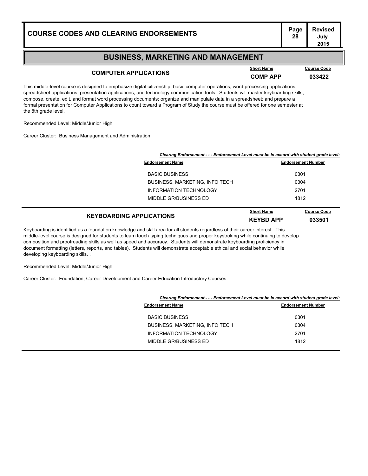# **Page Revised**

#### **BUSINESS, MARKETING AND MANAGEMENT**

## **COMPUTER APPLICATIONS COMP APP 133422**

**Course Code** 

This middle-level course is designed to emphasize digital citizenship, basic computer operations, word processing applications, spreadsheet applications, presentation applications, and technology communication tools. Students will master keyboarding skills; compose, create, edit, and format word processing documents; organize and manipulate data in a spreadsheet; and prepare a formal presentation for Computer Applications to count toward a Program of Study the course must be offered for one semester at the 8th grade level.

Recommended Level: Middle/Junior High

Career Cluster: Business Management and Administration

| <b>Endorsement Name</b>               | <b>Endorsement Number</b> |  |
|---------------------------------------|---------------------------|--|
| <b>BASIC BUSINESS</b>                 | 0301                      |  |
| <b>BUSINESS, MARKETING, INFO TECH</b> | 0304                      |  |
| <b>INFORMATION TECHNOLOGY</b>         | 2701                      |  |
| MIDDLE GR/BUSINESS ED                 | 1812                      |  |

| <b>KEYBOARDING APPLICATIONS</b> | <b>Short Name</b> | <b>Course Code</b> |
|---------------------------------|-------------------|--------------------|
|                                 | <b>KEYBD APP</b>  | 033501             |

Keyboarding is identified as a foundation knowledge and skill area for all students regardless of their career interest. This middle-level course is designed for students to learn touch typing techniques and proper keystroking while continuing to develop composition and proofreading skills as well as speed and accuracy. Students will demonstrate keyboarding proficiency in document formatting (letters, reports, and tables). Students will demonstrate acceptable ethical and social behavior while developing keyboarding skills. .

Recommended Level: Middle/Junior High

Career Cluster: Foundation, Career Development and Career Education Introductory Courses

| Clearing Endorsement - - - Endorsement Level must be in accord with student grade level: |                           |  |
|------------------------------------------------------------------------------------------|---------------------------|--|
| <b>Endorsement Name</b>                                                                  | <b>Endorsement Number</b> |  |
| <b>BASIC BUSINESS</b>                                                                    | 0301                      |  |
| <b>BUSINESS, MARKETING, INFO TECH</b>                                                    | 0304                      |  |
| <b>INFORMATION TECHNOLOGY</b>                                                            | 2701                      |  |
| MIDDLE GR/BUSINESS ED                                                                    | 1812                      |  |
|                                                                                          |                           |  |

#### **July 2015**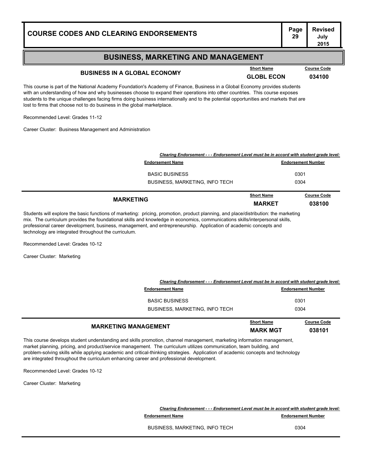# **Page Revised**

#### **BUSINESS, MARKETING AND MANAGEMENT**

### **BUSINESS IN A GLOBAL ECONOMY GLOBL ECONOMY GLOBL ECON 634100**

This course is part of the National Academy Foundation's Academy of Finance, Business in a Global Economy provides students with an understanding of how and why businesses choose to expand their operations into other countries. This course exposes students to the unique challenges facing firms doing business internationally and to the potential opportunities and markets that are lost to firms that choose not to do business in the global marketplace.

Recommended Level: Grades 11-12

Career Cluster: Business Management and Administration

| Clearing Endorsement - - - Endorsement Level must be in accord with student grade level: |                                    |                              |
|------------------------------------------------------------------------------------------|------------------------------------|------------------------------|
| <b>Endorsement Name</b>                                                                  |                                    | <b>Endorsement Number</b>    |
| <b>BASIC BUSINESS</b>                                                                    |                                    | 0301                         |
| <b>BUSINESS, MARKETING, INFO TECH</b>                                                    | 0304                               |                              |
| <b>MARKETING</b>                                                                         | <b>Short Name</b><br><b>MARKET</b> | <b>Course Code</b><br>038100 |

Students will explore the basic functions of marketing: pricing, promotion, product planning, and place/distribution: the marketing mix. The curriculum provides the foundational skills and knowledge in economics, communications skills/interpersonal skills, professional career development, business, management, and entrepreneurship. Application of academic concepts and technology are integrated throughout the curriculum.

Recommended Level: Grades 10-12

Career Cluster: Marketing

|                                       | Clearing Endorsement - - - Endorsement Level must be in accord with student grade level: |                    |  |
|---------------------------------------|------------------------------------------------------------------------------------------|--------------------|--|
| <b>Endorsement Name</b>               | <b>Endorsement Number</b>                                                                |                    |  |
| <b>BASIC BUSINESS</b>                 |                                                                                          | 0301               |  |
| <b>BUSINESS, MARKETING, INFO TECH</b> |                                                                                          | 0304               |  |
|                                       | <b>Short Name</b>                                                                        | <b>Course Code</b> |  |

|                                                                                                                                  | ------------    | -------- |
|----------------------------------------------------------------------------------------------------------------------------------|-----------------|----------|
| <b>MARKETING MANAGEMENT</b>                                                                                                      | <b>MARK MGT</b> | 038101   |
| This course develops student understanding and skills promotion, channel management, marketing information management,           |                 |          |
| market planning, pricing, and product/service management. The curriculum utilizes communication, team building, and              |                 |          |
| problem-solving skills while applying academic and critical-thinking strategies. Application of academic concepts and technology |                 |          |

problem-solving skills while applying academic and critical-thinking strategies. Application of academic concepts and technology are integrated throughout the curriculum enhancing career and professional development.

Recommended Level: Grades 10-12

Career Cluster: Marketing

*Clearing Endorsement - - - Endorsement Level must be in accord with student grade level:* **Endorsement Name Endorsement Number Endorsement Number** 

BUSINESS, MARKETING, INFO TECH 0304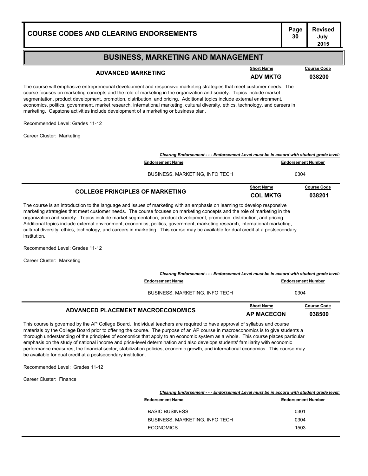#### **Page Revised July 2015 COURSE CODES AND CLEARING ENDORSEMENTS BUSINESS, MARKETING AND MANAGEMENT** The course will emphasize entrepreneurial development and responsive marketing strategies that meet customer needs. The course focuses on marketing concepts and the role of marketing in the organization and society. Topics include market segmentation, product development, promotion, distribution, and pricing. Additional topics include external environment, economics, politics, government, market research, international marketing, cultural diversity, ethics, technology, and careers in marketing. Capstone activities include development of a marketing or business plan. Recommended Level: Grades 11-12 Career Cluster: Marketing **ADVANCED MARKETING ADV MKTG <sup>038200</sup> Short Name Course Code** *Clearing Endorsement - - - Endorsement Level must be in accord with student grade level:* **Endorsement Name Endorsement Number** BUSINESS, MARKETING, INFO TECH 0304 **COLLEGE PRINCIPLES OF MARKETING COLLEGE PRINCIPLES OF MARKETING COL** MKTG **038201 Course Code**

The course is an introduction to the language and issues of marketing with an emphasis on learning to develop responsive marketing strategies that meet customer needs. The course focuses on marketing concepts and the role of marketing in the organization and society. Topics include market segmentation, product development, promotion, distribution, and pricing. Additional topics include external environment, economics, politics, government, marketing research, international marketing, cultural diversity, ethics, technology, and careers in marketing. This course may be available for dual credit at a postsecondary institution.

Recommended Level: Grades 11-12

Career Cluster: Marketing

| Clearing Endorsement - - - Endorsement Level must be in accord with student grade level: |                                        |                              |
|------------------------------------------------------------------------------------------|----------------------------------------|------------------------------|
| <b>Endorsement Name</b>                                                                  |                                        | <b>Endorsement Number</b>    |
| <b>BUSINESS, MARKETING, INFO TECH</b>                                                    | 0304                                   |                              |
| ADVANCED PLACEMENT MACROECONOMICS                                                        | <b>Short Name</b><br><b>AP MACECON</b> | <b>Course Code</b><br>038500 |

This course is governed by the AP College Board. Individual teachers are required to have approval of syllabus and course materials by the College Board prior to offering the course. The purpose of an AP course in macroeconomics is to give students a thorough understanding of the principles of economics that apply to an economic system as a whole. This course places particular emphasis on the study of national income and price-level determination and also develops students' familiarity with economic performance measures, the financial sector, stabilization policies, economic growth, and international economics. This course may be available for dual credit at a postsecondary institution.

Recommended Level: Grades 11-12

Career Cluster: Finance

|                                | Clearing Endorsement - - - Endorsement Level must be in accord with student grade level: |  |  |
|--------------------------------|------------------------------------------------------------------------------------------|--|--|
| <b>Endorsement Name</b>        | <b>Endorsement Number</b>                                                                |  |  |
| <b>BASIC BUSINESS</b>          | 0301                                                                                     |  |  |
| BUSINESS, MARKETING, INFO TECH | 0304                                                                                     |  |  |
| <b>ECONOMICS</b>               | 1503                                                                                     |  |  |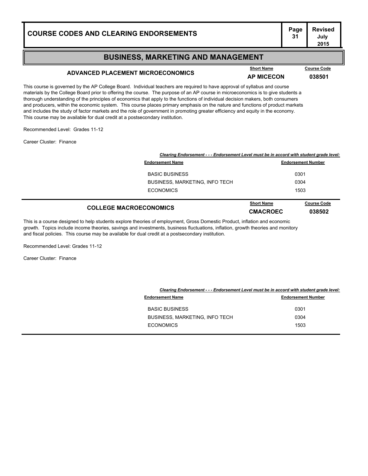#### **BUSINESS, MARKETING AND MANAGEMENT**

## **ADVANCED PLACEMENT MICROECONOMICS AP MICECON <sup>038501</sup>**

This course is governed by the AP College Board. Individual teachers are required to have approval of syllabus and course materials by the College Board prior to offering the course. The purpose of an AP course in microeconomics is to give students a thorough understanding of the principles of economics that apply to the functions of individual decision makers, both consumers and producers, within the economic system. This course places primary emphasis on the nature and functions of product markets and includes the study of factor markets and the role of government in promoting greater efficiency and equity in the economy. This course may be available for dual credit at a postsecondary institution.

Recommended Level: Grades 11-12

Career Cluster: Finance

| Clearing Endorsement - - - Endorsement Level must be in accord with student grade level: |                                       |                                      |                              |
|------------------------------------------------------------------------------------------|---------------------------------------|--------------------------------------|------------------------------|
| <b>Endorsement Name</b>                                                                  |                                       | <b>Endorsement Number</b>            |                              |
|                                                                                          | <b>BASIC BUSINESS</b>                 | 0301                                 |                              |
|                                                                                          | <b>BUSINESS, MARKETING, INFO TECH</b> | 0304                                 |                              |
|                                                                                          | <b>ECONOMICS</b>                      | 1503                                 |                              |
| <b>COLLEGE MACROECONOMICS</b>                                                            |                                       | <b>Short Name</b><br><b>CMACROEC</b> | <b>Course Code</b><br>038502 |

This is a course designed to help students explore theories of employment, Gross Domestic Product, inflation and economic growth. Topics include income theories, savings and investments, business fluctuations, inflation, growth theories and monitory and fiscal policies. This course may be available for dual credit at a postsecondary institution.

Recommended Level: Grades 11-12

Career Cluster: Finance

|                                       | Clearing Endorsement - - - Endorsement Level must be in accord with student grade level: |  |  |
|---------------------------------------|------------------------------------------------------------------------------------------|--|--|
| <b>Endorsement Name</b>               | <b>Endorsement Number</b>                                                                |  |  |
| <b>BASIC BUSINESS</b>                 | 0301                                                                                     |  |  |
| <b>BUSINESS, MARKETING, INFO TECH</b> | 0304                                                                                     |  |  |
| <b>ECONOMICS</b>                      | 1503                                                                                     |  |  |
|                                       |                                                                                          |  |  |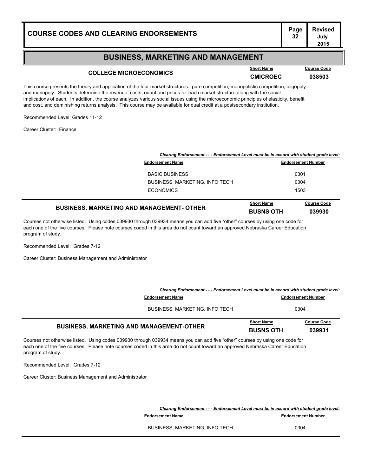# **Page Revised**

#### **BUSINESS, MARKETING AND MANAGEMENT**

## **COLLEGE MICROECONOMICS COLLEGE MICROECONOMICS CMICROEC 038503**

This course presents the theory and application of the four market structures: pure competition, monopolistic competition, oligopoly and monopoly. Students determine the revenue, costs, ouput and prices for each market structure along with the social implications of each. In addition, the course analyzes various social issues using the microeconomic principles of elasticity, benefit and cost, and deminishing returns analysis. This course may be available for dual credit at a postsecondary institution.

Recommended Level: Grades 11-12

Career Cluster: Finance

| Clearing Endorsement - - - Endorsement Level must be in accord with student grade level: |                                       |                              |
|------------------------------------------------------------------------------------------|---------------------------------------|------------------------------|
| <b>Endorsement Name</b>                                                                  | <b>Endorsement Number</b>             |                              |
| <b>BASIC BUSINESS</b>                                                                    |                                       | 0301                         |
| BUSINESS, MARKETING, INFO TECH                                                           | 0304                                  |                              |
| <b>ECONOMICS</b>                                                                         | 1503                                  |                              |
| <b>BUSINESS, MARKETING AND MANAGEMENT- OTHER</b>                                         | <b>Short Name</b><br><b>BUSNS OTH</b> | <b>Course Code</b><br>039930 |

Courses not otherwise listed. Using codes 039930 through 039934 means you can add five "other" courses by using one code for each one of the five courses. Please note courses coded in this area do not count toward an approved Nebraska Career Education program of study.

Recommended Level: Grades 7-12

Career Cluster: Business Management and Administrator

| <b>BUSINESS, MARKETING AND MANAGEMENT-OTHER</b>                                          | <b>Short Name</b><br><b>BUSNS OTH</b> | <b>Course Code</b><br>039931 |
|------------------------------------------------------------------------------------------|---------------------------------------|------------------------------|
| BUSINESS, MARKETING, INFO TECH                                                           |                                       | 0304                         |
| <b>Endorsement Name</b>                                                                  |                                       | <b>Endorsement Number</b>    |
| Clearing Endorsement - - - Endorsement Level must be in accord with student grade level: |                                       |                              |

Courses not otherwise listed. Using codes 039930 through 039934 means you can add five "other" courses by using one code for each one of the five courses. Please note courses coded in this area do not count toward an approved Nebraska Career Education program of study.

Recommended Level: Grades 7-12

Career Cluster: Business Management and Administrator

*Clearing Endorsement - - - Endorsement Level must be in accord with student grade level:* **Endorsement Name Endorsement Number** 32.000 **Endorsement Number** 

BUSINESS, MARKETING, INFO TECH 0304

**July 2015**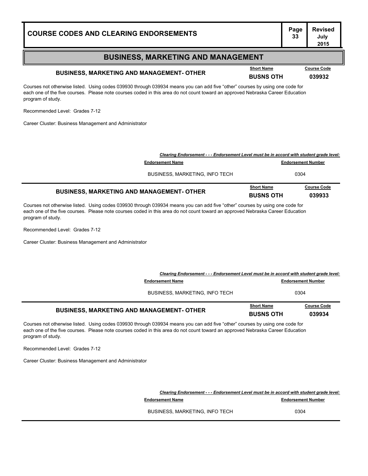# **Page Revised**

#### **BUSINESS, MARKETING AND MANAGEMENT**

## **BUSINESS, MARKETING AND MANAGEMENT- OTHER BUSNS OTH <sup>039932</sup>**

Courses not otherwise listed. Using codes 039930 through 039934 means you can add five "other" courses by using one code for each one of the five courses. Please note courses coded in this area do not count toward an approved Nebraska Career Education program of study.

Recommended Level: Grades 7-12

Career Cluster: Business Management and Administrator

| <b>BUSINESS, MARKETING AND MANAGEMENT- OTHER</b>                                         | <b>Short Name</b><br><b>BUSNS OTH</b> | <b>Course Code</b><br>039933 |
|------------------------------------------------------------------------------------------|---------------------------------------|------------------------------|
| <b>BUSINESS, MARKETING, INFO TECH</b>                                                    |                                       | 0304                         |
| <b>Endorsement Name</b>                                                                  |                                       | <b>Endorsement Number</b>    |
| Clearing Endorsement - - - Endorsement Level must be in accord with student grade level: |                                       |                              |

Courses not otherwise listed. Using codes 039930 through 039934 means you can add five "other" courses by using one code for each one of the five courses. Please note courses coded in this area do not count toward an approved Nebraska Career Education program of study.

Recommended Level: Grades 7-12

Career Cluster: Business Management and Administrator

| Clearing Endorsement - - - Endorsement Level must be in accord with student grade level: |                                       |                              |
|------------------------------------------------------------------------------------------|---------------------------------------|------------------------------|
| <b>Endorsement Name</b>                                                                  |                                       | <b>Endorsement Number</b>    |
| <b>BUSINESS, MARKETING, INFO TECH</b>                                                    |                                       | 0304                         |
| <b>BUSINESS, MARKETING AND MANAGEMENT- OTHER</b>                                         | <b>Short Name</b><br><b>BUSNS OTH</b> | <b>Course Code</b><br>039934 |

Courses not otherwise listed. Using codes 039930 through 039934 means you can add five "other" courses by using one code for each one of the five courses. Please note courses coded in this area do not count toward an approved Nebraska Career Education program of study.

Recommended Level: Grades 7-12

Career Cluster: Business Management and Administrator

*Clearing Endorsement - - - Endorsement Level must be in accord with student grade level:*

**Endorsement Name Endorsement Number** 

BUSINESS, MARKETING, INFO TECH 0304

**Short Name Course Code**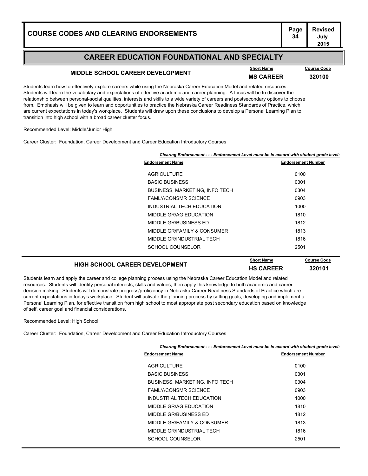### **MIDDLE SCHOOL CAREER DEVELOPMENT**<br>MS CAREER 320100

**Course Code** 

Students learn how to effectively explore careers while using the Nebraska Career Education Model and related resources. Students will learn the vocabulary and expectations of effective academic and career planning. A focus will be to discover the relationship between personal-social qualities, interests and skills to a wide variety of careers and postsecondary options to choose from. Emphasis will be given to learn and opportunities to practice the Nebraska Career Readiness Standards of Practice, which are current expectations in today's workplace. Students will draw upon these conclusions to develop a Personal Learning Plan to transition into high school with a broad career cluster focus.

#### Recommended Level: Middle/Junior High

Career Cluster: Foundation, Career Development and Career Education Introductory Courses

| <b>Endorsement Name</b>        | <b>Endorsement Number</b> |
|--------------------------------|---------------------------|
| <b>AGRICULTURE</b>             | 0100                      |
| <b>BASIC BUSINESS</b>          | 0301                      |
| BUSINESS, MARKETING, INFO TECH | 0304                      |
| <b>FAMLY/CONSMR SCIENCE</b>    | 0903                      |
| INDUSTRIAL TECH EDUCATION      | 1000                      |
| MIDDLE GR/AG EDUCATION         | 1810                      |
| MIDDLE GR/BUSINESS ED          | 1812                      |
| MIDDLE GR/FAMILY & CONSUMER    | 1813                      |
| MIDDLE GR/INDUSTRIAL TECH      | 1816                      |
| SCHOOL COUNSELOR               | 2501                      |

### **HIGH SCHOOL CAREER DEVELOPMENT HS CAREER <sup>320101</sup>**

**Short Name Course Code**

Students learn and apply the career and college planning process using the Nebraska Career Education Model and related resources. Students will identify personal interests, skills and values, then apply this knowledge to both academic and career decision making. Students will demonstrate progress/proficiency in Nebraska Career Readiness Standards of Practice which are current expectations in today's workplace. Student will activate the planning process by setting goals, developing and implement a Personal Learning Plan, for effective transition from high school to most appropriate post secondary education based on knowledge of self, career goal and financial considerations.

Recommended Level: High School

Career Cluster: Foundation, Career Development and Career Education Introductory Courses

| Clearing Endorsement - - - Endorsement Level must be in accord with student grade level: |                           |
|------------------------------------------------------------------------------------------|---------------------------|
| <b>Endorsement Name</b>                                                                  | <b>Endorsement Number</b> |
| <b>AGRICULTURE</b>                                                                       | 0100                      |
| <b>BASIC BUSINESS</b>                                                                    | 0301                      |
| BUSINESS, MARKETING, INFO TECH                                                           | 0304                      |
| <b>FAMLY/CONSMR SCIENCE</b>                                                              | 0903                      |
| INDUSTRIAL TECH EDUCATION                                                                | 1000                      |
| MIDDLE GR/AG EDUCATION                                                                   | 1810                      |
| MIDDLE GR/BUSINESS ED                                                                    | 1812                      |
| MIDDLE GR/FAMILY & CONSUMER                                                              | 1813                      |
| MIDDLE GR/INDUSTRIAL TECH                                                                | 1816                      |
| SCHOOL COUNSELOR                                                                         | 2501                      |
|                                                                                          |                           |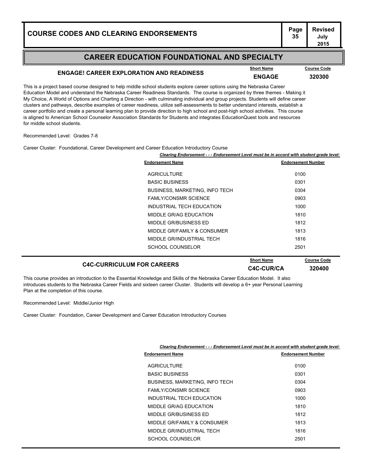# **Page Revised**

#### **CAREER EDUCATION FOUNDATIONAL AND SPECIALTY**

## **ENGAGE! CAREER EXPLORATION AND READINESS ENGAGE <sup>320300</sup>**

**Course Code** 

**Course Code** 

This is a project based course designed to help middle school students explore career options using the Nebraska Career Education Model and understand the Nebraska Career Readiness Standards. The course is organized by three themes - Making it My Choice, A World of Options and Charting a Direction - with culminating individual and group projects. Students will define career clusters and pathways, describe examples of career readiness, utilize self-assessments to better understand interests, establish a career portfolio and create a personal learning plan to provide direction to high school and post-high school activities. This course is aligned to American School Counselor Association Standards for Students and integrates EducationQuest tools and resources for middle school students.

Recommended Level: Grades 7-8

Career Cluster: Foundational, Career Development and Career Education Introductory Course

|                                | Clearing Endorsement - - - Endorsement Level must be in accord with student grade level: |  |
|--------------------------------|------------------------------------------------------------------------------------------|--|
| <b>Endorsement Name</b>        | <b>Endorsement Number</b>                                                                |  |
| <b>AGRICULTURE</b>             | 0100                                                                                     |  |
| <b>BASIC BUSINESS</b>          | 0301                                                                                     |  |
| BUSINESS, MARKETING, INFO TECH | 0304                                                                                     |  |
| <b>FAMLY/CONSMR SCIENCE</b>    | 0903                                                                                     |  |
| INDUSTRIAL TECH EDUCATION      | 1000                                                                                     |  |
| MIDDLE GR/AG EDUCATION         | 1810                                                                                     |  |
| MIDDLE GR/BUSINESS ED          | 1812                                                                                     |  |
| MIDDLE GR/FAMILY & CONSUMER    | 1813                                                                                     |  |
| MIDDLE GR/INDUSTRIAL TECH      | 1816                                                                                     |  |
| SCHOOL COUNSELOR               | 2501                                                                                     |  |
|                                |                                                                                          |  |

### **C4C-CURRICULUM FOR CAREERS C4C-CUR/CA <sup>320400</sup>**

This course provides an introduction to the Essential Knowledge and Skills of the Nebraska Career Education Model. It also introduces students to the Nebraska Career Fields and sixteen career Cluster. Students will develop a 6+ year Personal Learning Plan at the completion of this course.

Recommended Level: Middle/Junior High

Career Cluster: Foundation, Career Development and Career Education Introductory Courses

| Clearing Endorsement - - - Endorsement Level must be in accord with student grade level: |                                       |                           |
|------------------------------------------------------------------------------------------|---------------------------------------|---------------------------|
|                                                                                          | <b>Endorsement Name</b>               | <b>Endorsement Number</b> |
|                                                                                          | <b>AGRICULTURE</b>                    | 0100                      |
|                                                                                          | <b>BASIC BUSINESS</b>                 | 0301                      |
|                                                                                          | <b>BUSINESS, MARKETING, INFO TECH</b> | 0304                      |
|                                                                                          | <b>FAMLY/CONSMR SCIENCE</b>           | 0903                      |
|                                                                                          | INDUSTRIAL TECH EDUCATION             | 1000                      |
|                                                                                          | MIDDLE GR/AG EDUCATION                | 1810                      |
|                                                                                          | MIDDLE GR/BUSINESS ED                 | 1812                      |
|                                                                                          | MIDDLE GR/FAMILY & CONSUMER           | 1813                      |
|                                                                                          | MIDDLE GR/INDUSTRIAL TECH             | 1816                      |
|                                                                                          | SCHOOL COUNSELOR                      | 2501                      |
|                                                                                          |                                       |                           |

**July 2015**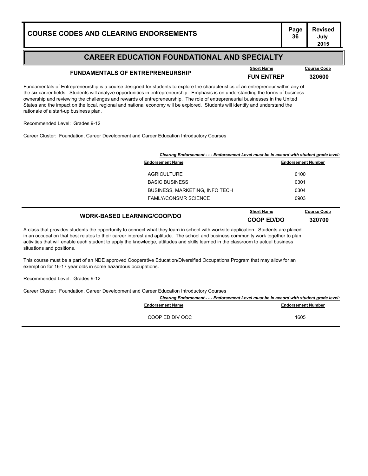## **FUNDAMENTALS OF ENTREPRENEURSHIP FUN ENTREP <sup>320600</sup>**

Fundamentals of Entrepreneurship is a course designed for students to explore the characteristics of an entrepreneur within any of the six career fields. Students will analyze opportunities in entrepreneurship. Emphasis is on understanding the forms of business ownership and reviewing the challenges and rewards of entrepreneurship. The role of entrepreneurial businesses in the United States and the impact on the local, regional and national economy will be explored. Students will identify and understand the rationale of a start-up business plan.

Recommended Level: Grades 9-12

Career Cluster: Foundation, Career Development and Career Education Introductory Courses

| Clearing Endorsement - - - Endorsement Level must be in accord with student grade level: |                                 |                              |
|------------------------------------------------------------------------------------------|---------------------------------|------------------------------|
| <b>Endorsement Name</b>                                                                  |                                 | <b>Endorsement Number</b>    |
| <b>AGRICULTURE</b>                                                                       |                                 | 0100                         |
| <b>BASIC BUSINESS</b>                                                                    |                                 | 0301                         |
| BUSINESS, MARKETING, INFO TECH                                                           |                                 | 0304                         |
| <b>FAMLY/CONSMR SCIENCE</b>                                                              |                                 | 0903                         |
| <b>WORK-BASED LEARNING/COOP/DO</b>                                                       | <b>Short Name</b><br>COOP ED/DO | <b>Course Code</b><br>320700 |

A class that provides students the opportunity to connect what they learn in school with worksite application. Students are placed in an occupation that best relates to their career interest and aptitude. The school and business community work together to plan activities that will enable each student to apply the knowledge, attitudes and skills learned in the classroom to actual business situations and positions.

This course must be a part of an NDE approved Cooperative Education/Diversified Occupations Program that may allow for an exemption for 16-17 year olds in some hazardous occupations.

Recommended Level: Grades 9-12

Career Cluster: Foundation, Career Development and Career Education Introductory Courses

| Clearing Endorsement - - - Endorsement Level must be in accord with student grade level: |                           |
|------------------------------------------------------------------------------------------|---------------------------|
| <b>Endorsement Name</b>                                                                  | <b>Endorsement Number</b> |
| COOP ED DIV OCC                                                                          | 1605                      |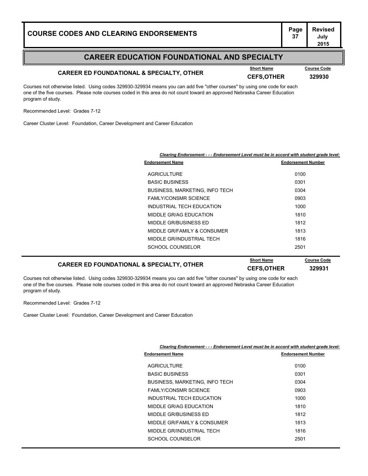## **CAREER ED FOUNDATIONAL & SPECIALTY, OTHER CEFS,OTHER CEFS,OTHER 329930**

**Course Code** 

Courses not otherwise listed. Using codes 329930-329934 means you can add five "other courses" by using one code for each one of the five courses. Please note courses coded in this area do not count toward an approved Nebraska Career Education program of study.

Recommended Level: Grades 7-12

Career Cluster Level: Foundation, Career Development and Career Education

|                                       | Clearing Endorsement - - - Endorsement Level must be in accord with student grade level: |  |
|---------------------------------------|------------------------------------------------------------------------------------------|--|
| <b>Endorsement Name</b>               | <b>Endorsement Number</b>                                                                |  |
| <b>AGRICULTURE</b>                    | 0100                                                                                     |  |
| <b>BASIC BUSINESS</b>                 | 0301                                                                                     |  |
| <b>BUSINESS, MARKETING, INFO TECH</b> | 0304                                                                                     |  |
| <b>FAMLY/CONSMR SCIENCE</b>           | 0903                                                                                     |  |
| INDUSTRIAL TECH EDUCATION             | 1000                                                                                     |  |
| MIDDLE GR/AG EDUCATION                | 1810                                                                                     |  |
| MIDDLE GR/BUSINESS ED                 | 1812                                                                                     |  |
| MIDDLE GR/FAMILY & CONSUMER           | 1813                                                                                     |  |
| MIDDLE GR/INDUSTRIAL TECH             | 1816                                                                                     |  |
| SCHOOL COUNSELOR                      | 2501                                                                                     |  |
|                                       |                                                                                          |  |

#### **CAREER ED FOUNDATIONAL & SPECIALTY, OTHER CEFS,OTHER <sup>329931</sup> Course Code**

Courses not otherwise listed. Using codes 329930-329934 means you can add five "other courses" by using one code for each one of the five courses. Please note courses coded in this area do not count toward an approved Nebraska Career Education program of study.

Recommended Level: Grades 7-12

Career Cluster Level: Foundation, Career Development and Career Education

| Clearing Endorsement - - - Endorsement Level must be in accord with student grade levi |                           |
|----------------------------------------------------------------------------------------|---------------------------|
| <b>Endorsement Name</b>                                                                | <b>Endorsement Number</b> |
| <b>AGRICULTURE</b>                                                                     | 0100                      |
| <b>BASIC BUSINESS</b>                                                                  | 0301                      |
| <b>BUSINESS, MARKETING, INFO TECH</b>                                                  | 0304                      |
| <b>FAMLY/CONSMR SCIENCE</b>                                                            | 0903                      |
| INDUSTRIAL TECH EDUCATION                                                              | 1000                      |
| MIDDLE GR/AG EDUCATION                                                                 | 1810                      |
| MIDDLE GR/BUSINESS ED                                                                  | 1812                      |
| MIDDLE GR/FAMILY & CONSUMER                                                            | 1813                      |
| MIDDLE GR/INDUSTRIAL TECH                                                              | 1816                      |
| SCHOOL COUNSELOR                                                                       | 2501                      |
|                                                                                        |                           |

#### *Clearing Endorsement - - - Endorsement Level must be in accord with student grade level:*

**July 2015**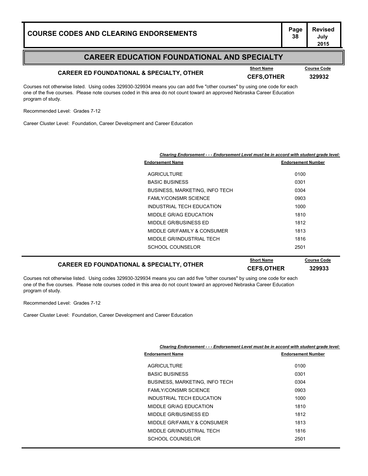## **CAREER ED FOUNDATIONAL & SPECIALTY, OTHER CEFS,OTHER <sup>329932</sup>**

**Course Code** 

**July 2015**

Courses not otherwise listed. Using codes 329930-329934 means you can add five "other courses" by using one code for each one of the five courses. Please note courses coded in this area do not count toward an approved Nebraska Career Education program of study.

Recommended Level: Grades 7-12

Career Cluster Level: Foundation, Career Development and Career Education

|                                       | Clearing Endorsement - - - Endorsement Level must be in accord with student grade level: |  |
|---------------------------------------|------------------------------------------------------------------------------------------|--|
| <b>Endorsement Name</b>               | <b>Endorsement Number</b>                                                                |  |
| <b>AGRICULTURE</b>                    | 0100                                                                                     |  |
| <b>BASIC BUSINESS</b>                 | 0301                                                                                     |  |
| <b>BUSINESS, MARKETING, INFO TECH</b> | 0304                                                                                     |  |
| <b>FAMLY/CONSMR SCIENCE</b>           | 0903                                                                                     |  |
| INDUSTRIAL TECH EDUCATION             | 1000                                                                                     |  |
| MIDDLE GR/AG EDUCATION                | 1810                                                                                     |  |
| MIDDLE GR/BUSINESS ED                 | 1812                                                                                     |  |
| MIDDLE GR/FAMILY & CONSUMER           | 1813                                                                                     |  |
| MIDDLE GR/INDUSTRIAL TECH             | 1816                                                                                     |  |
| SCHOOL COUNSELOR                      | 2501                                                                                     |  |
|                                       |                                                                                          |  |

#### **CAREER ED FOUNDATIONAL & SPECIALTY, OTHER CEFS,OTHER <sup>329933</sup> Course Code**

Courses not otherwise listed. Using codes 329930-329934 means you can add five "other courses" by using one code for each one of the five courses. Please note courses coded in this area do not count toward an approved Nebraska Career Education program of study.

Recommended Level: Grades 7-12

Career Cluster Level: Foundation, Career Development and Career Education

| Clearing Endorsement - - - Endorsement Level must be in accord with student grade level: |                                       |                           |
|------------------------------------------------------------------------------------------|---------------------------------------|---------------------------|
|                                                                                          | <b>Endorsement Name</b>               | <b>Endorsement Number</b> |
|                                                                                          | <b>AGRICULTURE</b>                    | 0100                      |
|                                                                                          | <b>BASIC BUSINESS</b>                 | 0301                      |
|                                                                                          | <b>BUSINESS, MARKETING, INFO TECH</b> | 0304                      |
|                                                                                          | <b>FAMLY/CONSMR SCIENCE</b>           | 0903                      |
|                                                                                          | INDUSTRIAL TECH EDUCATION             | 1000                      |
|                                                                                          | MIDDLE GR/AG EDUCATION                | 1810                      |
|                                                                                          | MIDDLE GR/BUSINESS ED                 | 1812                      |
|                                                                                          | MIDDLE GR/FAMILY & CONSUMER           | 1813                      |
|                                                                                          | MIDDLE GR/INDUSTRIAL TECH             | 1816                      |
|                                                                                          | SCHOOL COUNSELOR                      | 2501                      |
|                                                                                          |                                       |                           |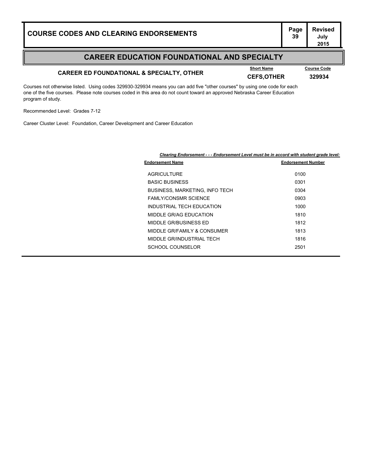## **CAREER ED FOUNDATIONAL & SPECIALTY, OTHER CEFS,OTHER CEFS,OTHER 329934**

**Course Code** 

**July 2015**

Courses not otherwise listed. Using codes 329930-329934 means you can add five "other courses" by using one code for each one of the five courses. Please note courses coded in this area do not count toward an approved Nebraska Career Education program of study.

Recommended Level: Grades 7-12

Career Cluster Level: Foundation, Career Development and Career Education

| Clearing Endorsement - - - Endorsement Level must be in accord with student grade level: |                           |  |
|------------------------------------------------------------------------------------------|---------------------------|--|
| <b>Endorsement Name</b>                                                                  | <b>Endorsement Number</b> |  |
| <b>AGRICULTURE</b>                                                                       | 0100                      |  |
| <b>BASIC BUSINESS</b>                                                                    | 0301                      |  |
| BUSINESS, MARKETING, INFO TECH                                                           | 0304                      |  |
| <b>FAMLY/CONSMR SCIENCE</b>                                                              | 0903                      |  |
| INDUSTRIAL TECH EDUCATION                                                                | 1000                      |  |
| MIDDLE GR/AG EDUCATION                                                                   | 1810                      |  |
| MIDDLE GR/BUSINESS ED                                                                    | 1812                      |  |
| MIDDLE GR/FAMILY & CONSUMER                                                              | 1813                      |  |
| MIDDLE GR/INDUSTRIAL TECH                                                                | 1816                      |  |
| SCHOOL COUNSELOR                                                                         | 2501                      |  |
|                                                                                          |                           |  |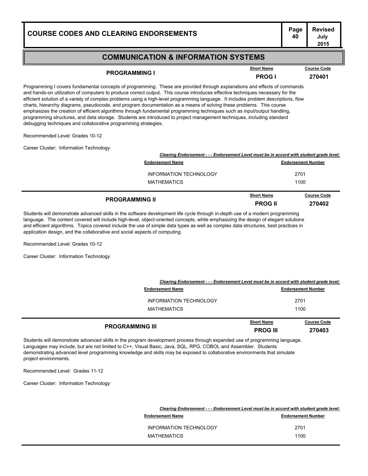#### **COMMUNICATION & INFORMATION SYSTEMS**

### **PROGRAMMING I Example 270401**<br>**PROG I 270401**

**Course Code** 

Programming I covers fundamental concepts of programming. These are provided through explanations and effects of commands and hands-on utilization of computers to produce correct output. This course introduces effective techniques necessary for the efficient solution of a variety of complex problems using a high-level programming language. It includes problem descriptions, flow charts, hierarchy diagrams, pseudocode, and program documentation as a means of solving these problems. This course emphasizes the creation of efficient algorithms through fundamental programming techniques such as input/output handling, programming structures, and data storage. Students are introduced to project management techniques, including standard debugging techniques and collaborative programming strategies.

Recommended Level: Grades 10-12

Career Cluster: Information Technology

| <b>PROGRAMMING II</b>                                                                    | <b>Short Name</b><br><b>PROG II</b> | <b>Course Code</b><br>270402 |
|------------------------------------------------------------------------------------------|-------------------------------------|------------------------------|
| <b>MATHEMATICS</b>                                                                       |                                     | 1100                         |
| <b>INFORMATION TECHNOLOGY</b>                                                            |                                     | 2701                         |
| <b>Endorsement Name</b>                                                                  |                                     | <b>Endorsement Number</b>    |
| Clearing Endorsement - - - Endorsement Level must be in accord with student grade level: |                                     |                              |

Students will demonstrate advanced skills in the software development life cycle through in-depth use of a modern programming language. The content covered will include high-level, object-oriented concepts, while emphasizing the design of elegant solutions and efficient algorithms. Topics covered include the use of simple data types as well as complex data structures, best practices in application design, and the collaborative and social aspects of computing.

Recommended Level: Grades 10-12

Career Cluster: Information Technology

| <b>PROGRAMMING III</b>                                                                   | <b>Short Name</b><br><b>PROG III</b> | <b>Course Code</b><br>270403 |
|------------------------------------------------------------------------------------------|--------------------------------------|------------------------------|
| <b>MATHEMATICS</b>                                                                       |                                      | 1100                         |
| <b>INFORMATION TECHNOLOGY</b>                                                            |                                      | 2701                         |
| <b>Endorsement Name</b>                                                                  |                                      | <b>Endorsement Number</b>    |
| Clearing Endorsement - - - Endorsement Level must be in accord with student grade level: |                                      |                              |

Students will demonstrate advanced skills in the program development process through expanded use of programming language. Languages may include, but are not limited to C++, Visual Basic, Java, SQL, RPG, COBOL and Assembler. Students demonstrating advanced level programming knowledge and skills may be exposed to collaborative environments that simulate project environments.

Recommended Level: Grades 11-12

Career Cluster: Information Technology

|                         | Clearing Endorsement - - - Endorsement Level must be in accord with student grade level: |  |
|-------------------------|------------------------------------------------------------------------------------------|--|
| <b>Endorsement Name</b> | <b>Endorsement Number</b>                                                                |  |
| INFORMATION TECHNOLOGY  | 2701                                                                                     |  |
| MATHEMATICS             | 1100                                                                                     |  |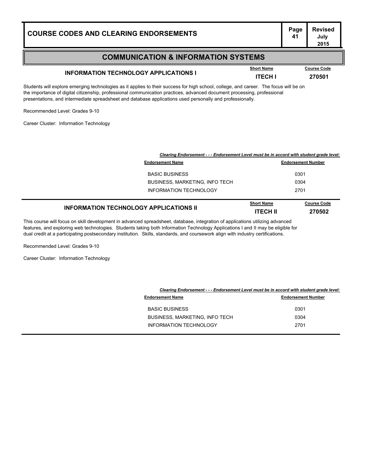#### **Page Revised July**

#### **COMMUNICATION & INFORMATION SYSTEMS**

## **INFORMATION TECHNOLOGY APPLICATIONS I INFORMATION TECHNOLOGY APPLICATIONS I ITECH I 270501**

Students will explore emerging technologies as it applies to their success for high school, college, and career. The focus will be on the importance of digital citizenship, professional communication practices, advanced document processing, professional presentations, and intermediate spreadsheet and database applications used personally and professionally.

Recommended Level: Grades 9-10

Career Cluster: Information Technology

| Clearing Endorsement - - - Endorsement Level must be in accord with student grade level: |                                      |                              |
|------------------------------------------------------------------------------------------|--------------------------------------|------------------------------|
| <b>Endorsement Name</b>                                                                  |                                      | <b>Endorsement Number</b>    |
| <b>BASIC BUSINESS</b>                                                                    |                                      | 0301                         |
| BUSINESS, MARKETING, INFO TECH                                                           | 0304                                 |                              |
| INFORMATION TECHNOLOGY                                                                   | 2701                                 |                              |
| <b>INFORMATION TECHNOLOGY APPLICATIONS II</b>                                            | <b>Short Name</b><br><b>ITECH II</b> | <b>Course Code</b><br>270502 |

This course will focus on skill development in advanced spreadsheet, database, integration of applications utilizing advanced features, and exploring web technologies. Students taking both Information Technology Applications I and II may be eligible for dual credit at a participating postsecondary institution. Skills, standards, and coursework align with industry certifications.

Recommended Level: Grades 9-10

Career Cluster: Information Technology

|                                       | Clearing Endorsement - - - Endorsement Level must be in accord with student grade level: |  |
|---------------------------------------|------------------------------------------------------------------------------------------|--|
| <b>Endorsement Name</b>               | <b>Endorsement Number</b>                                                                |  |
| <b>BASIC BUSINESS</b>                 | 0301                                                                                     |  |
| <b>BUSINESS, MARKETING, INFO TECH</b> | 0304                                                                                     |  |
| <b>INFORMATION TECHNOLOGY</b>         | 2701                                                                                     |  |
|                                       |                                                                                          |  |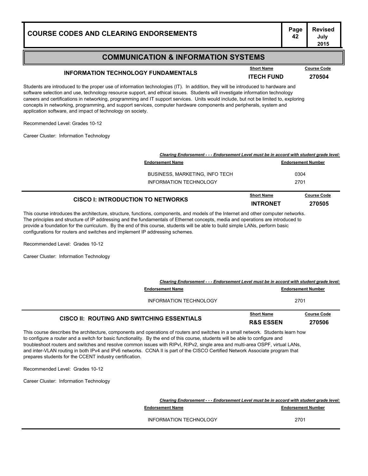configurations for routers and switches and implement IP addressing schemes.

### **COMMUNICATION & INFORMATION SYSTEMS**

## **INFORMATION TECHNOLOGY FUNDAMENTALS Example 11 Short Name Course Code ITECH FUND 270504**

Students are introduced to the proper use of information technologies (IT). In addition, they will be introduced to hardware and software selection and use, technology resource support, and ethical issues. Students will investigate information technology careers and certifications in networking, programming and IT support services. Units would include, but not be limited to, exploring concepts in networking, programming, and support services, computer hardware components and peripherals, system and application software, and impact of technology on society.

Recommended Level: Grades 10-12

Career Cluster: Information Technology

| Clearing Endorsement - - - Endorsement Level must be in accord with student grade level: |                           |                    |
|------------------------------------------------------------------------------------------|---------------------------|--------------------|
| <b>Endorsement Name</b>                                                                  | <b>Endorsement Number</b> |                    |
| <b>BUSINESS, MARKETING, INFO TECH</b>                                                    | 0304                      |                    |
| INFORMATION TECHNOLOGY                                                                   | 2701                      |                    |
|                                                                                          | <b>Short Name</b>         | <b>Course Code</b> |

This course introduces the architecture, structure, functions, components, and models of the Internet and other computer networks. The principles and structure of IP addressing and the fundamentals of Ethernet concepts, media and operations are introduced to provide a foundation for the curriculum. By the end of this course, students will be able to build simple LANs, perform basic **CISCO I: INTRODUCTION TO NETWORKS INTRONET 1970505** 

Recommended Level: Grades 10-12

Career Cluster: Information Technology

|                                                                                                                                                                                                                                                                   | Clearing Endorsement - - - Endorsement Level must be in accord with student grade level: |                                           |                              |
|-------------------------------------------------------------------------------------------------------------------------------------------------------------------------------------------------------------------------------------------------------------------|------------------------------------------------------------------------------------------|-------------------------------------------|------------------------------|
| <b>Endorsement Name</b>                                                                                                                                                                                                                                           |                                                                                          | <b>Endorsement Number</b>                 |                              |
|                                                                                                                                                                                                                                                                   | INFORMATION TECHNOLOGY                                                                   | 2701                                      |                              |
| CISCO II: ROUTING AND SWITCHING ESSENTIALS                                                                                                                                                                                                                        |                                                                                          | <b>Short Name</b><br><b>R&amp;S ESSEN</b> | <b>Course Code</b><br>270506 |
| This course describes the architecture, components and operations of routers and switches in a small network. Students learn how<br>to configure a router and a switch for basic functionality. By the end of this course, students will be able to configure and |                                                                                          |                                           |                              |

igure a router and a switch for basic functionality. By the end of this course, students will be able to configure and troubleshoot routers and switches and resolve common issues with RIPvI, RIPv2, single area and multi-area OSPF, virtual LANs, and inter-VLAN routing in both IPv4 and IPv6 networks. CCNA II is part of the CISCO Certified Network Associate program that prepares students for the CCENT industry certification.

Recommended Level: Grades 10-12

Career Cluster: Information Technology

|                         | Clearing Endorsement - - - Endorsement Level must be in accord with student grade level: |  |
|-------------------------|------------------------------------------------------------------------------------------|--|
| <b>Endorsement Name</b> | <b>Endorsement Number</b>                                                                |  |
| INFORMATION TECHNOLOGY  | 2701                                                                                     |  |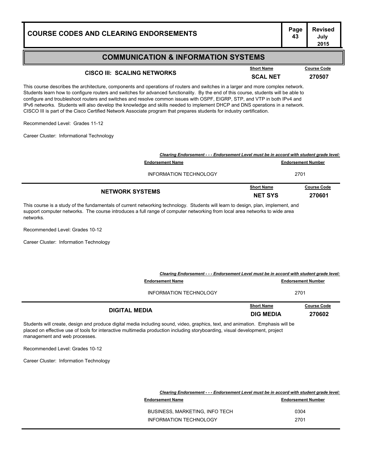# **Page Revised**

#### **COMMUNICATION & INFORMATION SYSTEMS**

## **CISCO III: SCALING NETWORKS Short Name SCAL NET 270507**

This course describes the architecture, components and operations of routers and switches in a larger and more complex network. Students learn how to configure routers and switches for advanced functionality. By the end of this course, students will be able to configure and troubleshoot routers and switches and resolve common issues with OSPF, EIGRP, STP, and VTP in both IPv4 and IPv6 networks. Students will also develop the knowledge and skills needed to implement DHCP and DNS operations in a network. CISCO III is part of the Cisco Certified Network Associate program that prepares students for industry certification.

Recommended Level: Grades 11-12

Career Cluster: Informational Technology

| Clearing Endorsement - - - Endorsement Level must be in accord with student grade level: |                                     |                              |
|------------------------------------------------------------------------------------------|-------------------------------------|------------------------------|
| <b>Endorsement Name</b>                                                                  | <b>Endorsement Number</b>           |                              |
| INFORMATION TECHNOLOGY                                                                   |                                     | 2701                         |
| <b>NETWORK SYSTEMS</b>                                                                   | <b>Short Name</b><br><b>NET SYS</b> | <b>Course Code</b><br>270601 |

This course is a study of the fundamentals of current networking technology. Students will learn to design, plan, implement, and support computer networks. The course introduces a full range of computer networking from local area networks to wide area networks.

Recommended Level: Grades 10-12

Career Cluster: Information Technology

| Clearing Endorsement - - - Endorsement Level must be in accord with student grade level: |                                       |                              |
|------------------------------------------------------------------------------------------|---------------------------------------|------------------------------|
| <b>Endorsement Name</b>                                                                  |                                       | <b>Endorsement Number</b>    |
| INFORMATION TECHNOLOGY                                                                   |                                       | 2701                         |
| <b>DIGITAL MEDIA</b>                                                                     | <b>Short Name</b><br><b>DIG MEDIA</b> | <b>Course Code</b><br>270602 |

Students will create, design and produce digital media including sound, video, graphics, text, and animation. Emphasis will be placed on effective use of tools for interactive multimedia production including storyboarding, visual development, project management and web processes.

Recommended Level: Grades 10-12

Career Cluster: Information Technology

| Clearing Endorsement - - - Endorsement Level must be in accord with student grade level: |                           |
|------------------------------------------------------------------------------------------|---------------------------|
| <b>Endorsement Name</b>                                                                  | <b>Endorsement Number</b> |
| <b>BUSINESS, MARKETING, INFO TECH</b>                                                    | 0304                      |
| INFORMATION TECHNOLOGY                                                                   | 2701                      |

**July 2015**

**Short Name Course Code**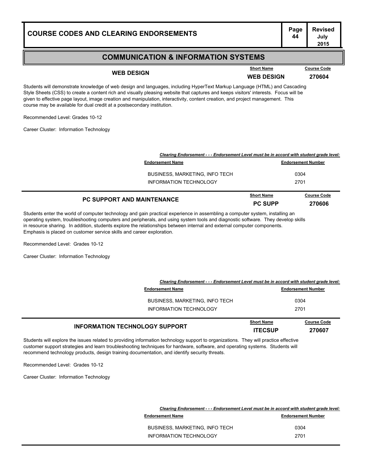#### **COMMUNICATION & INFORMATION SYSTEMS**

**WEB DESIGN WEB DESIGN <sup>270604</sup> Short Name Course Code**

**July 2015**

Students will demonstrate knowledge of web design and languages, including HyperText Markup Language (HTML) and Cascading Style Sheets (CSS) to create a content rich and visually pleasing website that captures and keeps visitors' interests. Focus will be given to effective page layout, image creation and manipulation, interactivity, content creation, and project management. This course may be available for dual credit at a postsecondary institution.

Recommended Level: Grades 10-12

Career Cluster: Information Technology

| <b>PC SUPPORT AND MAINTENANCE</b>                                                        | <b>Short Name</b><br><b>PC SUPP</b> | <b>Course Code</b><br>270606 |
|------------------------------------------------------------------------------------------|-------------------------------------|------------------------------|
| INFORMATION TECHNOLOGY                                                                   |                                     | 2701                         |
| <b>BUSINESS, MARKETING, INFO TECH</b>                                                    |                                     | 0304                         |
| <b>Endorsement Name</b>                                                                  |                                     | <b>Endorsement Number</b>    |
| Clearing Endorsement - - - Endorsement Level must be in accord with student grade level: |                                     |                              |

Students enter the world of computer technology and gain practical experience in assembling a computer system, installing an operating system, troubleshooting computers and peripherals, and using system tools and diagnostic software. They develop skills in resource sharing. In addition, students explore the relationships between internal and external computer components. Emphasis is placed on customer service skills and career exploration.

Recommended Level: Grades 10-12

Career Cluster: Information Technology

| <b>INFORMATION TECHNOLOGY SUPPORT</b>                                                    | <b>Short Name</b><br><b>ITECSUP</b> | <b>Course Code</b><br>270607 |
|------------------------------------------------------------------------------------------|-------------------------------------|------------------------------|
| <b>INFORMATION TECHNOLOGY</b>                                                            |                                     | 2701                         |
| <b>BUSINESS, MARKETING, INFO TECH</b>                                                    |                                     | 0304                         |
| <b>Endorsement Name</b>                                                                  |                                     | <b>Endorsement Number</b>    |
| Clearing Endorsement - - - Endorsement Level must be in accord with student grade level: |                                     |                              |

Students will explore the issues related to providing information technology support to organizations. They will practice effective customer support strategies and learn troubleshooting techniques for hardware, software, and operating systems. Students will recommend technology products, design training documentation, and identify security threats.

Recommended Level: Grades 10-12

Career Cluster: Information Technology

| Clearing Endorsement - - - Endorsement Level must be in accord with student grade level: |                           |
|------------------------------------------------------------------------------------------|---------------------------|
| <b>Endorsement Name</b>                                                                  | <b>Endorsement Number</b> |
| BUSINESS, MARKETING, INFO TECH                                                           | 0304                      |
| <b>INFORMATION TECHNOLOGY</b>                                                            | 2701                      |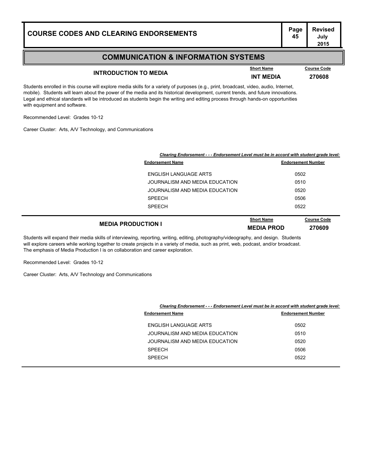#### **COMMUNICATION & INFORMATION SYSTEMS**

## **INTRODUCTION TO MEDIA INT MEDIA INT MEDIA 170608**

**Course Code** 

**July 2015**

Students enrolled in this course will explore media skills for a variety of purposes (e.g., print, broadcast, video, audio, Internet, mobile). Students will learn about the power of the media and its historical development, current trends, and future innovations. Legal and ethical standards will be introduced as students begin the writing and editing process through hands-on opportunities with equipment and software.

Recommended Level: Grades 10-12

Career Cluster: Arts, A/V Technology, and Communications

|                                | Clearing Endorsement - - - Endorsement Level must be in accord with student grade level: |  |
|--------------------------------|------------------------------------------------------------------------------------------|--|
| <b>Endorsement Name</b>        | <b>Endorsement Number</b>                                                                |  |
| ENGLISH LANGUAGE ARTS          | 0502                                                                                     |  |
| JOURNALISM AND MEDIA EDUCATION | 0510                                                                                     |  |
| JOURNALISM AND MEDIA EDUCATION | 0520                                                                                     |  |
| <b>SPEECH</b>                  | 0506                                                                                     |  |
| <b>SPEECH</b>                  | 0522                                                                                     |  |
|                                |                                                                                          |  |

|                           | <b>Short Name</b> | <b>Course Code</b> |
|---------------------------|-------------------|--------------------|
| <b>MEDIA PRODUCTION I</b> | <b>MEDIA PROD</b> | 270609             |
|                           |                   |                    |

Students will expand their media skills of interviewing, reporting, writing, editing, photography/videography, and design. Students will explore careers while working together to create projects in a variety of media, such as print, web, podcast, and/or broadcast. The emphasis of Media Production I is on collaboration and career exploration.

Recommended Level: Grades 10-12

Career Cluster: Arts, A/V Technology and Communications

| Clearing Endorsement - - - Endorsement Level must be in accord with student grade level: |
|------------------------------------------------------------------------------------------|
|------------------------------------------------------------------------------------------|

| <b>Endorsement Name</b>        | <b>Endorsement Number</b> |
|--------------------------------|---------------------------|
| ENGLISH LANGUAGE ARTS          | 0502                      |
| JOURNALISM AND MEDIA EDUCATION | 0510                      |
| JOURNALISM AND MEDIA EDUCATION | 0520                      |
| <b>SPEECH</b>                  | 0506                      |
| <b>SPEECH</b>                  | 0522                      |
|                                |                           |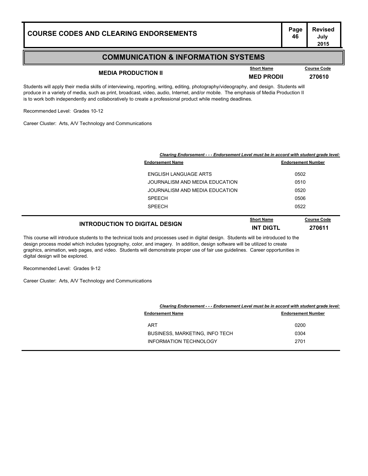#### **COMMUNICATION & INFORMATION SYSTEMS**

## **MEDIA PRODUCTION II MEDIA PRODUCTION II MED PRODII 270610**

**Course Code** 

**July 2015**

Students will apply their media skills of interviewing, reporting, writing, editing, photography/videography, and design. Students will produce in a variety of media, such as print, broadcast, video, audio, Internet, and/or mobile. The emphasis of Media Production II is to work both independently and collaboratively to create a professional product while meeting deadlines.

Recommended Level: Grades 10-12

Career Cluster: Arts, A/V Technology and Communications

|                                | Clearing Endorsement - - - Endorsement Level must be in accord with student grade level: |  |
|--------------------------------|------------------------------------------------------------------------------------------|--|
| <b>Endorsement Name</b>        | <b>Endorsement Number</b>                                                                |  |
| ENGLISH LANGUAGE ARTS          | 0502                                                                                     |  |
| JOURNALISM AND MEDIA EDUCATION | 0510                                                                                     |  |
| JOURNALISM AND MEDIA EDUCATION | 0520                                                                                     |  |
| <b>SPEECH</b>                  | 0506                                                                                     |  |
| <b>SPEECH</b>                  | 0522                                                                                     |  |
|                                |                                                                                          |  |

|                                       | <b>Short Name</b> | <b>Course Code</b> |
|---------------------------------------|-------------------|--------------------|
| <b>INTRODUCTION TO DIGITAL DESIGN</b> | INT DIGTL         | 270611             |

This course will introduce students to the technical tools and processes used in digital design. Students will be introduced to the design process model which includes typography, color, and imagery. In addition, design software will be utilized to create graphics, animation, web pages, and video. Students will demonstrate proper use of fair use guidelines. Career opportunities in digital design will be explored.

Recommended Level: Grades 9-12

Career Cluster: Arts, A/V Technology and Communications

|                                | Clearing Endorsement - - - Endorsement Level must be in accord with student grade level: |  |
|--------------------------------|------------------------------------------------------------------------------------------|--|
| <b>Endorsement Name</b>        | <b>Endorsement Number</b>                                                                |  |
| <b>ART</b>                     | 0200                                                                                     |  |
| BUSINESS, MARKETING, INFO TECH | 0304                                                                                     |  |
| INFORMATION TECHNOLOGY         | 2701                                                                                     |  |
|                                |                                                                                          |  |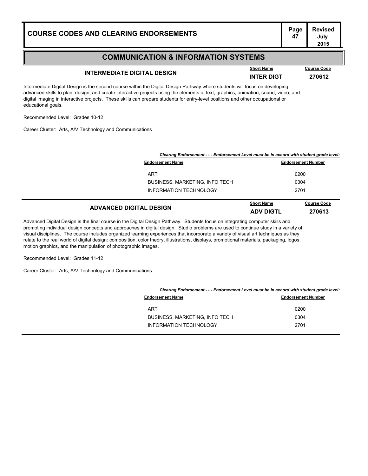#### **COMMUNICATION & INFORMATION SYSTEMS**

## **INTERMEDIATE DIGITAL DESIGN INTER DIGT <sup>270612</sup>**

**Course Code** 

**July 2015**

Intermediate Digital Design is the second course within the Digital Design Pathway where students will focus on developing advanced skills to plan, design, and create interactive projects using the elements of text, graphics, animation, sound, video, and digital imaging in interactive projects. These skills can prepare students for entry-level positions and other occupational or educational goals.

Recommended Level: Grades 10-12

Career Cluster: Arts, A/V Technology and Communications

| Clearing Endorsement - - - Endorsement Level must be in accord with student grade level: |                   |                           |
|------------------------------------------------------------------------------------------|-------------------|---------------------------|
| <b>Endorsement Name</b>                                                                  |                   | <b>Endorsement Number</b> |
| <b>ART</b>                                                                               |                   | 0200                      |
| BUSINESS, MARKETING, INFO TECH                                                           |                   | 0304                      |
| <b>INFORMATION TECHNOLOGY</b>                                                            |                   | 2701                      |
| <b>ADVANCED DIGITAL DESIGN</b>                                                           | <b>Short Name</b> | <b>Course Code</b>        |
|                                                                                          | <b>ADV DIGTL</b>  | 270613                    |

Advanced Digital Design is the final course in the Digital Design Pathway. Students focus on integrating computer skills and promoting individual design concepts and approaches in digital design. Studio problems are used to continue study in a variety of visual disciplines. The course includes organized learning experiences that incorporate a variety of visual art techniques as they relate to the real world of digital design: composition, color theory, illustrations, displays, promotional materials, packaging, logos, motion graphics, and the manipulation of photographic images.

Recommended Level: Grades 11-12

Career Cluster: Arts, A/V Technology and Communications

| Clearing Endorsement - - - Endorsement Level must be in accord with student grade level: |                           |
|------------------------------------------------------------------------------------------|---------------------------|
| <b>Endorsement Name</b>                                                                  | <b>Endorsement Number</b> |
| <b>ART</b>                                                                               | 0200                      |
| <b>BUSINESS, MARKETING, INFO TECH</b>                                                    | 0304                      |
| <b>INFORMATION TECHNOLOGY</b>                                                            | 2701                      |
|                                                                                          |                           |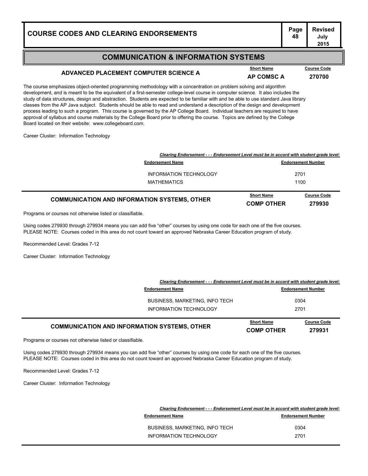#### **COMMUNICATION & INFORMATION SYSTEMS**

### **ADVANCED PLACEMENT COMPUTER SCIENCE A AP COMSC A <sup>270700</sup>**

The course emphasizes object-oriented programming methodology with a concentration on problem solving and algorithm development, and is meant to be the equivalent of a first-semester college-level course in computer science. It also includes the study of data structures, design and abstraction. Students are expected to be familiar with and be able to use standard Java library classes from the AP Java subject. Students should be able to read and understand a description of the design and development process leading to such a program. This course is governed by the AP College Board. Individual teachers are required to have approval of syllabus and course materials by the College Board prior to offering the course. Topics are defined by the College Board located on their website: www.collegeboard.com.

Career Cluster: Information Technology

| Clearing Endorsement - - - Endorsement Level must be in accord with student grade level: |                                        |                              |
|------------------------------------------------------------------------------------------|----------------------------------------|------------------------------|
| <b>Endorsement Name</b>                                                                  |                                        | <b>Endorsement Number</b>    |
| INFORMATION TECHNOLOGY                                                                   |                                        | 2701                         |
| MATHEMATICS                                                                              | 1100                                   |                              |
| <b>COMMUNICATION AND INFORMATION SYSTEMS, OTHER</b>                                      | <b>Short Name</b><br><b>COMP OTHER</b> | <b>Course Code</b><br>279930 |

Programs or courses not otherwise listed or classifiable.

Using codes 279930 through 279934 means you can add five "other" courses by using one code for each one of the five courses. PLEASE NOTE: Courses coded in this area do not count toward an approved Nebraska Career Education program of study.

Recommended Level: Grades 7-12

Career Cluster: Information Technology

| <b>COMMUNICATION AND INFORMATION SYSTEMS, OTHER</b>                                      | <b>Short Name</b><br><b>COMP OTHER</b> | <b>Course Code</b><br>279931 |
|------------------------------------------------------------------------------------------|----------------------------------------|------------------------------|
| INFORMATION TECHNOLOGY                                                                   |                                        | 2701                         |
| <b>BUSINESS, MARKETING, INFO TECH</b>                                                    |                                        | 0304                         |
| <b>Endorsement Name</b>                                                                  |                                        | <b>Endorsement Number</b>    |
| Clearing Endorsement - - - Endorsement Level must be in accord with student grade level: |                                        |                              |

Programs or courses not otherwise listed or classifiable.

Using codes 279930 through 279934 means you can add five "other" courses by using one code for each one of the five courses. PLEASE NOTE: Courses coded in this area do not count toward an approved Nebraska Career Education program of study.

Recommended Level: Grades 7-12

Career Cluster: Information Technology

|                                       | Clearing Endorsement - - - Endorsement Level must be in accord with student grade level: |  |  |
|---------------------------------------|------------------------------------------------------------------------------------------|--|--|
| <b>Endorsement Name</b>               | <b>Endorsement Number</b>                                                                |  |  |
| <b>BUSINESS, MARKETING, INFO TECH</b> | 0304                                                                                     |  |  |
| <b>INFORMATION TECHNOLOGY</b>         | 2701                                                                                     |  |  |
|                                       |                                                                                          |  |  |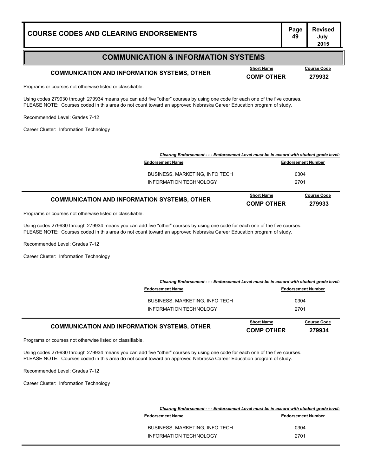#### **COMMUNICATION & INFORMATION SYSTEMS**

### **COMMUNICATION AND INFORMATION SYSTEMS, OTHER COMP OTHER COMP OTHER 279932**

**Course Code** 

Programs or courses not otherwise listed or classifiable.

Using codes 279930 through 279934 means you can add five "other" courses by using one code for each one of the five courses. PLEASE NOTE: Courses coded in this area do not count toward an approved Nebraska Career Education program of study.

Recommended Level: Grades 7-12

Career Cluster: Information Technology

| BUSINESS, MARKETING, INFO TECH                      |                   | 0304               |
|-----------------------------------------------------|-------------------|--------------------|
| INFORMATION TECHNOLOGY                              |                   | 2701               |
|                                                     |                   |                    |
| <b>COMMUNICATION AND INFORMATION SYSTEMS, OTHER</b> | <b>Short Name</b> | <b>Course Code</b> |
|                                                     | <b>COMP OTHER</b> | 279933             |

Programs or courses not otherwise listed or classifiable.

Using codes 279930 through 279934 means you can add five "other" courses by using one code for each one of the five courses. PLEASE NOTE: Courses coded in this area do not count toward an approved Nebraska Career Education program of study.

Recommended Level: Grades 7-12

Career Cluster: Information Technology

| <b>COMMUNICATION AND INFORMATION SYSTEMS, OTHER</b>                                      | <b>Short Name</b><br><b>COMP OTHER</b> | <b>Course Code</b><br>279934 |
|------------------------------------------------------------------------------------------|----------------------------------------|------------------------------|
| INFORMATION TECHNOLOGY                                                                   |                                        | 2701                         |
| <b>BUSINESS, MARKETING, INFO TECH</b>                                                    |                                        | 0304                         |
| <b>Endorsement Name</b>                                                                  |                                        | <b>Endorsement Number</b>    |
| Clearing Endorsement - - - Endorsement Level must be in accord with student grade level: |                                        |                              |

Programs or courses not otherwise listed or classifiable.

Using codes 279930 through 279934 means you can add five "other" courses by using one code for each one of the five courses. PLEASE NOTE: Courses coded in this area do not count toward an approved Nebraska Career Education program of study.

Recommended Level: Grades 7-12

Career Cluster: Information Technology

| Clearing Endorsement - - - Endorsement Level must be in accord with student grade level: |                           |  |
|------------------------------------------------------------------------------------------|---------------------------|--|
| <b>Endorsement Name</b>                                                                  | <b>Endorsement Number</b> |  |
| <b>BUSINESS, MARKETING, INFO TECH</b>                                                    | 0304                      |  |
| INFORMATION TECHNOLOGY                                                                   | 2701                      |  |
|                                                                                          |                           |  |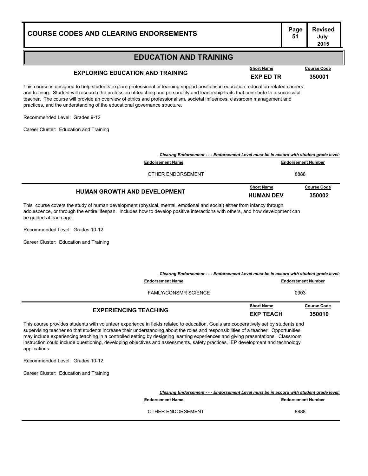#### **EDUCATION AND TRAINING**

## **EXPLORING EDUCATION AND TRAINING EXPLORING EXP ED TR 350001**

This course is designed to help students explore professional or learning support positions in education, education-related careers and training. Student will research the profession of teaching and personality and leadership traits that contribute to a successful teacher. The course will provide an overview of ethics and professionalism, societal influences, classroom management and practices, and the understanding of the educational governance structure.

Recommended Level: Grades 9-12

Career Cluster: Education and Training

| <b>HUMAN GROWTH AND DEVELOPMENT</b>                                                      | <b>Short Name</b><br><b>HUMAN DEV</b> | <b>Course Code</b><br>350002 |
|------------------------------------------------------------------------------------------|---------------------------------------|------------------------------|
| OTHER ENDORSEMENT                                                                        | 8888                                  |                              |
| <b>Endorsement Name</b>                                                                  | <b>Endorsement Number</b>             |                              |
| Clearing Endorsement - - - Endorsement Level must be in accord with student grade level: |                                       |                              |

This course covers the study of human development (physical, mental, emotional and social) either from infancy through adolescence, or through the entire lifespan. Includes how to develop positive interactions with others, and how development can be guided at each age.

Recommended Level: Grades 10-12

Career Cluster: Education and Training

| Clearing Endorsement - - - Endorsement Level must be in accord with student grade level: |                                       |                              |
|------------------------------------------------------------------------------------------|---------------------------------------|------------------------------|
| <b>Endorsement Name</b>                                                                  |                                       | <b>Endorsement Number</b>    |
| <b>FAMLY/CONSMR SCIENCE</b>                                                              | 0903                                  |                              |
| <b>EXPERIENCING TEACHING</b>                                                             | <b>Short Name</b><br><b>EXP TEACH</b> | <b>Course Code</b><br>350010 |

This course provides students with volunteer experience in fields related to education. Goals are cooperatively set by students and supervising teacher so that students increase their understanding about the roles and responsibilities of a teacher. Opportunities may include experiencing teaching in a controlled setting by designing learning experiences and giving presentations. Classroom instruction could include questioning, developing objectives and assessments, safety practices, IEP development and technology applications.

Recommended Level: Grades 10-12

Career Cluster: Education and Training

*Clearing Endorsement - - - Endorsement Level must be in accord with student grade level:* **Endorsement Name Endorsement Number Endorsement Number** OTHER ENDORSEMENT 8888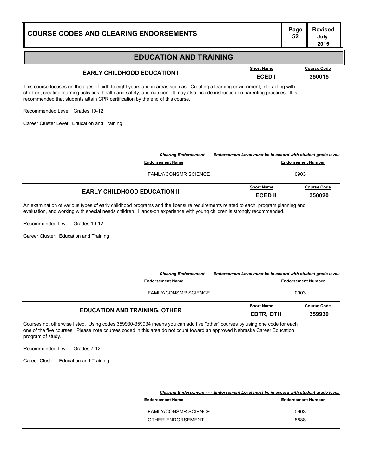| <u>COURSE CODES AND CLEARING ENDORSEMENTS</u>                                                                                                                                                                                                                                                                                                                                                                                                  |                                                                                                                     |  | 52                        | July<br>2015       |
|------------------------------------------------------------------------------------------------------------------------------------------------------------------------------------------------------------------------------------------------------------------------------------------------------------------------------------------------------------------------------------------------------------------------------------------------|---------------------------------------------------------------------------------------------------------------------|--|---------------------------|--------------------|
|                                                                                                                                                                                                                                                                                                                                                                                                                                                | <b>EDUCATION AND TRAINING</b>                                                                                       |  |                           |                    |
| <b>Short Name</b><br><b>EARLY CHILDHOOD EDUCATION I</b><br>ECED I                                                                                                                                                                                                                                                                                                                                                                              |                                                                                                                     |  |                           | <b>Course Code</b> |
|                                                                                                                                                                                                                                                                                                                                                                                                                                                |                                                                                                                     |  | 350015                    |                    |
| This course focuses on the ages of birth to eight years and in areas such as: Creating a learning environment, interacting with<br>children, creating learning activities, health and safety, and nutrition. It may also include instruction on parenting practices. It is<br>recommended that students attain CPR certification by the end of this course.<br>Recommended Level: Grades 10-12<br>Career Cluster Level: Education and Training |                                                                                                                     |  |                           |                    |
|                                                                                                                                                                                                                                                                                                                                                                                                                                                | Clearing Endorsement - - - Endorsement Level must be in accord with student grade level:<br><b>Endorsement Name</b> |  | <b>Endorsement Number</b> |                    |
|                                                                                                                                                                                                                                                                                                                                                                                                                                                | <b>FAMLY/CONSMR SCIENCE</b>                                                                                         |  | 0903                      |                    |
|                                                                                                                                                                                                                                                                                                                                                                                                                                                |                                                                                                                     |  |                           |                    |

**Page Revised**

|                                     | <b>Short Name</b> | <b>Course Code</b> |
|-------------------------------------|-------------------|--------------------|
| <b>EARLY CHILDHOOD EDUCATION II</b> | <b>ECED II</b>    | 350020             |

An examination of various types of early childhood programs and the licensure requirements related to each, program planning and evaluation, and working with special needs children. Hands-on experience with young children is strongly recommended.

Recommended Level: Grades 10-12

Career Cluster: Education and Training

| Clearing Endorsement - - - Endorsement Level must be in accord with student grade level: |                                |                              |
|------------------------------------------------------------------------------------------|--------------------------------|------------------------------|
| <b>Endorsement Name</b>                                                                  |                                | <b>Endorsement Number</b>    |
| <b>FAMLY/CONSMR SCIENCE</b>                                                              |                                | 0903                         |
| <b>EDUCATION AND TRAINING, OTHER</b>                                                     | <b>Short Name</b><br>EDTR, OTH | <b>Course Code</b><br>359930 |

Courses not otherwise listed. Using codes 359930-359934 means you can add five "other" courses by using one code for each one of the five courses. Please note courses coded in this area do not count toward an approved Nebraska Career Education program of study.

Recommended Level: Grades 7-12

Career Cluster: Education and Training

| Clearing Endorsement - - - Endorsement Level must be in accord with student grade level: |                           |
|------------------------------------------------------------------------------------------|---------------------------|
| <b>Endorsement Name</b>                                                                  | <b>Endorsement Number</b> |
| <b>FAMLY/CONSMR SCIENCE</b>                                                              | 0903                      |
| OTHER ENDORSEMENT                                                                        | 8888                      |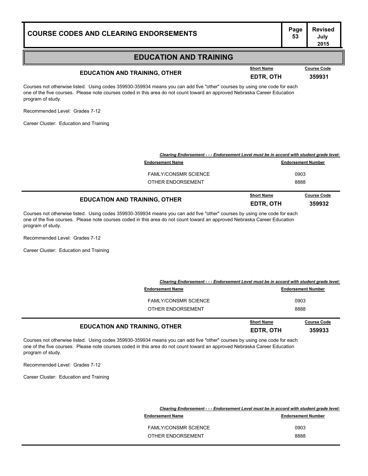#### **EDUCATION AND TRAINING**

## **EDUCATION AND TRAINING, OTHER EDUCATION AND TRAINING, OTHER EDTR, OTH 359931**

**Course Code** 

Courses not otherwise listed. Using codes 359930-359934 means you can add five "other" courses by using one code for each one of the five courses. Please note courses coded in this area do not count toward an approved Nebraska Career Education program of study.

Recommended Level: Grades 7-12

Career Cluster: Education and Training

| Clearing Endorsement - - - Endorsement Level must be in accord with student grade level: |                   |                           |
|------------------------------------------------------------------------------------------|-------------------|---------------------------|
| <b>Endorsement Name</b>                                                                  |                   | <b>Endorsement Number</b> |
| <b>FAMLY/CONSMR SCIENCE</b>                                                              |                   | 0903                      |
| OTHER ENDORSEMENT                                                                        |                   | 8888                      |
|                                                                                          | <b>Short Name</b> | <b>Course Code</b>        |
| <b>EDUCATION AND TRAINING, OTHER</b>                                                     | EDTR, OTH         | 359932                    |

Courses not otherwise listed. Using codes 359930-359934 means you can add five "other" courses by using one code for each one of the five courses. Please note courses coded in this area do not count toward an approved Nebraska Career Education program of study.

Recommended Level: Grades 7-12

Career Cluster: Education and Training

| <b>EDUCATION AND TRAINING, OTHER</b>                                                     | <b>Short Name</b><br>EDTR, OTH | <b>Course Code</b><br>359933 |
|------------------------------------------------------------------------------------------|--------------------------------|------------------------------|
| OTHER ENDORSEMENT                                                                        |                                | 8888                         |
| <b>FAMLY/CONSMR SCIENCE</b>                                                              |                                | 0903                         |
| <b>Endorsement Name</b>                                                                  |                                | <b>Endorsement Number</b>    |
| Clearing Endorsement - - - Endorsement Level must be in accord with student grade level: |                                |                              |

Courses not otherwise listed. Using codes 359930-359934 means you can add five "other" courses by using one code for each one of the five courses. Please note courses coded in this area do not count toward an approved Nebraska Career Education program of study.

Recommended Level: Grades 7-12

Career Cluster: Education and Training

| Clearing Endorsement - - - Endorsement Level must be in accord with student grade level: |  |
|------------------------------------------------------------------------------------------|--|
| <b>Endorsement Number</b>                                                                |  |
| 0903                                                                                     |  |
| 8888                                                                                     |  |
|                                                                                          |  |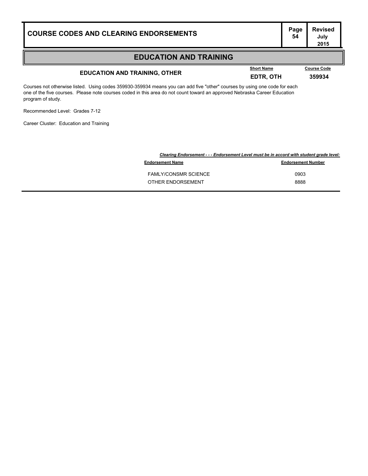| <b>COURSE CODES AND CLEARING ENDORSEMENTS</b> | I ' ug'<br>- 54 |
|-----------------------------------------------|-----------------|
|                                               |                 |

#### **EDUCATION AND TRAINING**

## **EDUCATION AND TRAINING, OTHER EDUCATION AND TRAINING, OTHER EDTR, OTH 359934**

**Course Code** 

Courses not otherwise listed. Using codes 359930-359934 means you can add five "other" courses by using one code for each one of the five courses. Please note courses coded in this area do not count toward an approved Nebraska Career Education program of study.

Recommended Level: Grades 7-12

Career Cluster: Education and Training

|                             | Clearing Endorsement - - - Endorsement Level must be in accord with student grade level: |  |
|-----------------------------|------------------------------------------------------------------------------------------|--|
| <b>Endorsement Name</b>     | <b>Endorsement Number</b>                                                                |  |
| <b>FAMLY/CONSMR SCIENCE</b> | 0903                                                                                     |  |
| OTHER ENDORSEMENT           | 8888                                                                                     |  |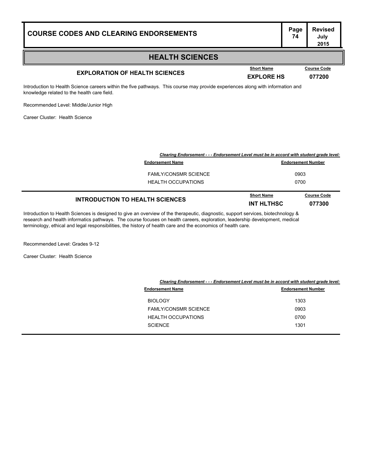#### **HEALTH SCIENCES**

## **EXPLORATION OF HEALTH SCIENCES EXPLORE HS 177200**

**Course Code** 

Introduction to Health Science careers within the five pathways. This course may provide experiences along with information and knowledge related to the health care field.

Recommended Level: Middle/Junior High

Career Cluster: Health Science

| Clearing Endorsement - - - Endorsement Level must be in accord with student grade level: |                                        |                              |
|------------------------------------------------------------------------------------------|----------------------------------------|------------------------------|
| <b>Endorsement Name</b>                                                                  |                                        | <b>Endorsement Number</b>    |
| <b>FAMLY/CONSMR SCIENCE</b>                                                              |                                        | 0903                         |
| <b>HEALTH OCCUPATIONS</b>                                                                | 0700                                   |                              |
| <b>INTRODUCTION TO HEALTH SCIENCES</b>                                                   | <b>Short Name</b><br><b>INT HLTHSC</b> | <b>Course Code</b><br>077300 |

Introduction to Health Sciences is designed to give an overview of the therapeutic, diagnostic, support services, biotechnology & research and health informatics pathways. The course focuses on health careers, exploration, leadership development, medical terminology, ethical and legal responsibilities, the history of health care and the economics of health care.

Recommended Level: Grades 9-12

Career Cluster: Health Science

| Clearing Endorsement - - - Endorsement Level must be in accord with student grade level: |                           |  |
|------------------------------------------------------------------------------------------|---------------------------|--|
| <b>Endorsement Name</b>                                                                  | <b>Endorsement Number</b> |  |
| <b>BIOLOGY</b>                                                                           | 1303                      |  |
| <b>FAMLY/CONSMR SCIENCE</b>                                                              | 0903                      |  |
| <b>HEALTH OCCUPATIONS</b>                                                                | 0700                      |  |
| <b>SCIENCE</b>                                                                           | 1301                      |  |
|                                                                                          |                           |  |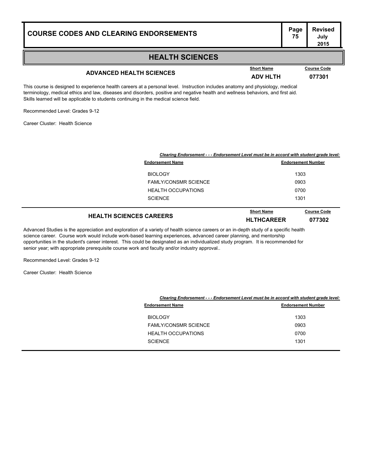#### **HEALTH SCIENCES**

## **ADVANCED HEALTH SCIENCES ADV HLTH <sup>077301</sup>**

**Course Code** 

This course is designed to experience health careers at a personal level. Instruction includes anatomy and physiology, medical terminology, medical ethics and law, diseases and disorders, positive and negative health and wellness behaviors, and first aid. Skills learned will be applicable to students continuing in the medical science field.

Recommended Level: Grades 9-12

Career Cluster: Health Science

| Clearing Endorsement - - - Endorsement Level must be in accord with student grade level: |                           |  |
|------------------------------------------------------------------------------------------|---------------------------|--|
| <b>Endorsement Name</b>                                                                  | <b>Endorsement Number</b> |  |
| <b>BIOLOGY</b>                                                                           | 1303                      |  |
| <b>FAMLY/CONSMR SCIENCE</b>                                                              | 0903                      |  |
| <b>HEALTH OCCUPATIONS</b>                                                                | 0700                      |  |
| <b>SCIENCE</b>                                                                           | 1301                      |  |
|                                                                                          | .                         |  |

#### **HEALTH SCIENCES CAREERS HLTHCAREER <sup>077302</sup> Course Code**

Advanced Studies is the appreciation and exploration of a variety of health science careers or an in-depth study of a specific health science career. Course work would include work-based learning experiences, advanced career planning, and mentorship opportunities in the student's career interest. This could be designated as an individualized study program. It is recommended for senior year; with appropriate prerequisite course work and faculty and/or industry approval..

Recommended Level: Grades 9-12

Career Cluster: Health Science

| Clearing Endorsement - - - Endorsement Level must be in accord with student grade level: |      |  |
|------------------------------------------------------------------------------------------|------|--|
| <b>Endorsement Number</b><br><b>Endorsement Name</b>                                     |      |  |
| <b>BIOLOGY</b>                                                                           | 1303 |  |
| <b>FAMLY/CONSMR SCIENCE</b>                                                              | 0903 |  |
| <b>HEALTH OCCUPATIONS</b>                                                                | 0700 |  |
| <b>SCIENCE</b>                                                                           | 1301 |  |
|                                                                                          |      |  |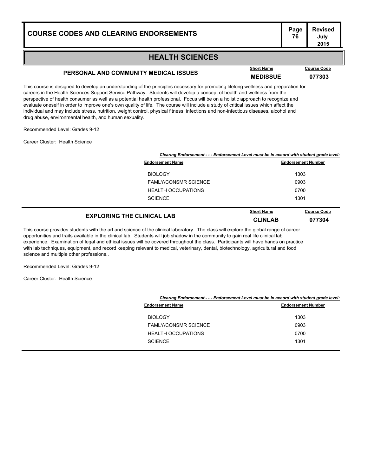#### **Page Revised July 2015**

#### **HEALTH SCIENCES**

## **PERSONAL AND COMMUNITY MEDICAL ISSUES MEDISSUE <sup>077303</sup>**

This course is designed to develop an understanding of the principles necessary for promoting lifelong wellness and preparation for careers in the Health Sciences Support Service Pathway. Students will develop a concept of health and wellness from the perspective of health consumer as well as a potential health professional. Focus will be on a holistic approach to recognize and evaluate oneself in order to improve one's own quality of life. The course will include a study of critical issues which affect the individual and may include stress, nutrition, weight control, physical fitness, infections and non-infectious diseases, alcohol and drug abuse, environmental health, and human sexuality.

Recommended Level: Grades 9-12

Career Cluster: Health Science

|                             | Clearing Endorsement - - - Endorsement Level must be in accord with student grade level: |  |
|-----------------------------|------------------------------------------------------------------------------------------|--|
| <b>Endorsement Name</b>     | <b>Endorsement Number</b>                                                                |  |
| <b>BIOLOGY</b>              | 1303                                                                                     |  |
| <b>FAMLY/CONSMR SCIENCE</b> | 0903                                                                                     |  |
| <b>HEALTH OCCUPATIONS</b>   | 0700                                                                                     |  |
| <b>SCIENCE</b>              | 1301                                                                                     |  |
|                             | <b>Short Name</b><br><b>Course Code</b>                                                  |  |

| Course Code |
|-------------|
| 077304      |
|             |

This course provides students with the art and science of the clinical laboratory. The class will explore the global range of career opportunities and traits available in the clinical lab. Students will job shadow in the community to gain real life clinical lab experience. Examination of legal and ethical issues will be covered throughout the class. Participants will have hands on practice with lab techniques, equipment, and record keeping relevant to medical, veterinary, dental, biotechnology, agricultural and food science and multiple other professions..

Recommended Level: Grades 9-12

Career Cluster: Health Science

|                             | Clearing Endorsement - - - Endorsement Level must be in accord with student grade level: |  |  |
|-----------------------------|------------------------------------------------------------------------------------------|--|--|
| <b>Endorsement Name</b>     | <b>Endorsement Number</b>                                                                |  |  |
| <b>BIOLOGY</b>              | 1303                                                                                     |  |  |
| <b>FAMLY/CONSMR SCIENCE</b> | 0903                                                                                     |  |  |
| <b>HEALTH OCCUPATIONS</b>   | 0700                                                                                     |  |  |
| <b>SCIENCE</b>              | 1301                                                                                     |  |  |
|                             |                                                                                          |  |  |

| ort Name |  |  |  |  |  |
|----------|--|--|--|--|--|
|          |  |  |  |  |  |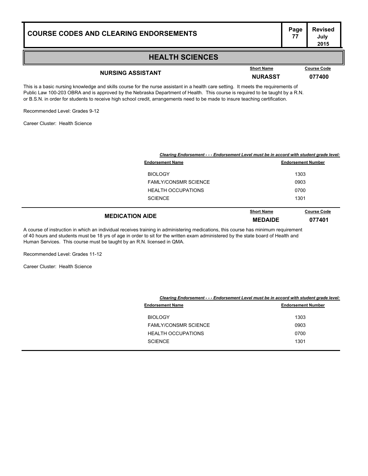#### **HEALTH SCIENCES**

## **NURSING ASSISTANT NURASST <sup>077400</sup>**

This is a basic nursing knowledge and skills course for the nurse assistant in a health care setting. It meets the requirements of Public Law 100-203 OBRA and is approved by the Nebraska Department of Health. This course is required to be taught by a R.N. or B.S.N. in order for students to receive high school credit, arrangements need to be made to insure teaching certification.

Recommended Level: Grades 9-12

Career Cluster: Health Science

|                             | Clearing Endorsement - - - Endorsement Level must be in accord with student grade level: |                              |  |  |
|-----------------------------|------------------------------------------------------------------------------------------|------------------------------|--|--|
| <b>Endorsement Name</b>     |                                                                                          | <b>Endorsement Number</b>    |  |  |
| <b>BIOLOGY</b>              |                                                                                          | 1303                         |  |  |
| <b>FAMLY/CONSMR SCIENCE</b> | 0903                                                                                     |                              |  |  |
| <b>HEALTH OCCUPATIONS</b>   |                                                                                          | 0700                         |  |  |
| <b>SCIENCE</b>              |                                                                                          | 1301                         |  |  |
| <b>MEDICATION AIDE</b>      | <b>Short Name</b><br><b>MEDAIDE</b>                                                      | <b>Course Code</b><br>077401 |  |  |

A course of instruction in which an individual receives training in administering medications, this course has minimum requirement of 40 hours and students must be 18 yrs of age in order to sit for the written exam administered by the state board of Health and Human Services. This course must be taught by an R.N. licensed in QMA.

Recommended Level: Grades 11-12

Career Cluster: Health Science

| Clearing Endorsement - - - Endorsement Level must be in accord with student grade level: |                           |  |
|------------------------------------------------------------------------------------------|---------------------------|--|
| <b>Endorsement Name</b>                                                                  | <b>Endorsement Number</b> |  |
| <b>BIOLOGY</b>                                                                           | 1303                      |  |
| <b>FAMLY/CONSMR SCIENCE</b>                                                              | 0903                      |  |
| <b>HEALTH OCCUPATIONS</b>                                                                | 0700                      |  |
| <b>SCIENCE</b>                                                                           | 1301                      |  |
|                                                                                          |                           |  |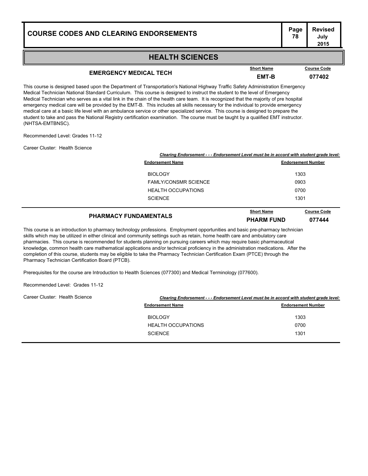#### **HEALTH SCIENCES**

## **EMERGENCY MEDICAL TECH EMT-B <sup>077402</sup>**

This course is designed based upon the Department of Transportation's National Highway Traffic Safety Administration Emergency Medical Technician National Standard Curriculum. This course is designed to instruct the student to the level of Emergency Medical Technician who serves as a vital link in the chain of the health care team. It is recognized that the majority of pre hospital emergency medical care will be provided by the EMT-B. This includes all skills necessary for the individual to provide emergency medical care at a basic life level with an ambulance service or other specialized service. This course is designed to prepare the student to take and pass the National Registry certification examination. The course must be taught by a qualified EMT instructor. (NHTSA-EMTBNSC).

Recommended Level: Grades 11-12

Career Cluster: Health Science

| Clearing Endorsement - - - Endorsement Level must be in accord with student grade level: |                                         |  |
|------------------------------------------------------------------------------------------|-----------------------------------------|--|
| <b>Endorsement Name</b>                                                                  | <b>Endorsement Number</b>               |  |
| <b>BIOLOGY</b>                                                                           | 1303                                    |  |
| <b>FAMLY/CONSMR SCIENCE</b>                                                              | 0903                                    |  |
| <b>HEALTH OCCUPATIONS</b>                                                                | 0700                                    |  |
| <b>SCIENCE</b>                                                                           | 1301                                    |  |
|                                                                                          | <b>Short Name</b><br><b>Course Code</b> |  |

| <b>PHARMACY FUNDAMENTALS</b> | <b>Short Name</b> | <b>Course Code</b> |
|------------------------------|-------------------|--------------------|
|                              | <b>PHARM FUND</b> | 077444             |

This course is an introduction to pharmacy technology professions. Employment opportunities and basic pre-pharmacy technician skills which may be utilized in either clinical and community settings such as retain, home health care and ambulatory care pharmacies. This course is recommended for students planning on pursuing careers which may require basic pharmaceutical knowledge, common health care mathematical applications and/or technical proficiency in the administration medications. After the completion of this course, students may be eligible to take the Pharmacy Technician Certification Exam (PTCE) through the Pharmacy Technician Certification Board (PTCB).

Prerequisites for the course are Introduction to Health Sciences (077300) and Medical Terminology (077600).

Recommended Level: Grades 11-12

| Career Cluster: Health Science | Clearing Endorsement - - - Endorsement Level must be in accord with student grade level: |                           |  |  |
|--------------------------------|------------------------------------------------------------------------------------------|---------------------------|--|--|
|                                | <b>Endorsement Name</b>                                                                  | <b>Endorsement Number</b> |  |  |
|                                | <b>BIOLOGY</b>                                                                           | 1303                      |  |  |
|                                | <b>HEALTH OCCUPATIONS</b>                                                                | 0700                      |  |  |
|                                | <b>SCIENCE</b>                                                                           | 1301                      |  |  |
|                                |                                                                                          |                           |  |  |

#### **Short Name**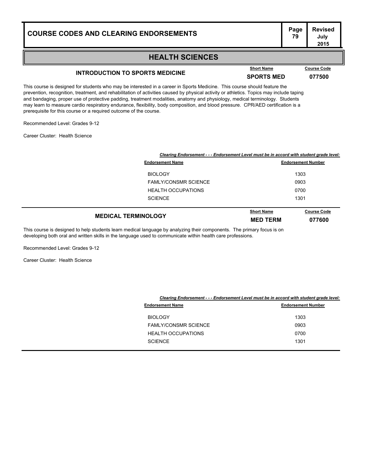#### **Page Revised July 2015**

#### **HEALTH SCIENCES**

## **INTRODUCTION TO SPORTS MEDICINE SPORTS MED <sup>077500</sup>**

This course is designed for students who may be interested in a career in Sports Medicine. This course should feature the prevention, recognition, treatment, and rehabilitation of activities caused by physical activity or athletics. Topics may include taping and bandaging, proper use of protective padding, treatment modalities, anatomy and physiology, medical terminology. Students may learn to measure cardio respiratory endurance, flexibility, body composition, and blood pressure. CPR/AED certification is a prerequisite for this course or a required outcome of the course.

Recommended Level: Grades 9-12

Career Cluster: Health Science

|                             | Clearing Endorsement - - - Endorsement Level must be in accord with student grade level: |                              |  |
|-----------------------------|------------------------------------------------------------------------------------------|------------------------------|--|
| <b>Endorsement Name</b>     |                                                                                          | <b>Endorsement Number</b>    |  |
| <b>BIOLOGY</b>              |                                                                                          | 1303                         |  |
| <b>FAMLY/CONSMR SCIENCE</b> |                                                                                          | 0903                         |  |
| <b>HEALTH OCCUPATIONS</b>   |                                                                                          | 0700                         |  |
| <b>SCIENCE</b>              |                                                                                          | 1301                         |  |
| <b>MEDICAL TERMINOLOGY</b>  | <b>Short Name</b><br><b>MED TERM</b>                                                     | <b>Course Code</b><br>077600 |  |

This course is designed to help students learn medical language by analyzing their components. The primary focus is on developing both oral and written skills in the language used to communicate within health care professions.

Recommended Level: Grades 9-12

Career Cluster: Health Science

|                             | Clearing Endorsement - - - Endorsement Level must be in accord with student grade level: |  |  |
|-----------------------------|------------------------------------------------------------------------------------------|--|--|
| <b>Endorsement Name</b>     | <b>Endorsement Number</b>                                                                |  |  |
| <b>BIOLOGY</b>              | 1303                                                                                     |  |  |
| <b>FAMLY/CONSMR SCIENCE</b> | 0903                                                                                     |  |  |
| <b>HEALTH OCCUPATIONS</b>   | 0700                                                                                     |  |  |
| <b>SCIENCE</b>              | 1301                                                                                     |  |  |
|                             |                                                                                          |  |  |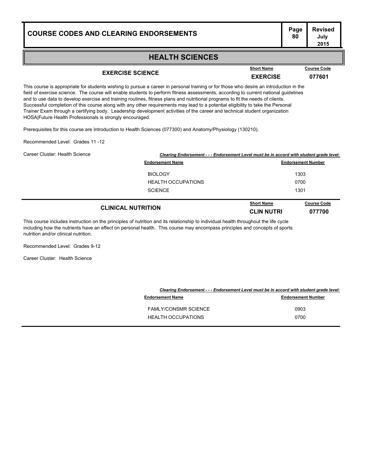#### **HEALTH SCIENCES**

### **EXERCISE SCIENCE EXERCISE <sup>077601</sup>**

**Short Name Course Code**

This course is appropriate for students wishing to pursue a career in personal training or for those who desire an introduction in the field of exercise science. The course will enable students to perform fitness assessments, according to current national guidelines and to use data to develop exercise and training routines, fitness plans and nutritional programs to fit the needs of clients. Successful completion of this course along with any other requirements may lead to a potential eligibility to take the Personal Trainer Exam through a certifying body. Leadership development activities of the career and technical student organization HOSA|Future Health Professionals is strongly encouraged.

Prerequisites for this course are Introduction to Health Sciences (077300) and Anatomy/Physiology (130210).

Recommended Level: Grades 11 -12

| Career Cluster: Health Science |  |
|--------------------------------|--|
|                                |  |

| ister: Health Science     | Clearing Endorsement - - - Endorsement Level must be in accord with student grade level: |                                        |                              |  |
|---------------------------|------------------------------------------------------------------------------------------|----------------------------------------|------------------------------|--|
|                           | <b>Endorsement Name</b>                                                                  |                                        | <b>Endorsement Number</b>    |  |
|                           | <b>BIOLOGY</b>                                                                           |                                        | 1303                         |  |
| <b>HEALTH OCCUPATIONS</b> |                                                                                          | 0700                                   |                              |  |
|                           | <b>SCIENCE</b>                                                                           |                                        | 1301                         |  |
|                           | <b>CLINICAL NUTRITION</b>                                                                | <b>Short Name</b><br><b>CLIN NUTRI</b> | <b>Course Code</b><br>077700 |  |

This course includes instruction on the principles of nutrition and its relationship to individual health throughout the life cycle including how the nutrients have an effect on personal health. This course may encompass principles and concepts of sports nutrition and/or clinical nutrition.

Recommended Level: Grades 9-12

Career Cluster: Health Science

|                             | Clearing Endorsement - - - Endorsement Level must be in accord with student grade level: |  |  |
|-----------------------------|------------------------------------------------------------------------------------------|--|--|
| <b>Endorsement Name</b>     | <b>Endorsement Number</b>                                                                |  |  |
| <b>FAMLY/CONSMR SCIENCE</b> | 0903                                                                                     |  |  |
| <b>HEALTH OCCUPATIONS</b>   | 0700                                                                                     |  |  |
|                             |                                                                                          |  |  |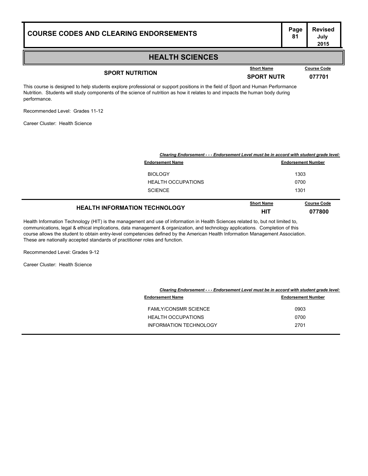#### **HEALTH SCIENCES**

## **SPORT NUTRITION SPORT NUTRITION SPORT NUTR 077701**

**Course Code** 

This course is designed to help students explore professional or support positions in the field of Sport and Human Performance Nutrition. Students will study components of the science of nutrition as how it relates to and impacts the human body during performance.

Recommended Level: Grades 11-12

Career Cluster: Health Science

|                                      | Clearing Endorsement - - - Endorsement Level must be in accord with student grade level: |                    |  |
|--------------------------------------|------------------------------------------------------------------------------------------|--------------------|--|
| <b>Endorsement Name</b>              | <b>Endorsement Number</b>                                                                |                    |  |
| <b>BIOLOGY</b>                       |                                                                                          | 1303               |  |
| <b>HEALTH OCCUPATIONS</b>            | 0700                                                                                     |                    |  |
| <b>SCIENCE</b>                       | 1301                                                                                     |                    |  |
| <b>HEALTH INFORMATION TECHNOLOGY</b> | <b>Short Name</b>                                                                        | <b>Course Code</b> |  |
|                                      | HIT                                                                                      | 077800             |  |

Health Information Technology (HIT) is the management and use of information in Health Sciences related to, but not limited to, communications, legal & ethical implications, data management & organization, and technology applications. Completion of this course allows the student to obtain entry-level competencies defined by the American Health Information Management Association. These are nationally accepted standards of practitioner roles and function.

Recommended Level: Grades 9-12

Career Cluster: Health Science

|                               | Clearing Endorsement - - - Endorsement Level must be in accord with student grade level: |  |
|-------------------------------|------------------------------------------------------------------------------------------|--|
| <b>Endorsement Name</b>       | <b>Endorsement Number</b>                                                                |  |
| <b>FAMLY/CONSMR SCIENCE</b>   | 0903                                                                                     |  |
| <b>HEALTH OCCUPATIONS</b>     | 0700                                                                                     |  |
| <b>INFORMATION TECHNOLOGY</b> | 2701                                                                                     |  |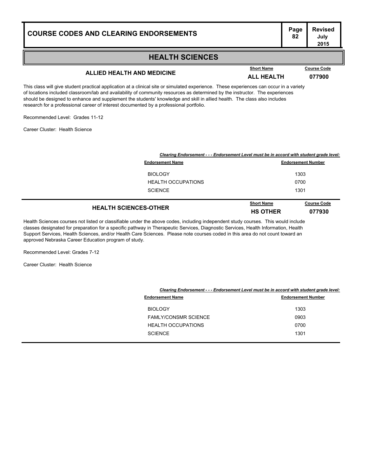#### **Page Revised July 2015**

#### **HEALTH SCIENCES**

## **ALLIED HEALTH AND MEDICINE ALL HEALTH <sup>077900</sup>**

This class will give student practical application at a clinical site or simulated experience. These experiences can occur in a variety of locations included classroom/lab and availability of community resources as determined by the instructor. The experiences should be designed to enhance and supplement the students' knowledge and skill in allied health. The class also includes research for a professional career of interest documented by a professional portfolio.

Recommended Level: Grades 11-12

Career Cluster: Health Science

|                              | Clearing Endorsement - - - Endorsement Level must be in accord with student grade level: |                              |  |
|------------------------------|------------------------------------------------------------------------------------------|------------------------------|--|
| <b>Endorsement Name</b>      |                                                                                          | <b>Endorsement Number</b>    |  |
| <b>BIOLOGY</b>               |                                                                                          | 1303                         |  |
| <b>HEALTH OCCUPATIONS</b>    | 0700                                                                                     |                              |  |
| <b>SCIENCE</b>               | 1301                                                                                     |                              |  |
| <b>HEALTH SCIENCES-OTHER</b> | <b>Short Name</b><br><b>HS OTHER</b>                                                     | <b>Course Code</b><br>077930 |  |

Health Sciences courses not listed or classifiable under the above codes, including independent study courses. This would include classes designated for preparation for a specific pathway in Therapeutic Services, Diagnostic Services, Health Information, Health Support Services, Health Sciences, and/or Health Care Sciences. Please note courses coded in this area do not count toward an approved Nebraska Career Education program of study.

Recommended Level: Grades 7-12

Career Cluster: Health Science

|                             | Clearing Endorsement - - - Endorsement Level must be in accord with student grade level: |  |
|-----------------------------|------------------------------------------------------------------------------------------|--|
| <b>Endorsement Name</b>     | <b>Endorsement Number</b>                                                                |  |
| <b>BIOLOGY</b>              | 1303                                                                                     |  |
| <b>FAMLY/CONSMR SCIENCE</b> | 0903                                                                                     |  |
| <b>HEALTH OCCUPATIONS</b>   | 0700                                                                                     |  |
| <b>SCIENCE</b>              | 1301                                                                                     |  |
|                             |                                                                                          |  |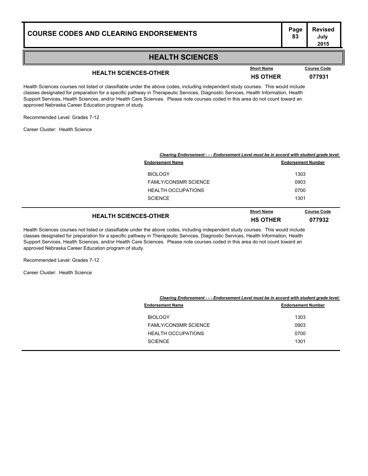#### **HEALTH SCIENCES**

## **HEALTH SCIENCES-OTHER HS OTHER <sup>077931</sup>**

Health Sciences courses not listed or classifiable under the above codes, including independent study courses. This would include classes designated for preparation for a specific pathway in Therapeutic Services, Diagnostic Services, Health Information, Health Support Services, Health Sciences, and/or Health Care Sciences. Please note courses coded in this area do not count toward an approved Nebraska Career Education program of study.

Recommended Level: Grades 7-12

Career Cluster: Health Science

| Clearing Endorsement - - - Endorsement Level must be in accord with student grade level: |                   |                           |
|------------------------------------------------------------------------------------------|-------------------|---------------------------|
| <b>Endorsement Name</b>                                                                  |                   | <b>Endorsement Number</b> |
| <b>BIOLOGY</b>                                                                           | 1303              |                           |
| <b>FAMLY/CONSMR SCIENCE</b>                                                              | 0903              |                           |
| <b>HEALTH OCCUPATIONS</b>                                                                | 0700              |                           |
| <b>SCIENCE</b>                                                                           | 1301              |                           |
|                                                                                          | <b>Short Name</b> | <b>Course Code</b>        |

| <b>HEALTH SCIENCES-OTHER</b> | <b>SHOLL NATHE</b> | <b>Course Coue</b> |
|------------------------------|--------------------|--------------------|
|                              | <b>HS OTHER</b>    | 077932             |
|                              |                    |                    |

Health Sciences courses not listed or classifiable under the above codes, including independent study courses. This would include classes designated for preparation for a specific pathway in Therapeutic Services, Diagnostic Services, Health Information, Health Support Services, Health Sciences, and/or Health Care Sciences. Please note courses coded in this area do not count toward an approved Nebraska Career Education program of study.

Recommended Level: Grades 7-12

Career Cluster: Health Science

|                             | Clearing Endorsement - - - Endorsement Level must be in accord with student grade level: |  |
|-----------------------------|------------------------------------------------------------------------------------------|--|
| <b>Endorsement Name</b>     | <b>Endorsement Number</b>                                                                |  |
| <b>BIOLOGY</b>              | 1303                                                                                     |  |
| <b>FAMLY/CONSMR SCIENCE</b> | 0903                                                                                     |  |
| <b>HEALTH OCCUPATIONS</b>   | 0700                                                                                     |  |
| <b>SCIENCE</b>              | 1301                                                                                     |  |
|                             |                                                                                          |  |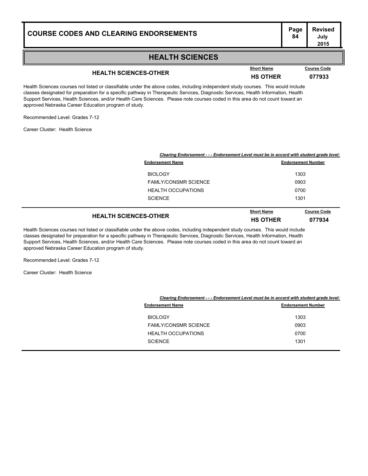#### **HEALTH SCIENCES**

## **HEALTH SCIENCES-OTHER HS OTHER <sup>077933</sup>**

Health Sciences courses not listed or classifiable under the above codes, including independent study courses. This would include classes designated for preparation for a specific pathway in Therapeutic Services, Diagnostic Services, Health Information, Health Support Services, Health Sciences, and/or Health Care Sciences. Please note courses coded in this area do not count toward an approved Nebraska Career Education program of study.

Recommended Level: Grades 7-12

Career Cluster: Health Science

| Clearing Endorsement - - - Endorsement Level must be in accord with student grade level: |                                      |                              |
|------------------------------------------------------------------------------------------|--------------------------------------|------------------------------|
| <b>Endorsement Name</b>                                                                  |                                      | <b>Endorsement Number</b>    |
| <b>BIOLOGY</b>                                                                           |                                      | 1303                         |
| <b>FAMLY/CONSMR SCIENCE</b>                                                              | 0903                                 |                              |
| <b>HEALTH OCCUPATIONS</b>                                                                | 0700                                 |                              |
| <b>SCIENCE</b>                                                                           | 1301                                 |                              |
| <b>HEALTH SCIENCES-OTHER</b>                                                             | <b>Short Name</b><br><b>HS OTHER</b> | <b>Course Code</b><br>077934 |

Health Sciences courses not listed or classifiable under the above codes, including independent study courses. This would include classes designated for preparation for a specific pathway in Therapeutic Services, Diagnostic Services, Health Information, Health Support Services, Health Sciences, and/or Health Care Sciences. Please note courses coded in this area do not count toward an approved Nebraska Career Education program of study.

Recommended Level: Grades 7-12

Career Cluster: Health Science

|                             | Clearing Endorsement - - - Endorsement Level must be in accord with student grade level: |  |
|-----------------------------|------------------------------------------------------------------------------------------|--|
| <b>Endorsement Name</b>     | <b>Endorsement Number</b>                                                                |  |
| <b>BIOLOGY</b>              | 1303                                                                                     |  |
| <b>FAMLY/CONSMR SCIENCE</b> | 0903                                                                                     |  |
| <b>HEALTH OCCUPATIONS</b>   | 0700                                                                                     |  |
| <b>SCIENCE</b>              | 1301                                                                                     |  |
|                             |                                                                                          |  |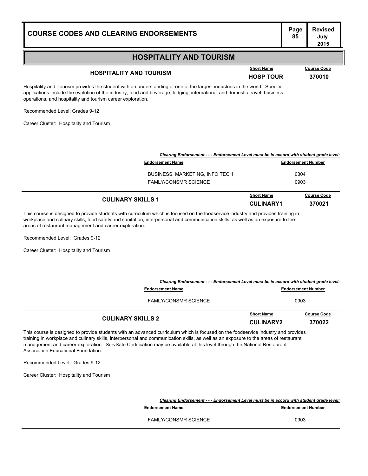| <b>COURSE CODES AND CLEARING ENDORSEMENTS</b> | יש ו ו<br>85 |
|-----------------------------------------------|--------------|
|                                               |              |

### **HOSPITALITY AND TOURISM**

## **HOSPITALITY AND TOURISM Example 10 Short Name Course Code 370010**

**Short Name Course Code**

Hospitality and Tourism provides the student with an understanding of one of the largest industries in the world. Specific applications include the evolution of the industry, food and beverage, lodging, international and domestic travel, business operations, and hospitality and tourism career exploration.

Recommended Level: Grades 9-12

Career Cluster: Hospitality and Tourism

| Clearing Endorsement - - - Endorsement Level must be in accord with student grade level: |                                       |                              |
|------------------------------------------------------------------------------------------|---------------------------------------|------------------------------|
| <b>Endorsement Name</b>                                                                  |                                       | <b>Endorsement Number</b>    |
| <b>BUSINESS, MARKETING, INFO TECH</b>                                                    |                                       | 0304                         |
| <b>FAMLY/CONSMR SCIENCE</b>                                                              |                                       | 0903                         |
| <b>CULINARY SKILLS 1</b>                                                                 | <b>Short Name</b><br><b>CULINARY1</b> | <b>Course Code</b><br>370021 |

This course is designed to provide students with curriculum which is focused on the foodservice industry and provides training in workplace and culinary skills, food safety and sanitation, interpersonal and communication skills, as well as an exposure to the areas of restaurant management and career exploration.

Recommended Level: Grades 9-12

Career Cluster: Hospitality and Tourism

| Clearing Endorsement - - - Endorsement Level must be in accord with student grade level:                                                                                                                                                                               |                                       |                              |
|------------------------------------------------------------------------------------------------------------------------------------------------------------------------------------------------------------------------------------------------------------------------|---------------------------------------|------------------------------|
| <b>Endorsement Name</b>                                                                                                                                                                                                                                                |                                       | <b>Endorsement Number</b>    |
| <b>FAMLY/CONSMR SCIENCE</b>                                                                                                                                                                                                                                            |                                       | 0903                         |
| <b>CULINARY SKILLS 2</b>                                                                                                                                                                                                                                               | <b>Short Name</b><br><b>CULINARY2</b> | <b>Course Code</b><br>370022 |
| This course is designed to provide students with an advanced curriculum which is focused on the foodservice industry and provides<br>natata da coadrafese sed soltase shille, tanseseasa e ad secuendo antes shille, se coall es se sorre na ne se sesse afrasteciment |                                       |                              |

training in workplace and culinary skills, interpersonal and communication skills, as well as an exposure to the areas of restaurant management and career exploration. ServSafe Certification may be available at this level through the National Restaurant Association Educational Foundation.

Recommended Level: Grades 9-12

Career Cluster: Hospitality and Tourism

| Clearing Endorsement - - - Endorsement Level must be in accord with student grade level: |                           |
|------------------------------------------------------------------------------------------|---------------------------|
| <b>Endorsement Name</b>                                                                  | <b>Endorsement Number</b> |
| <b>FAMLY/CONSMR SCIENCE</b>                                                              | 0903                      |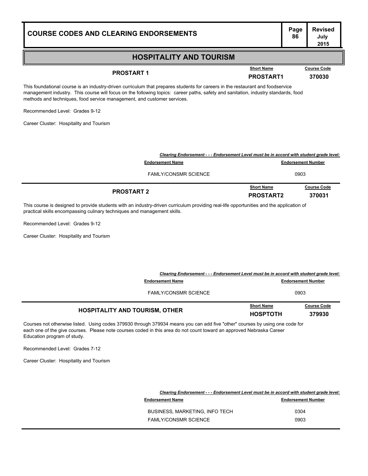### **HOSPITALITY AND TOURISM**

This foundational course is an industry-driven curriculum that prepares students for careers in the restaurant and foodservice management industry. This course will focus on the following topics: career paths, safety and sanitation, industry standards, food methods and techniques, food service management, and customer services.

**COURSE CODES AND CLEARING ENDORSEMENTS<sup>86</sup>**

Recommended Level: Grades 9-12

Career Cluster: Hospitality and Tourism

| Clearing Endorsement - - - Endorsement Level must be in accord with student grade level: |                                       |                              |
|------------------------------------------------------------------------------------------|---------------------------------------|------------------------------|
| <b>Endorsement Name</b>                                                                  |                                       | <b>Endorsement Number</b>    |
| <b>FAMLY/CONSMR SCIENCE</b>                                                              |                                       | 0903                         |
| <b>PROSTART 2</b>                                                                        | <b>Short Name</b><br><b>PROSTART2</b> | <b>Course Code</b><br>370031 |

This course is designed to provide students with an industry-driven curriculum providing real-life opportunities and the application of practical skills encompassing culinary techniques and management skills.

Recommended Level: Grades 9-12

Career Cluster: Hospitality and Tourism

| Clearing Endorsement - - - Endorsement Level must be in accord with student grade level:<br><b>Endorsement Name</b> |                                      | <b>Endorsement Number</b>    |
|---------------------------------------------------------------------------------------------------------------------|--------------------------------------|------------------------------|
| <b>FAMLY/CONSMR SCIENCE</b>                                                                                         |                                      | 0903                         |
| <b>HOSPITALITY AND TOURISM, OTHER</b>                                                                               | <b>Short Name</b><br><b>HOSPTOTH</b> | <b>Course Code</b><br>379930 |

Courses not otherwise listed. Using codes 379930 through 379934 means you can add five "other" courses by using one code for each one of the give courses. Please note courses coded in this area do not count toward an approved Nebraska Career Education program of study.

Recommended Level: Grades 7-12

Career Cluster: Hospitality and Tourism

| Clearing Endorsement - - - Endorsement Level must be in accord with student grade level: |                           |
|------------------------------------------------------------------------------------------|---------------------------|
| <b>Endorsement Name</b>                                                                  | <b>Endorsement Number</b> |
| BUSINESS, MARKETING, INFO TECH                                                           | 0304                      |
| <b>FAMLY/CONSMR SCIENCE</b>                                                              | 0903                      |

**Page Revised July 2015**

**PROSTART 1 PROSTART 1 PROSTART1 370030**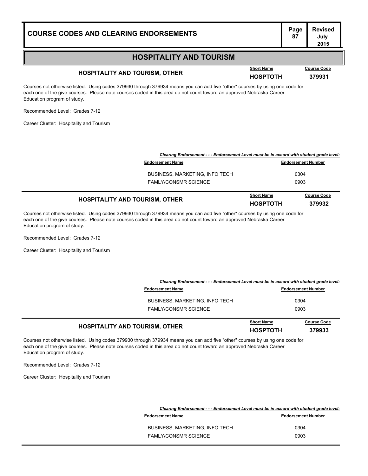#### **HOSPITALITY AND TOURISM**

## **HOSPITALITY AND TOURISM, OTHER HOSPTOTH <sup>379931</sup>**

**Short Name Course Code**

Courses not otherwise listed. Using codes 379930 through 379934 means you can add five "other" courses by using one code for each one of the give courses. Please note courses coded in this area do not count toward an approved Nebraska Career Education program of study.

Recommended Level: Grades 7-12

Career Cluster: Hospitality and Tourism

| <b>HOSPITALITY AND TOURISM, OTHER</b>                                                    | <b>Short Name</b><br><b>HOSPTOTH</b> | <b>Course Code</b><br>379932 |
|------------------------------------------------------------------------------------------|--------------------------------------|------------------------------|
| <b>FAMLY/CONSMR SCIENCE</b>                                                              |                                      | 0903                         |
| <b>BUSINESS, MARKETING, INFO TECH</b>                                                    |                                      | 0304                         |
| <b>Endorsement Name</b>                                                                  |                                      | <b>Endorsement Number</b>    |
| Clearing Endorsement - - - Endorsement Level must be in accord with student grade level: |                                      |                              |

Courses not otherwise listed. Using codes 379930 through 379934 means you can add five "other" courses by using one code for each one of the give courses. Please note courses coded in this area do not count toward an approved Nebraska Career Education program of study.

Recommended Level: Grades 7-12

Career Cluster: Hospitality and Tourism

| <b>HOSPITALITY AND TOURISM, OTHER</b>                                                    | <b>Short Name</b><br><b>HOSPTOTH</b> | <b>Course Code</b><br>379933 |
|------------------------------------------------------------------------------------------|--------------------------------------|------------------------------|
| <b>FAMLY/CONSMR SCIENCE</b>                                                              |                                      | 0903                         |
| BUSINESS, MARKETING, INFO TECH                                                           |                                      | 0304                         |
| <b>Endorsement Name</b>                                                                  |                                      | <b>Endorsement Number</b>    |
| Clearing Endorsement - - - Endorsement Level must be in accord with student grade level: |                                      |                              |

Courses not otherwise listed. Using codes 379930 through 379934 means you can add five "other" courses by using one code for each one of the give courses. Please note courses coded in this area do not count toward an approved Nebraska Career Education program of study.

Recommended Level: Grades 7-12

Career Cluster: Hospitality and Tourism

| Clearing Endorsement - - - Endorsement Level must be in accord with student grade level: |                           |
|------------------------------------------------------------------------------------------|---------------------------|
| <b>Endorsement Name</b>                                                                  | <b>Endorsement Number</b> |
| <b>BUSINESS, MARKETING, INFO TECH</b>                                                    | 0304                      |
| <b>FAMLY/CONSMR SCIENCE</b>                                                              | 0903                      |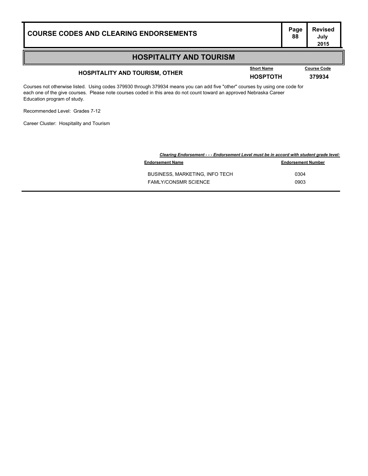### **HOSPITALITY AND TOURISM**

## **HOSPITALITY AND TOURISM, OTHER HOSPTOTH <sup>379934</sup>**

**Course Code** 

Courses not otherwise listed. Using codes 379930 through 379934 means you can add five "other" courses by using one code for each one of the give courses. Please note courses coded in this area do not count toward an approved Nebraska Career Education program of study.

Recommended Level: Grades 7-12

Career Cluster: Hospitality and Tourism

| Clearing Endorsement - - - Endorsement Level must be in accord with student grade level: |                           |
|------------------------------------------------------------------------------------------|---------------------------|
| <b>Endorsement Name</b>                                                                  | <b>Endorsement Number</b> |
| <b>BUSINESS, MARKETING, INFO TECH</b>                                                    | 0304                      |
| <b>FAMLY/CONSMR SCIENCE</b>                                                              | 0903                      |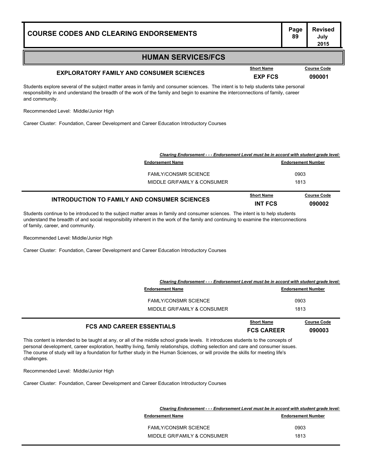### **HUMAN SERVICES/FCS**

## **EXPLORATORY FAMILY AND CONSUMER SCIENCES EXPLORATORY FAMILY AND CONSUMER SCIENCES EXP FCS 090001**

Students explore several of the subject matter areas in family and consumer sciences. The intent is to help students take personal responsibility in and understand the breadth of the work of the family and begin to examine the interconnections of family, career and community.

Recommended Level: Middle/Junior High

Career Cluster: Foundation, Career Development and Career Education Introductory Courses

| Clearing Endorsement - - - Endorsement Level must be in accord with student grade level: |                              |                                     |
|------------------------------------------------------------------------------------------|------------------------------|-------------------------------------|
| <b>Endorsement Name</b>                                                                  | <b>Endorsement Number</b>    |                                     |
| <b>FAMLY/CONSMR SCIENCE</b>                                                              |                              | 0903                                |
| MIDDLE GR/FAMILY & CONSUMER                                                              |                              | 1813                                |
| <b>INTRODUCTION TO FAMILY AND CONSUMER SCIENCES</b>                                      | <b>Short Name</b><br>INT FCS | <b>Course Code</b><br><b>090002</b> |

Students continue to be introduced to the subject matter areas in family and consumer sciences. The intent is to help students understand the breadth of and social responsibility inherent in the work of the family and continuing to examine the interconnections of family, career, and community.

Recommended Level: Middle/Junior High

Career Cluster: Foundation, Career Development and Career Education Introductory Courses

| <b>FCS AND CAREER ESSENTIALS</b>                                                         | <b>Short Name</b><br><b>FCS CAREER</b> | <b>Course Code</b><br>090003 |
|------------------------------------------------------------------------------------------|----------------------------------------|------------------------------|
| MIDDLE GR/FAMILY & CONSUMER                                                              | 1813                                   |                              |
| <b>FAMLY/CONSMR SCIENCE</b>                                                              |                                        | 0903                         |
| <b>Endorsement Name</b>                                                                  |                                        | <b>Endorsement Number</b>    |
| Clearing Endorsement - - - Endorsement Level must be in accord with student grade level: |                                        |                              |

This content is intended to be taught at any, or all of the middle school grade levels. It introduces students to the concepts of personal development, career exploration, healthy living, family relationships, clothing selection and care and consumer issues. The course of study will lay a foundation for further study in the Human Sciences, or will provide the skills for meeting life's challenges.

Recommended Level: Middle/Junior High

Career Cluster: Foundation, Career Development and Career Education Introductory Courses

|                             | Clearing Endorsement - - - Endorsement Level must be in accord with student grade level: |
|-----------------------------|------------------------------------------------------------------------------------------|
| <b>Endorsement Name</b>     | <b>Endorsement Number</b>                                                                |
| <b>FAMLY/CONSMR SCIENCE</b> | 0903                                                                                     |
| MIDDLE GR/FAMILY & CONSUMER | 1813                                                                                     |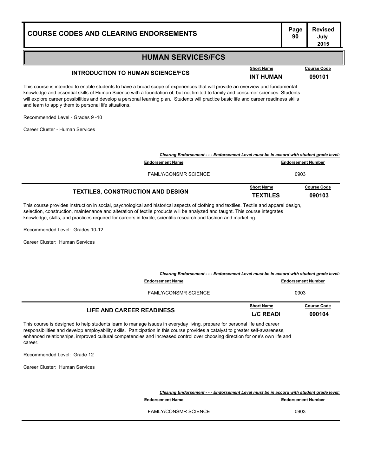#### **HUMAN SERVICES/FCS**

## **INTRODUCTION TO HUMAN SCIENCE/FCS INT HUMAN 1090101**

This course is intended to enable students to have a broad scope of experiences that will provide an overview and fundamental knowledge and essential skills of Human Science with a foundation of, but not limited to family and consumer sciences. Students will explore career possibilities and develop a personal learning plan. Students will practice basic life and career readiness skills and learn to apply them to personal life situations.

Recommended Level - Grades 9 -10

Career Cluster - Human Services

| <b>TEXTILES, CONSTRUCTION AND DESIGN</b>                                                 | <b>Short Name</b><br><b>TEXTILES</b> | <b>Course Code</b><br>090103 |
|------------------------------------------------------------------------------------------|--------------------------------------|------------------------------|
| <b>FAMLY/CONSMR SCIENCE</b>                                                              | 0903                                 |                              |
| <b>Endorsement Name</b>                                                                  | <b>Endorsement Number</b>            |                              |
| Clearing Endorsement - - - Endorsement Level must be in accord with student grade level: |                                      |                              |

This course provides instruction in social, psychological and historical aspects of clothing and textiles. Textile and apparel design, selection, construction, maintenance and alteration of textile products will be analyzed and taught. This course integrates knowledge, skills, and practices required for careers in textile, scientific research and fashion and marketing.

Recommended Level: Grades 10-12

Career Cluster: Human Services

| Clearing Endorsement - - - Endorsement Level must be in accord with student grade level: |                           |                    |
|------------------------------------------------------------------------------------------|---------------------------|--------------------|
| <b>Endorsement Name</b>                                                                  | <b>Endorsement Number</b> |                    |
| <b>FAMLY/CONSMR SCIENCE</b>                                                              | 0903                      |                    |
| LIFE AND CAREER READINESS                                                                | <b>Short Name</b>         | <b>Course Code</b> |
|                                                                                          | <b>LIC READI</b>          | 090104             |

This course is designed to help students learn to manage issues in everyday living, prepare for personal life and career responsibilities and develop employability skills. Participation in this course provides a catalyst to greater self-awareness, enhanced relationships, improved cultural competencies and increased control over choosing direction for one's own life and career.

Recommended Level: Grade 12

Career Cluster: Human Services

*Clearing Endorsement - - - Endorsement Level must be in accord with student grade level:* **Endorsement Name Endorsement Number** FAMI Y/CONSMR SCIENCE 20003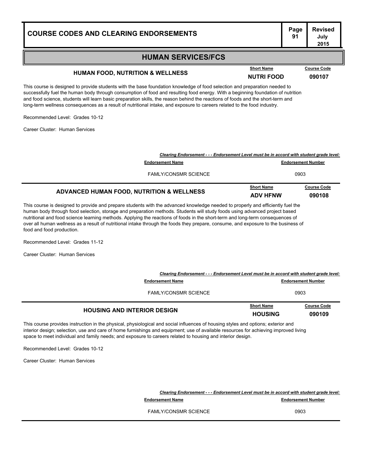### **HUMAN SERVICES/FCS**

### **HUMAN FOOD, NUTRITION & WELLNESS NUTRI FOOD 090107**

This course is designed to provide students with the base foundation knowledge of food selection and preparation needed to successfully fuel the human body through consumption of food and resulting food energy. With a beginning foundation of nutrition and food science, students will learn basic preparation skills, the reason behind the reactions of foods and the short-term and long-term wellness consequences as a result of nutritional intake, and exposure to careers related to the food industry.

Recommended Level: Grades 10-12

Career Cluster: Human Services

| ADVANCED HUMAN FOOD, NUTRITION & WELLNESS                                                | <b>Short Name</b><br><b>ADV HFNW</b> | <b>Course Code</b><br>090108 |
|------------------------------------------------------------------------------------------|--------------------------------------|------------------------------|
| <b>FAMLY/CONSMR SCIENCE</b>                                                              | 0903                                 |                              |
| <b>Endorsement Name</b>                                                                  | <b>Endorsement Number</b>            |                              |
| Clearing Endorsement - - - Endorsement Level must be in accord with student grade level: |                                      |                              |

This course is designed to provide and prepare students with the advanced knowledge needed to properly and efficiently fuel the human body through food selection, storage and preparation methods. Students will study foods using advanced project based nutritional and food science learning methods. Applying the reactions of foods in the short-term and long-term consequences of over all human wellness as a result of nutritional intake through the foods they prepare, consume, and exposure to the business of food and food production.

Recommended Level: Grades 11-12

Career Cluster: Human Services

| Clearing Endorsement - - - Endorsement Level must be in accord with student grade level: |                           |                    |
|------------------------------------------------------------------------------------------|---------------------------|--------------------|
| <b>Endorsement Name</b>                                                                  | <b>Endorsement Number</b> |                    |
| <b>FAMLY/CONSMR SCIENCE</b>                                                              | 0903                      |                    |
| <b>HOUSING AND INTERIOR DESIGN</b>                                                       | <b>Short Name</b>         | <b>Course Code</b> |
|                                                                                          | <b>HOUSING</b>            | 090109             |

This course provides instruction in the physical, physiological and social influences of housing styles and options; exterior and interior design; selection, use and care of home furnishings and equipment; use of available resources for achieving improved living space to meet individual and family needs; and exposure to careers related to housing and interior design.

Recommended Level: Grades 10-12

Career Cluster: Human Services

*Clearing Endorsement - - - Endorsement Level must be in accord with student grade level:* **Endorsement Name Endorsement Number** 

FAMI Y/CONSMR SCIENCE 20003

#### **Page Revised July 2015**

**Short Name Course Code**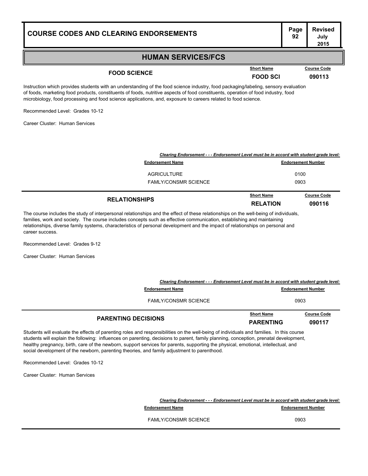### **HUMAN SERVICES/FCS**

## **FOOD SCIENCE FOOD** SCIENCE **FOOD** SCI **090113**

**Course Code** 

Instruction which provides students with an understanding of the food science industry, food packaging/labeling, sensory evaluation of foods, marketing food products, constituents of foods, nutritive aspects of food constituents, operation of food industry, food microbiology, food processing and food science applications, and, exposure to careers related to food science.

Recommended Level: Grades 10-12

Career Cluster: Human Services

| Clearing Endorsement - - - Endorsement Level must be in accord with student grade level: |                                      |                              |
|------------------------------------------------------------------------------------------|--------------------------------------|------------------------------|
| <b>Endorsement Name</b>                                                                  |                                      | <b>Endorsement Number</b>    |
| AGRICULTURE                                                                              |                                      | 0100                         |
| <b>FAMLY/CONSMR SCIENCE</b>                                                              |                                      | 0903                         |
| <b>RELATIONSHIPS</b>                                                                     | <b>Short Name</b><br><b>RELATION</b> | <b>Course Code</b><br>090116 |

The course includes the study of interpersonal relationships and the effect of these relationships on the well-being of individuals, families, work and society. The course includes concepts such as effective communication, establishing and maintaining relationships, diverse family systems, characteristics of personal development and the impact of relationships on personal and career success.

Recommended Level: Grades 9-12

Career Cluster: Human Services

| Clearing Endorsement - - - Endorsement Level must be in accord with student grade level:                                                                                                                                                                                          |                                       |                              |
|-----------------------------------------------------------------------------------------------------------------------------------------------------------------------------------------------------------------------------------------------------------------------------------|---------------------------------------|------------------------------|
| <b>Endorsement Name</b>                                                                                                                                                                                                                                                           |                                       | <b>Endorsement Number</b>    |
| <b>FAMLY/CONSMR SCIENCE</b>                                                                                                                                                                                                                                                       |                                       | 0903                         |
| <b>PARENTING DECISIONS</b>                                                                                                                                                                                                                                                        | <b>Short Name</b><br><b>PARENTING</b> | <b>Course Code</b><br>090117 |
| Students will evaluate the effects of parenting roles and responsibilities on the well-being of individuals and families. In this course<br>students will explain the following: influences on parenting, decisions to parent, family planning, conception, prenatal development, |                                       |                              |

healthy pregnancy, birth, care of the newborn, support services for parents, supporting the physical, emotional, intellectual, and social development of the newborn, parenting theories, and family adjustment to parenthood.

Recommended Level: Grades 10-12

Career Cluster: Human Services

|                             | Clearing Endorsement - - - Endorsement Level must be in accord with student grade level: |  |
|-----------------------------|------------------------------------------------------------------------------------------|--|
| <b>Endorsement Name</b>     | <b>Endorsement Number</b>                                                                |  |
| <b>FAMLY/CONSMR SCIENCE</b> | 0903                                                                                     |  |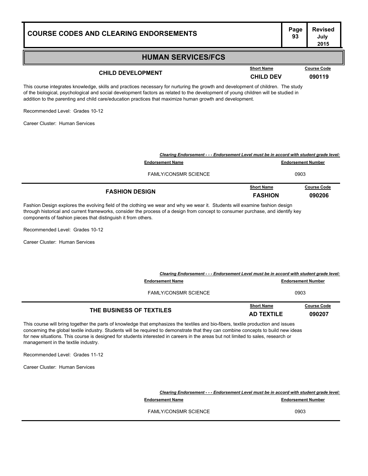#### **HUMAN SERVICES/FCS**

## **CHILD DEVELOPMENT CHILD DEV <sup>090119</sup>**

**Course Code** 

This course integrates knowledge, skills and practices necessary for nurturing the growth and development of children. The study of the biological, psychological and social development factors as related to the development of young children will be studied in addition to the parenting and child care/education practices that maximize human growth and development.

Recommended Level: Grades 10-12

Career Cluster: Human Services

| <b>FASHION DESIGN</b>                                                                    | <b>Short Name</b><br><b>FASHION</b> | <b>Course Code</b><br>090206 |
|------------------------------------------------------------------------------------------|-------------------------------------|------------------------------|
| <b>FAMLY/CONSMR SCIENCE</b>                                                              | 0903                                |                              |
| <b>Endorsement Name</b>                                                                  | <b>Endorsement Number</b>           |                              |
| Clearing Endorsement - - - Endorsement Level must be in accord with student grade level: |                                     |                              |

Fashion Design explores the evolving field of the clothing we wear and why we wear it. Students will examine fashion design through historical and current frameworks, consider the process of a design from concept to consumer purchase, and identify key components of fashion pieces that distinguish it from others.

Recommended Level: Grades 10-12

Career Cluster: Human Services

| Clearing Endorsement - - - Endorsement Level must be in accord with student grade level: |                                        |                              |
|------------------------------------------------------------------------------------------|----------------------------------------|------------------------------|
| <b>Endorsement Name</b>                                                                  | <b>Endorsement Number</b>              |                              |
| <b>FAMLY/CONSMR SCIENCE</b>                                                              | 0903                                   |                              |
| THE BUSINESS OF TEXTILES                                                                 | <b>Short Name</b><br><b>AD TEXTILE</b> | <b>Course Code</b><br>090207 |

This course will bring together the parts of knowledge that emphasizes the textiles and bio-fibers, textile production and issues concerning the global textile industry. Students will be required to demonstrate that they can combine concepts to build new ideas for new situations. This course is designed for students interested in careers in the areas but not limited to sales, research or management in the textile industry.

Recommended Level: Grades 11-12

Career Cluster: Human Services

*Clearing Endorsement - - - Endorsement Level must be in accord with student grade level:* **Endorsement Name Endorsement Number** FAMI Y/CONSMR SCIENCE 20003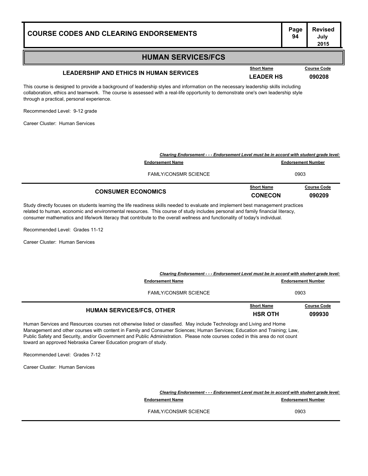#### **HUMAN SERVICES/FCS**

## **LEADERSHIP AND ETHICS IN HUMAN SERVICES LEADER HS <sup>090208</sup>**

This course is designed to provide a background of leadership styles and information on the necessary leadership skills including collaboration, ethics and teamwork. The course is assessed with a real-life opportunity to demonstrate one's own leadership style through a practical, personal experience.

Recommended Level: 9-12 grade

Career Cluster: Human Services

| <b>CONSUMER ECONOMICS</b>                                                                | <b>Short Name</b><br><b>CONECON</b> | <b>Course Code</b><br>090209 |
|------------------------------------------------------------------------------------------|-------------------------------------|------------------------------|
| <b>FAMLY/CONSMR SCIENCE</b>                                                              | 0903                                |                              |
| <b>Endorsement Name</b>                                                                  | <b>Endorsement Number</b>           |                              |
| Clearing Endorsement - - - Endorsement Level must be in accord with student grade level: |                                     |                              |

Study directly focuses on students learning the life readiness skills needed to evaluate and implement best management practices related to human, economic and environmental resources. This course of study includes personal and family financial literacy, consumer mathematics and life/work literacy that contribute to the overall wellness and functionality of today's individual.

Recommended Level: Grades 11-12

Career Cluster: Human Services

| Clearing Endorsement - - - Endorsement Level must be in accord with student grade level: |                           |                    |
|------------------------------------------------------------------------------------------|---------------------------|--------------------|
| <b>Endorsement Name</b>                                                                  | <b>Endorsement Number</b> |                    |
| <b>FAMLY/CONSMR SCIENCE</b>                                                              | 0903                      |                    |
| <b>HUMAN SERVICES/FCS, OTHER</b>                                                         | <b>Short Name</b>         | <b>Course Code</b> |
|                                                                                          | <b>HSR OTH</b>            | 099930             |

Human Services and Resources courses not otherwise listed or classified. May include Technology and Living and Home Management and other courses with content in Family and Consumer Sciences; Human Services; Education and Training; Law, Public Safety and Security, and/or Government and Public Administration. Please note courses coded in this area do not count toward an approved Nebraska Career Education program of study.

Recommended Level: Grades 7-12

Career Cluster: Human Services

*Clearing Endorsement - - - Endorsement Level must be in accord with student grade level:* **Endorsement Name Endorsement Number** FAMI Y/CONSMR SCIENCE 20003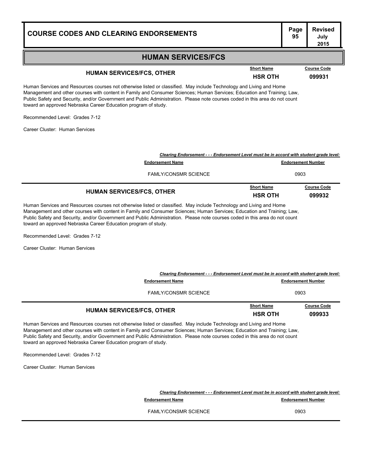**Course Code** 

#### **HUMAN SERVICES/FCS**

## **HUMAN SERVICES/FCS, OTHER Example 2008 Short Name Course Code HSR OTH 099931**

Human Services and Resources courses not otherwise listed or classified. May include Technology and Living and Home Management and other courses with content in Family and Consumer Sciences; Human Services; Education and Training; Law, Public Safety and Security, and/or Government and Public Administration. Please note courses coded in this area do not count toward an approved Nebraska Career Education program of study.

Recommended Level: Grades 7-12

Career Cluster: Human Services

| <b>HUMAN SERVICES/FCS, OTHER</b>                                                         | <b>Short Name</b><br><b>HSR OTH</b> | <b>Course Code</b><br>099932 |
|------------------------------------------------------------------------------------------|-------------------------------------|------------------------------|
| <b>FAMLY/CONSMR SCIENCE</b>                                                              | 0903                                |                              |
| <b>Endorsement Name</b>                                                                  | <b>Endorsement Number</b>           |                              |
| Clearing Endorsement - - - Endorsement Level must be in accord with student grade level: |                                     |                              |

Human Services and Resources courses not otherwise listed or classified. May include Technology and Living and Home Management and other courses with content in Family and Consumer Sciences; Human Services; Education and Training; Law, Public Safety and Security, and/or Government and Public Administration. Please note courses coded in this area do not count toward an approved Nebraska Career Education program of study.

Recommended Level: Grades 7-12

Career Cluster: Human Services

| Clearing Endorsement - - - Endorsement Level must be in accord with student grade level: |                           |                    |
|------------------------------------------------------------------------------------------|---------------------------|--------------------|
| <b>Endorsement Name</b>                                                                  | <b>Endorsement Number</b> |                    |
| <b>FAMLY/CONSMR SCIENCE</b>                                                              | 0903                      |                    |
| <b>HUMAN SERVICES/FCS, OTHER</b>                                                         | <b>Short Name</b>         | <b>Course Code</b> |
|                                                                                          | <b>HSR OTH</b>            | 099933             |

Human Services and Resources courses not otherwise listed or classified. May include Technology and Living and Home Management and other courses with content in Family and Consumer Sciences; Human Services; Education and Training; Law, Public Safety and Security, and/or Government and Public Administration. Please note courses coded in this area do not count toward an approved Nebraska Career Education program of study.

Recommended Level: Grades 7-12

Career Cluster: Human Services

*Clearing Endorsement - - - Endorsement Level must be in accord with student grade level:* **Endorsement Name Endorsement Number** FAMI Y/CONSMR SCIENCE 20003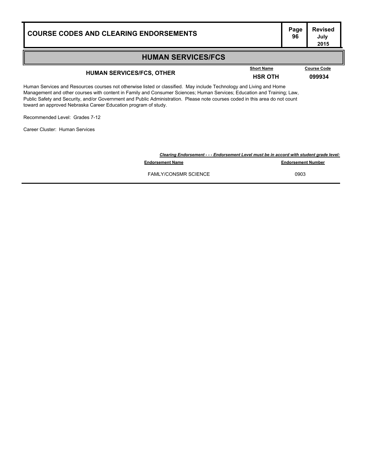| <b>COURSE CODES AND CLEARING ENDORSEMENTS</b>                                                                                                                                                                                                                                                                                                                                  |                                     | Page<br>96 | <b>Revised</b><br>July<br>2015 |
|--------------------------------------------------------------------------------------------------------------------------------------------------------------------------------------------------------------------------------------------------------------------------------------------------------------------------------------------------------------------------------|-------------------------------------|------------|--------------------------------|
| <b>HUMAN SERVICES/FCS</b>                                                                                                                                                                                                                                                                                                                                                      |                                     |            |                                |
| <b>HUMAN SERVICES/FCS, OTHER</b>                                                                                                                                                                                                                                                                                                                                               | <b>Short Name</b><br><b>HSR OTH</b> |            | <b>Course Code</b><br>099934   |
| Human Services and Resources courses not otherwise listed or classified. May include Technology and Living and Home<br>Management and other courses with content in Family and Consumer Sciences; Human Services; Education and Training; Law,<br>Public Safety and Security, and/or Government and Public Administration. Please note courses coded in this area do not count |                                     |            |                                |

Recommended Level: Grades 7-12

toward an approved Nebraska Career Education program of study.

Career Cluster: Human Services

|                             | Clearing Endorsement - - - Endorsement Level must be in accord with student grade level: |
|-----------------------------|------------------------------------------------------------------------------------------|
| <b>Endorsement Name</b>     | <b>Endorsement Number</b>                                                                |
| <b>FAMLY/CONSMR SCIENCE</b> | 0903                                                                                     |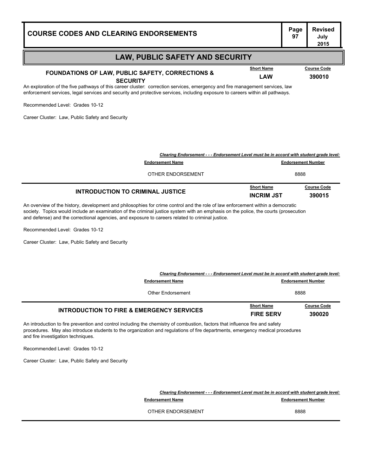| <b>COURSE CODES AND CLEARING ENDORSEMENTS</b>                                                                                                                                                                                                                                                    | Page<br>97                | <b>Revised</b><br>July<br>2015 |
|--------------------------------------------------------------------------------------------------------------------------------------------------------------------------------------------------------------------------------------------------------------------------------------------------|---------------------------|--------------------------------|
| <b>LAW, PUBLIC SAFETY AND SECURITY</b>                                                                                                                                                                                                                                                           |                           |                                |
| <b>Short Name</b><br><b>FOUNDATIONS OF LAW, PUBLIC SAFETY, CORRECTIONS &amp;</b>                                                                                                                                                                                                                 |                           | <b>Course Code</b>             |
| <b>LAW</b><br><b>SECURITY</b>                                                                                                                                                                                                                                                                    |                           | 390010                         |
| An exploration of the five pathways of this career cluster: correction services, emergency and fire management services, law<br>enforcement services, legal services and security and protective services, including exposure to careers within all pathways.<br>Recommended Level: Grades 10-12 |                           |                                |
| Career Cluster: Law, Public Safety and Security                                                                                                                                                                                                                                                  |                           |                                |
|                                                                                                                                                                                                                                                                                                  |                           |                                |
|                                                                                                                                                                                                                                                                                                  |                           |                                |
| Clearing Endorsement - - - Endorsement Level must be in accord with student grade level:                                                                                                                                                                                                         |                           |                                |
| <b>Endorsement Name</b>                                                                                                                                                                                                                                                                          | <b>Endorsement Number</b> |                                |

| OTHER ENDORSEMENT                |                                        | 8888                         |
|----------------------------------|----------------------------------------|------------------------------|
| INTRODUCTION TO CRIMINAL JUSTICE | <b>Short Name</b><br><b>INCRIM JST</b> | <b>Course Code</b><br>390015 |

An overview of the history, development and philosophies for crime control and the role of law enforcement within a democratic society. Topics would include an examination of the criminal justice system with an emphasis on the police, the courts (prosecution and defense) and the correctional agencies, and exposure to careers related to criminal justice.

Recommended Level: Grades 10-12

Career Cluster: Law, Public Safety and Security

| Clearing Endorsement - - - Endorsement Level must be in accord with student grade level: |                                       |                              |
|------------------------------------------------------------------------------------------|---------------------------------------|------------------------------|
| <b>Endorsement Name</b>                                                                  | <b>Endorsement Number</b>             |                              |
| Other Endorsement                                                                        | 8888                                  |                              |
| <b>INTRODUCTION TO FIRE &amp; EMERGENCY SERVICES</b>                                     | <b>Short Name</b><br><b>FIRE SERV</b> | <b>Course Code</b><br>390020 |

An introduction to fire prevention and control including the chemistry of combustion, factors that influence fire and safety procedures. May also introduce students to the organization and regulations of fire departments, emergency medical procedures and fire investigation techniques.

Recommended Level: Grades 10-12

Career Cluster: Law, Public Safety and Security

*Clearing Endorsement - - - Endorsement Level must be in accord with student grade level:*

**Endorsement Name Endorsement Number** 97.000 **Endorsement Number** 

OTHER ENDORSEMENT 8888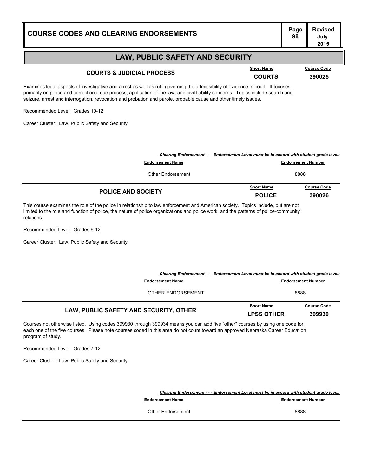### **LAW, PUBLIC SAFETY AND SECURITY**

## **COURTS & JUDICIAL PROCESS COURTS COURTS COURTS 390025**

Examines legal aspects of investigative and arrest as well as rule governing the admissibility of evidence in court. It focuses primarily on police and correctional due process, application of the law, and civil liability concerns. Topics include search and seizure, arrest and interrogation, revocation and probation and parole, probable cause and other timely issues.

Recommended Level: Grades 10-12

Career Cluster: Law, Public Safety and Security

| Clearing Endorsement - - - Endorsement Level must be in accord with student grade level: |                                    |                              |
|------------------------------------------------------------------------------------------|------------------------------------|------------------------------|
| <b>Endorsement Name</b>                                                                  | <b>Endorsement Number</b>          |                              |
| Other Endorsement                                                                        | 8888                               |                              |
| <b>POLICE AND SOCIETY</b>                                                                | <b>Short Name</b><br><b>POLICE</b> | <b>Course Code</b><br>390026 |

This course examines the role of the police in relationship to law enforcement and American society. Topics include, but are not limited to the role and function of police, the nature of police organizations and police work, and the patterns of police-community relations.

Recommended Level: Grades 9-12

Career Cluster: Law, Public Safety and Security

| Clearing Endorsement - - - Endorsement Level must be in accord with student grade level:<br><b>Endorsement Name</b> |                                        | <b>Endorsement Number</b>    |
|---------------------------------------------------------------------------------------------------------------------|----------------------------------------|------------------------------|
| OTHER ENDORSEMENT                                                                                                   | 8888                                   |                              |
| LAW, PUBLIC SAFETY AND SECURITY, OTHER                                                                              | <b>Short Name</b><br><b>LPSS OTHER</b> | <b>Course Code</b><br>399930 |

Courses not otherwise listed. Using codes 399930 through 399934 means you can add five "other" courses by using one code for each one of the five courses. Please note courses coded in this area do not count toward an approved Nebraska Career Education program of study.

Recommended Level: Grades 7-12

Career Cluster: Law, Public Safety and Security

*Clearing Endorsement - - - Endorsement Level must be in accord with student grade level:*

**Endorsement Name Endorsement Number Endorsement Number** 

Other Endorsement 8888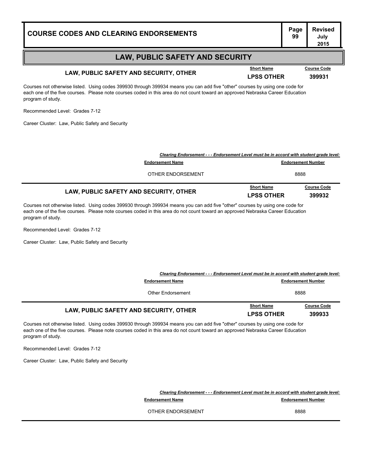# **Page Revised**

### **LAW, PUBLIC SAFETY AND SECURITY**

## **LAW, PUBLIC SAFETY AND SECURITY, OTHER LPSS OTHER <sup>399931</sup>**

Courses not otherwise listed. Using codes 399930 through 399934 means you can add five "other" courses by using one code for each one of the five courses. Please note courses coded in this area do not count toward an approved Nebraska Career Education program of study.

Recommended Level: Grades 7-12

Career Cluster: Law, Public Safety and Security

| LAW, PUBLIC SAFETY AND SECURITY, OTHER                                                   | <b>Short Name</b><br><b>LPSS OTHER</b> | <b>Course Code</b><br>399932 |
|------------------------------------------------------------------------------------------|----------------------------------------|------------------------------|
| OTHER ENDORSEMENT                                                                        | 8888                                   |                              |
| <b>Endorsement Name</b>                                                                  | <b>Endorsement Number</b>              |                              |
| Clearing Endorsement - - - Endorsement Level must be in accord with student grade level: |                                        |                              |

Courses not otherwise listed. Using codes 399930 through 399934 means you can add five "other" courses by using one code for each one of the five courses. Please note courses coded in this area do not count toward an approved Nebraska Career Education program of study.

Recommended Level: Grades 7-12

Career Cluster: Law, Public Safety and Security

| Clearing Endorsement - - - Endorsement Level must be in accord with student grade level: |                                        |                              |  |
|------------------------------------------------------------------------------------------|----------------------------------------|------------------------------|--|
| <b>Endorsement Name</b>                                                                  | <b>Endorsement Number</b>              |                              |  |
| Other Endorsement                                                                        |                                        | 8888                         |  |
| LAW, PUBLIC SAFETY AND SECURITY, OTHER                                                   | <b>Short Name</b><br><b>LPSS OTHER</b> | <b>Course Code</b><br>399933 |  |

Courses not otherwise listed. Using codes 399930 through 399934 means you can add five "other" courses by using one code for each one of the five courses. Please note courses coded in this area do not count toward an approved Nebraska Career Education program of study.

Recommended Level: Grades 7-12

Career Cluster: Law, Public Safety and Security

*Clearing Endorsement - - - Endorsement Level must be in accord with student grade level:*

**Endorsement Name Endorsement Number** 

OTHER ENDORSEMENT 8888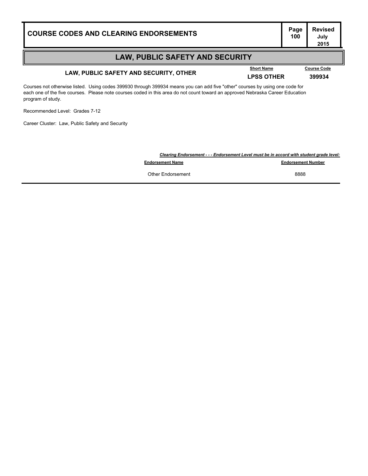**Course Code** 

### **LAW, PUBLIC SAFETY AND SECURITY**

## **LAW, PUBLIC SAFETY AND SECURITY, OTHER LPSS OTHER <sup>399934</sup>**

Courses not otherwise listed. Using codes 399930 through 399934 means you can add five "other" courses by using one code for each one of the five courses. Please note courses coded in this area do not count toward an approved Nebraska Career Education program of study.

Recommended Level: Grades 7-12

Career Cluster: Law, Public Safety and Security

|                         | Clearing Endorsement - - - Endorsement Level must be in accord with student grade level: |  |  |
|-------------------------|------------------------------------------------------------------------------------------|--|--|
| <b>Endorsement Name</b> | <b>Endorsement Number</b>                                                                |  |  |
| Other Endorsement       | 8888                                                                                     |  |  |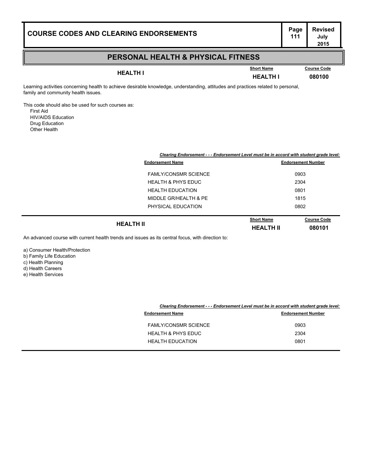### **PERSONAL HEALTH & PHYSICAL FITNESS**

**HEALTH I HEALTH I <sup>080100</sup>**

**Short Name Course Code**

Learning activities concerning health to achieve desirable knowledge, understanding, attitudes and practices related to personal, family and community health issues.

This code should also be used for such courses as: First Aid HIV/AIDS Education Drug Education

Other Health

|                               | Clearing Endorsement - - - Endorsement Level must be in accord with student grade level: |                              |  |
|-------------------------------|------------------------------------------------------------------------------------------|------------------------------|--|
| <b>Endorsement Name</b>       | <b>Endorsement Number</b>                                                                |                              |  |
| <b>FAMLY/CONSMR SCIENCE</b>   |                                                                                          | 0903                         |  |
| <b>HEALTH &amp; PHYS EDUC</b> | 2304                                                                                     |                              |  |
| <b>HEALTH EDUCATION</b>       | 0801                                                                                     |                              |  |
| MIDDLE GR/HEALTH & PE         | 1815                                                                                     |                              |  |
| PHYSICAL EDUCATION            | 0802                                                                                     |                              |  |
| <b>HEALTH II</b>              | <b>Short Name</b><br><b>HEALTH II</b>                                                    | <b>Course Code</b><br>080101 |  |

An advanced course with current health trends and issues as its central focus, with direction to:

a) Consumer Health/Protection b) Family Life Education

c) Health Planning

d) Health Careers

e) Health Services

| Clearing Endorsement - - - Endorsement Level must be in accord with student grade level: |
|------------------------------------------------------------------------------------------|
|------------------------------------------------------------------------------------------|

| <b>Endorsement Name</b>       | <b>Endorsement Number</b> |
|-------------------------------|---------------------------|
| <b>FAMLY/CONSMR SCIENCE</b>   | 0903                      |
| <b>HEALTH &amp; PHYS EDUC</b> | 2304                      |
| <b>HEALTH EDUCATION</b>       | 0801                      |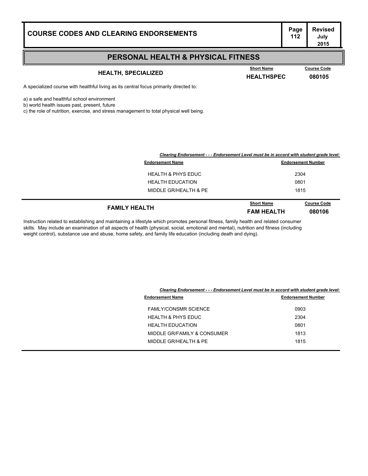# **Page Revised**

### **PERSONAL HEALTH & PHYSICAL FITNESS**

## **HEALTH, SPECIALIZED HEALTHSPEC <sup>080105</sup>**

**Course Code** 

A specialized course with healthful living as its central focus primarily directed to:

a) a safe and healthful school environment

b) world health issues past, present, future

c) the role of nutrition, exercise, and stress management to total physical well being.

| Clearing Endorsement - - - Endorsement Level must be in accord with student grade level: |                           |                    |
|------------------------------------------------------------------------------------------|---------------------------|--------------------|
| <b>Endorsement Name</b>                                                                  | <b>Endorsement Number</b> |                    |
| <b>HEALTH &amp; PHYS EDUC</b>                                                            | 2304                      |                    |
| <b>HEALTH EDUCATION</b>                                                                  | 0801                      |                    |
| MIDDLE GR/HEALTH & PE                                                                    | 1815                      |                    |
| <b>FAMILY HEALTH</b>                                                                     | <b>Short Name</b>         | <b>Course Code</b> |
|                                                                                          | <b>FAM HEALTH</b>         | 080106             |

Instruction related to establishing and maintaining a lifestyle which promotes personal fitness, family health and related consumer skills. May include an examination of all aspects of health (physical, social, emotional and mental), nutrition and fitness (including weight control), substance use and abuse, home safety, and family life education (including death and dying).

|                               | Clearing Endorsement - - - Endorsement Level must be in accord with student grade level: |  |  |
|-------------------------------|------------------------------------------------------------------------------------------|--|--|
| <b>Endorsement Name</b>       | <b>Endorsement Number</b>                                                                |  |  |
| <b>FAMLY/CONSMR SCIENCE</b>   | 0903                                                                                     |  |  |
| <b>HEALTH &amp; PHYS EDUC</b> | 2304                                                                                     |  |  |
| <b>HEALTH EDUCATION</b>       | 0801                                                                                     |  |  |
| MIDDLE GR/FAMILY & CONSUMER   | 1813                                                                                     |  |  |
| MIDDLE GR/HEALTH & PE         | 1815                                                                                     |  |  |
|                               |                                                                                          |  |  |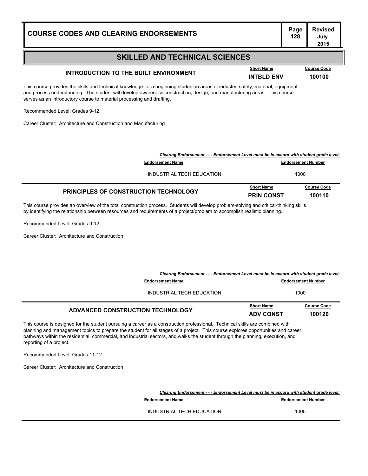## **INTRODUCTION TO THE BUILT ENVIRONMENT INTBLD ENV 100100**

This course provides the skills and technical knowledge for a beginning student in areas of industry, safety, material, equipment and process understanding. The student will develop awareness construction, design, and manufacturing areas. This course serves as an introductory course to material processing and drafting.

Recommended Level: Grades 9-12

Career Cluster: Architecture and Construction and Manufacturing

| <b>PRINCIPLES OF CONSTRUCTION TECHNOLOGY</b> | <b>Short Name</b><br><b>PRIN CONST</b>                                                   | <b>Course Code</b><br>100110 |  |
|----------------------------------------------|------------------------------------------------------------------------------------------|------------------------------|--|
| INDUSTRIAL TECH EDUCATION                    |                                                                                          | 1000                         |  |
| <b>Endorsement Name</b>                      |                                                                                          | <b>Endorsement Number</b>    |  |
|                                              | Clearing Endorsement - - - Endorsement Level must be in accord with student grade level: |                              |  |

This course provides an overview of the total construction process. Students will develop problem-solving and critical-thinking skills by identifying the relationship between resources and requirements of a project/problem to accomplish realistic planning.

Recommended Level: Grades 9-12

Career Cluster: Architecture and Construction

| Clearing Endorsement - - - Endorsement Level must be in accord with student grade level: |                           |                    |
|------------------------------------------------------------------------------------------|---------------------------|--------------------|
| <b>Endorsement Name</b>                                                                  | <b>Endorsement Number</b> |                    |
| INDUSTRIAL TECH EDUCATION                                                                | 1000                      |                    |
| ADVANCED CONSTRUCTION TECHNOLOGY                                                         | <b>Short Name</b>         | <b>Course Code</b> |
|                                                                                          | <b>ADV CONST</b>          | 100120             |

This course is designed for the student pursuing a career as a construction professional. Technical skills are combined with planning and management topics to prepare the student for all stages of a project. This course explores opportunities and career pathways within the residential, commercial, and industrial sectors, and walks the student through the planning, execution, and reporting of a project.

Recommended Level: Grades 11-12

Career Cluster: Architecture and Construction

*Clearing Endorsement - - - Endorsement Level must be in accord with student grade level:* **Endorsement Name Endorsement Number** INDUSTRIAL TECH EDUCATION 1000

**Page Revised July 2015**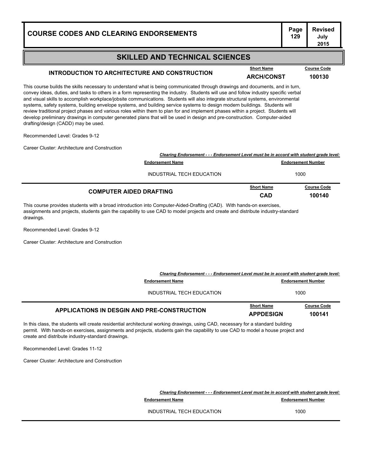### **SKILLED AND TECHNICAL SCIENCES**

## INTRODUCTION TO ARCHITECTURE AND CONSTRUCTION **ARCH/CONST ARCH/CONST 100130**

This course builds the skills necessary to understand what is being communicated through drawings and documents, and in turn, convey ideas, duties, and tasks to others in a form representing the industry. Students will use and follow industry specific verbal and visual skills to accomplish workplace/jobsite communications. Students will also integrate structural systems, environmental systems, safety systems, building envelope systems, and building service systems to design modern buildings. Students will review traditional project phases and various roles within them to plan for and implement phases within a project. Students will develop preliminary drawings in computer generated plans that will be used in design and pre-construction. Computer-aided drafting/design (CADD) may be used.

Recommended Level: Grades 9-12

Career Cluster: Architecture and Construction

| Clearing Endorsement - - - Endorsement Level must be in accord with student grade level: |  |
|------------------------------------------------------------------------------------------|--|
|                                                                                          |  |
| 1000                                                                                     |  |
| <b>Course Code</b><br>100140                                                             |  |
|                                                                                          |  |

This course provides students with a broad introduction into Computer-Aided-Drafting (CAD). With hands-on exercises, assignments and projects, students gain the capability to use CAD to model projects and create and distribute industry-standard drawings.

Recommended Level: Grades 9-12

Career Cluster: Architecture and Construction

| Clearing Endorsement - - - Endorsement Level must be in accord with student grade level: |                                       |                              |  |
|------------------------------------------------------------------------------------------|---------------------------------------|------------------------------|--|
| <b>Endorsement Number</b><br><b>Endorsement Name</b>                                     |                                       |                              |  |
| INDUSTRIAL TECH EDUCATION                                                                | 1000                                  |                              |  |
| APPLICATIONS IN DESGIN AND PRE-CONSTRUCTION                                              | <b>Short Name</b><br><b>APPDESIGN</b> | <b>Course Code</b><br>100141 |  |

In this class, the students will create residential architectural working drawings, using CAD, necessary for a standard building permit. With hands-on exercises, assignments and projects, students gain the capability to use CAD to model a house project and create and distribute industry-standard drawings.

Recommended Level: Grades 11-12

Career Cluster: Architecture and Construction

*Clearing Endorsement - - - Endorsement Level must be in accord with student grade level:*

**Endorsement Name Endorsement Number Endorsement Number** 

INDUSTRIAL TECH EDUCATION 1000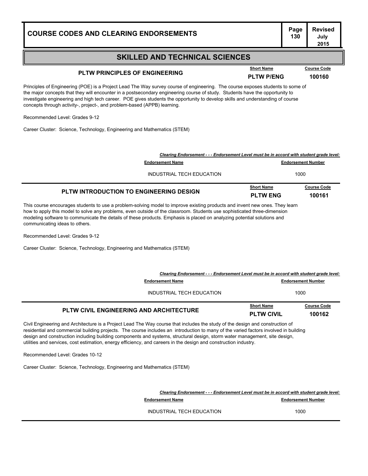| <b>COURSE CODES AND CLEARING ENDORSEMENTS</b>                                                                                                                                                                                                                                                                                                                                                                                                                                |                                   | <b>Revised</b><br>July<br>2015 |
|------------------------------------------------------------------------------------------------------------------------------------------------------------------------------------------------------------------------------------------------------------------------------------------------------------------------------------------------------------------------------------------------------------------------------------------------------------------------------|-----------------------------------|--------------------------------|
| <b>SKILLED AND TECHNICAL SCIENCES</b>                                                                                                                                                                                                                                                                                                                                                                                                                                        |                                   |                                |
| <b>Short Name</b><br><b>PLTW PRINCIPLES OF ENGINEERING</b><br><b>PLTW P/ENG</b>                                                                                                                                                                                                                                                                                                                                                                                              |                                   | <b>Course Code</b><br>100160   |
| Principles of Engineering (POE) is a Project Lead The Way survey course of engineering. The course exposes students to some of<br>the major concepts that they will encounter in a postsecondary engineering course of study. Students have the opportunity to<br>investigate engineering and high tech career. POE gives students the opportunity to develop skills and understanding of course<br>concepts through activity-, project-, and problem-based (APPB) learning. |                                   |                                |
| Recommended Level: Grades 9-12                                                                                                                                                                                                                                                                                                                                                                                                                                               |                                   |                                |
| Career Cluster: Science, Technology, Engineering and Mathematics (STEM)                                                                                                                                                                                                                                                                                                                                                                                                      |                                   |                                |
|                                                                                                                                                                                                                                                                                                                                                                                                                                                                              |                                   |                                |
| Clearing Endorsement - - - Endorsement Level must be in accord with student grade level:<br><b>Endorsement Name</b>                                                                                                                                                                                                                                                                                                                                                          |                                   |                                |
| INDUSTRIAL TECH EDUCATION                                                                                                                                                                                                                                                                                                                                                                                                                                                    | <b>Endorsement Number</b><br>1000 |                                |
| <b>Short Name</b>                                                                                                                                                                                                                                                                                                                                                                                                                                                            |                                   | <b>Course Code</b>             |
| PLTW INTRODUCTION TO ENGINEERING DESIGN<br><b>PLTW ENG</b>                                                                                                                                                                                                                                                                                                                                                                                                                   |                                   | 100161                         |
| This course encourages students to use a problem-solving model to improve existing products and invent new ones. They learn<br>how to apply this model to solve any problems, even outside of the classroom. Students use sophisticated three-dimension<br>modeling software to communicate the details of these products. Emphasis is placed on analyzing potential solutions and<br>communicating ideas to others.                                                         |                                   |                                |

Recommended Level: Grades 9-12

Career Cluster: Science, Technology, Engineering and Mathematics (STEM)

| Clearing Endorsement - - - Endorsement Level must be in accord with student grade level: |                                        |                              |
|------------------------------------------------------------------------------------------|----------------------------------------|------------------------------|
| <b>Endorsement Name</b><br><b>Endorsement Number</b>                                     |                                        |                              |
| INDUSTRIAL TECH EDUCATION                                                                | 1000                                   |                              |
| <b>PLTW CIVIL ENGINEERING AND ARCHITECTURE</b>                                           | <b>Short Name</b><br><b>PLTW CIVIL</b> | <b>Course Code</b><br>100162 |

Civil Engineering and Architecture is a Project Lead The Way course that includes the study of the design and construction of residential and commercial building projects. The course includes an introduction to many of the varied factors involved in building design and construction including building components and systems, structural design, storm water management, site design, utilities and services, cost estimation, energy efficiency, and careers in the design and construction industry.

Recommended Level: Grades 10-12

Career Cluster: Science, Technology, Engineering and Mathematics (STEM)

*Clearing Endorsement - - - Endorsement Level must be in accord with student grade level:* **Endorsement Name Endorsement Number Endorsement Number** INDUSTRIAL TECH EDUCATION 1000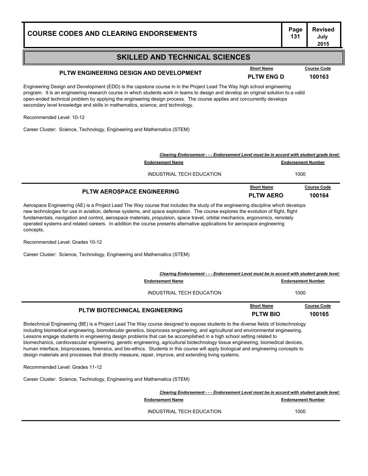### **SKILLED AND TECHNICAL SCIENCES**

## **PLTW ENGINEERING DESIGN AND DEVELOPMENT PLTW ENG D <sup>100163</sup>**

Engineering Design and Development (EDD) is the capstone course in in the Project Lead The Way high school engineering program. It is an engineering research course in which students work in teams to design and develop an original solution to a valid open-ended technical problem by applying the engineering design process. The course applies and concurrently develops secondary level knowledge and skills in mathematics, science, and technology.

Recommended Level: 10-12

Career Cluster: Science, Technology, Engineering and Mathematics (STEM)

| <b>PLTW AEROSPACE ENGINEERING</b>                                                        | <b>Short Name</b><br><b>PLTW AERO</b> | <b>Course Code</b><br>100164 |
|------------------------------------------------------------------------------------------|---------------------------------------|------------------------------|
| INDUSTRIAL TECH EDUCATION                                                                | 1000                                  |                              |
| <b>Endorsement Name</b>                                                                  |                                       | <b>Endorsement Number</b>    |
| Clearing Endorsement - - - Endorsement Level must be in accord with student grade level: |                                       |                              |

Aerospace Engineering (AE) is a Project Lead The Way course that includes the study of the engineering discipline which develops new technologies for use in aviation, defense systems, and space exploration. The course explores the evolution of flight, flight fundamentals, navigation and control, aerospace materials, propulsion, space travel, orbital mechanics, ergonomics, remotely operated systems and related careers. In addition the course presents alternative applications for aerospace engineering concepts.

Recommended Level: Grades 10-12

Career Cluster: Science, Technology, Engineering and Mathematics (STEM)

| Clearing Endorsement - - - Endorsement Level must be in accord with student grade level: |                                      |                              |
|------------------------------------------------------------------------------------------|--------------------------------------|------------------------------|
| <b>Endorsement Name</b>                                                                  | <b>Endorsement Number</b>            |                              |
| INDUSTRIAL TECH EDUCATION                                                                | 1000                                 |                              |
| <b>PLTW BIOTECHNICAL ENGINEERING</b>                                                     | <b>Short Name</b><br><b>PLTW BIO</b> | <b>Course Code</b><br>100165 |

Biotechnical Engineering (BE) is a Project Lead The Way course designed to expose students to the diverse fields of biotechnology including biomedical engineering, biomolecular genetics, bioprocess engineering, and agricultural and environmental engineering. Lessons engage students in engineering design problems that can be accomplished in a high school setting related to biomechanics, cardiovascular engineering, genetic engineering, agricultural biotechnology tissue engineering, biomedical devices, human interface, bioprocesses, forensics, and bio-ethics. Students in this course will apply biological and engineering concepts to design materials and processes that directly measure, repair, improve, and extending living systems.

Recommended Level: Grades 11-12

Career Cluster: Science, Technology, Engineering and Mathematics (STEM)

*Clearing Endorsement - - - Endorsement Level must be in accord with student grade level:* **Endorsement Name Endorsement Number Endorsement Number** INDUSTRIAL TECH EDUCATION 1000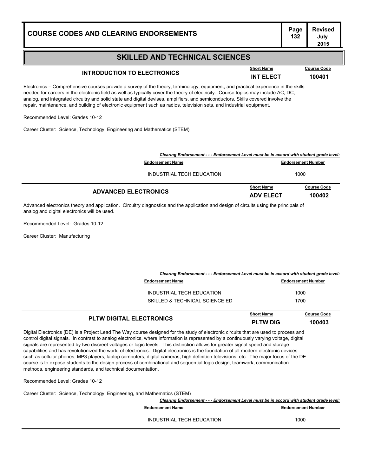### **SKILLED AND TECHNICAL SCIENCES**

## **INTRODUCTION TO ELECTRONICS INT ELECT <sup>100401</sup>**

Electronics – Comprehensive courses provide a survey of the theory, terminology, equipment, and practical experience in the skills needed for careers in the electronic field as well as typically cover the theory of electricity. Course topics may include AC, DC, analog, and integrated circuitry and solid state and digital devises, amplifiers, and semiconductors. Skills covered involve the repair, maintenance, and building of electronic equipment such as radios, television sets, and industrial equipment.

Recommended Level: Grades 10-12

Career Cluster: Science, Technology, Engineering and Mathematics (STEM)

| Clearing Endorsement - - - Endorsement Level must be in accord with student grade level: |                                       |                              |
|------------------------------------------------------------------------------------------|---------------------------------------|------------------------------|
| <b>Endorsement Name</b>                                                                  |                                       | <b>Endorsement Number</b>    |
| INDUSTRIAL TECH EDUCATION                                                                |                                       | 1000                         |
| <b>ADVANCED ELECTRONICS</b>                                                              | <b>Short Name</b><br><b>ADV ELECT</b> | <b>Course Code</b><br>100402 |

Advanced electronics theory and application. Circuitry diagnostics and the application and design of circuits using the principals of analog and digital electronics will be used.

Recommended Level: Grades 10-12

Career Cluster: Manufacturing

| Clearing Endorsement - - - Endorsement Level must be in accord with student grade level: |  |
|------------------------------------------------------------------------------------------|--|
|                                                                                          |  |

| <b>Endorsement Name</b>                                     | <b>Endorsement Number</b> |
|-------------------------------------------------------------|---------------------------|
| INDUSTRIAL TECH EDUCATION<br>SKILLED & TECHNICAL SCIENCE ED | 1000<br>1700              |
|                                                             |                           |

|                                 | <b>Short Name</b> | <b>Course Code</b> |
|---------------------------------|-------------------|--------------------|
| <b>PLTW DIGITAL ELECTRONICS</b> | <b>PLTW DIG</b>   | 100403             |

Digital Electronics (DE) is a Project Lead The Way course designed for the study of electronic circuits that are used to process and control digital signals. In contrast to analog electronics, where information is represented by a continuously varying voltage, digital signals are represented by two discreet voltages or logic levels. This distinction allows for greater signal speed and storage capabilities and has revolutionized the world of electronics. Digital electronics is the foundation of all modern electronic devices such as cellular phones, MP3 players, laptop computers, digital cameras, high definition televisions, etc. The major focus of the DE course is to expose students to the design process of combinational and sequential logic design, teamwork, communication methods, engineering standards, and technical documentation.

Recommended Level: Grades 10-12

Career Cluster: Science, Technology, Engineering, and Mathematics (STEM)

|                           | Clearing Endorsement - - - Endorsement Level must be in accord with student grade level: |  |
|---------------------------|------------------------------------------------------------------------------------------|--|
| <b>Endorsement Name</b>   | <b>Endorsement Number</b>                                                                |  |
| INDUSTRIAL TECH EDUCATION | 1000                                                                                     |  |
|                           |                                                                                          |  |

**July 2015**

**Page Revised**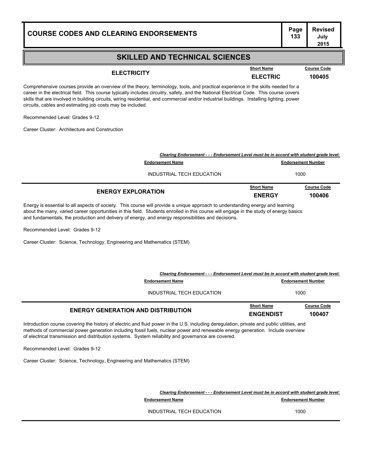| <b>COURSE CODES AND CLEARING ENDORSEMENTS</b> | г аус |
|-----------------------------------------------|-------|
|                                               |       |

### **SKILLED AND TECHNICAL SCIENCES**

**ELECTRICITY ELECTRIC <sup>100405</sup> Short Name Course Code**

Comprehensive courses provide an overview of the theory, terminology, tools, and practical experience in the skills needed for a career in the electrical field. This course typically includes circuitry, safety, and the National Electrical Code. This course covers skills that are involved in building circuits, wiring residential, and commercial and/or industrial buildings. Installing lighting, power circuits, cables and estimating job costs may be included.

Recommended Level: Grades 9-12

Career Cluster: Architecture and Construction

| <b>ENERGY EXPLORATION</b> |                                                                                          | <b>Short Name</b><br><b>ENERGY</b> | <b>Course Code</b><br>100406 |
|---------------------------|------------------------------------------------------------------------------------------|------------------------------------|------------------------------|
|                           | INDUSTRIAL TECH EDUCATION                                                                | 1000                               |                              |
|                           | <b>Endorsement Number</b><br><b>Endorsement Name</b>                                     |                                    |                              |
|                           | Clearing Endorsement - - - Endorsement Level must be in accord with student grade level: |                                    |                              |

Energy is essential to all aspects of society. This course will provide a unique approach to understanding energy and learning about the many, varied career opportunities in this field. Students enrolled in this course will engage in the study of energy basics and fundamentals, the production and delivery of energy, and energy responsibilities and decisions.

Recommended Level: Grades 9-12

Career Cluster: Science, Technology, Engineering and Mathematics (STEM)

| Clearing Endorsement - - - Endorsement Level must be in accord with student grade level: |                   |                           |
|------------------------------------------------------------------------------------------|-------------------|---------------------------|
| <b>Endorsement Name</b>                                                                  |                   | <b>Endorsement Number</b> |
| INDUSTRIAL TECH EDUCATION                                                                | 1000              |                           |
| <b>ENERGY GENERATION AND DISTRIBUTION</b>                                                | <b>Short Name</b> | <b>Course Code</b>        |
|                                                                                          | <b>ENGENDIST</b>  | 100407                    |

Introduction course covering the history of electric and fluid power in the U.S. including deregulation, private and public utilities, and methods of commercial power generation including fossil fuels, nuclear power and renewable energy generation. Include overview of electrical transmission and distribution systems. System reliability and governance are covered.

Recommended Level: Grades 9-12

Career Cluster: Science, Technology, Engineering and Mathematics (STEM)

*Clearing Endorsement - - - Endorsement Level must be in accord with student grade level:*

**Endorsement Name Endorsement Number Endorsement Number** 

INDUSTRIAL TECH EDUCATION 1000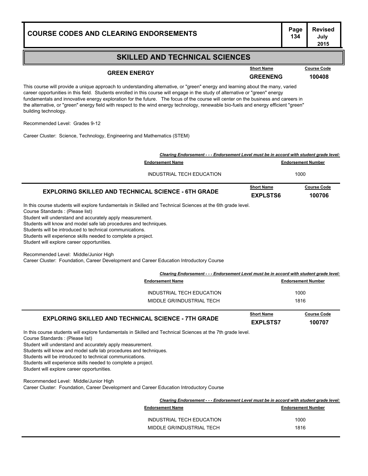### **SKILLED AND TECHNICAL SCIENCES**

## **GREEN ENERGY GREENENG GREENENG 100408**

**Course Code** 

This course will provide a unique approach to understanding alternative, or "green" energy and learning about the many, varied career opportunities in this field. Students enrolled in this course will engage in the study of alternative or "green" energy fundamentals and innovative energy exploration for the future. The focus of the course will center on the business and careers in the alternative, or "green" energy field with respect to the wind energy technology, renewable bio-fuels and energy efficient "green" building technology.

Recommended Level: Grades 9-12

Career Cluster: Science, Technology, Engineering and Mathematics (STEM)

|                                                                                                                                                                                                                                                                                                                                                                                                                                                                                                                                                                                                 | Clearing Endorsement - - - Endorsement Level must be in accord with student grade level: |                   |                           |
|-------------------------------------------------------------------------------------------------------------------------------------------------------------------------------------------------------------------------------------------------------------------------------------------------------------------------------------------------------------------------------------------------------------------------------------------------------------------------------------------------------------------------------------------------------------------------------------------------|------------------------------------------------------------------------------------------|-------------------|---------------------------|
|                                                                                                                                                                                                                                                                                                                                                                                                                                                                                                                                                                                                 | <b>Endorsement Name</b>                                                                  |                   | <b>Endorsement Number</b> |
|                                                                                                                                                                                                                                                                                                                                                                                                                                                                                                                                                                                                 | <b>INDUSTRIAL TECH EDUCATION</b>                                                         |                   | 1000                      |
|                                                                                                                                                                                                                                                                                                                                                                                                                                                                                                                                                                                                 |                                                                                          | <b>Short Name</b> | <b>Course Code</b>        |
| <b>EXPLORING SKILLED AND TECHNICAL SCIENCE - 6TH GRADE</b>                                                                                                                                                                                                                                                                                                                                                                                                                                                                                                                                      |                                                                                          | <b>EXPLSTS6</b>   | 100706                    |
| In this course students will explore fundamentals in Skilled and Technical Sciences at the 6th grade level.<br>Course Standards : (Please list)<br>Student will understand and accurately apply measurement.<br>Students will know and model safe lab procedures and techniques.<br>Students will be introduced to technical communications.<br>Students will experience skills needed to complete a project.<br>Student will explore career opportunities.<br>Recommended Level: Middle/Junior High<br>Career Cluster: Foundation, Career Development and Career Education Introductory Course |                                                                                          |                   |                           |
|                                                                                                                                                                                                                                                                                                                                                                                                                                                                                                                                                                                                 | Clearing Endorsement - - - Endorsement Level must be in accord with student grade level: |                   |                           |
|                                                                                                                                                                                                                                                                                                                                                                                                                                                                                                                                                                                                 | <b>Endorsement Name</b>                                                                  |                   | <b>Endorsement Number</b> |
|                                                                                                                                                                                                                                                                                                                                                                                                                                                                                                                                                                                                 | INDUSTRIAL TECH EDUCATION                                                                |                   | 1000                      |
|                                                                                                                                                                                                                                                                                                                                                                                                                                                                                                                                                                                                 | MIDDLE GR/INDUSTRIAL TECH                                                                |                   | 1816                      |
|                                                                                                                                                                                                                                                                                                                                                                                                                                                                                                                                                                                                 |                                                                                          | <b>Short Name</b> | <b>Course Code</b>        |
| <b>EXPLORING SKILLED AND TECHNICAL SCIENCE - 7TH GRADE</b>                                                                                                                                                                                                                                                                                                                                                                                                                                                                                                                                      |                                                                                          | <b>EXPLSTS7</b>   | 100707                    |
| In this course students will explore fundamentals in Skilled and Technical Sciences at the 7th grade level.<br>Course Standards : (Please list)<br>Student will understand and accurately apply measurement.<br>Students will know and model safe lab procedures and techniques.<br>Students will be introduced to technical communications.<br>Students will experience skills needed to complete a project.<br>Student will explore career opportunities.                                                                                                                                     |                                                                                          |                   |                           |

Recommended Level: Middle/Junior High

Career Cluster: Foundation, Career Development and Career Education Introductory Course

|                           | Clearing Endorsement - - - Endorsement Level must be in accord with student grade level: |  |
|---------------------------|------------------------------------------------------------------------------------------|--|
| <b>Endorsement Name</b>   | <b>Endorsement Number</b>                                                                |  |
| INDUSTRIAL TECH EDUCATION | 1000                                                                                     |  |
| MIDDLE GR/INDUSTRIAL TECH | 1816                                                                                     |  |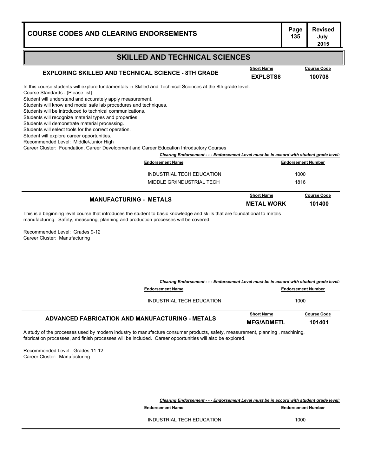#### **Page Revised July 2015 COURSE CODES AND CLEARING ENDORSEMENTS SKILLED AND TECHNICAL SCIENCES** In this course students will explore fundamentals in Skilled and Technical Sciences at the 8th grade level. Course Standards : (Please list) Student will understand and accurately apply measurement. Students will know and model safe lab procedures and techniques. Students will be introduced to technical communications. Students will recognize material types and properties. Students will demonstrate material processing. Students will select tools for the correct operation. Student will explore career opportunities. Recommended Level: Middle/Junior High Career Cluster: Foundation, Career Development and Career Education Introductory Courses **EXPLORING SKILLED AND TECHNICAL SCIENCE - 8TH GRADE EXPLORING SKILLED AND TECHNICAL SCIENCE - 8TH GRADE EXPLSTS8 100708 Course Code** *Clearing Endorsement - - - Endorsement Level must be in accord with student grade level:* **Endorsement Name Endorsement Number** INDUSTRIAL TECH EDUCATION 1000 MIDDLE GR/INDUSTRIAL TECH 1816 **MANUFACTURING - METALS METAL WORK <sup>101400</sup> Course Code**

This is a beginning level course that introduces the student to basic knowledge and skills that are foundational to metals manufacturing. Safety, measuring, planning and production processes will be covered.

Recommended Level: Grades 9-12 Career Cluster: Manufacturing

| Clearing Endorsement - - - Endorsement Level must be in accord with student grade level:                                     |                           |                                        |                              |
|------------------------------------------------------------------------------------------------------------------------------|---------------------------|----------------------------------------|------------------------------|
|                                                                                                                              | <b>Endorsement Name</b>   |                                        | <b>Endorsement Number</b>    |
|                                                                                                                              | INDUSTRIAL TECH EDUCATION |                                        | 1000                         |
| <b>ADVANCED FABRICATION AND MANUFACTURING - METALS</b>                                                                       |                           | <b>Short Name</b><br><b>MFG/ADMETL</b> | <b>Course Code</b><br>101401 |
| A study of the processes used by modern industry to manufacture consumer products, safety, measurement, planning, machining, |                           |                                        |                              |

fabrication processes, and finish processes will be included. Career opportunities will also be explored.

Recommended Level: Grades 11-12 Career Cluster: Manufacturing

| Clearing Endorsement - - - Endorsement Level must be in accord with student grade level: |                           |
|------------------------------------------------------------------------------------------|---------------------------|
| <b>Endorsement Name</b>                                                                  | <b>Endorsement Number</b> |
| INDUSTRIAL TECH EDUCATION                                                                | 1000                      |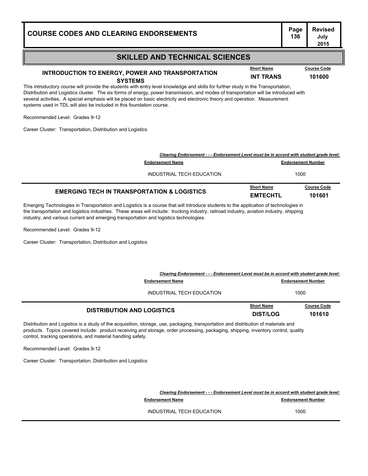### **SKILLED AND TECHNICAL SCIENCES**

#### **INTRODUCTION TO ENERGY, POWER AND TRANSPORTATION**

This introductory course will provide the students with entry level knowledge and skills for further study in the Transportation, Distribution and Logistics cluster. The six forms of energy, power transmission, and modes of transportation will be introduced with several activities. A special emphasis will be placed on basic electricity and electronic theory and operation. Measurement systems used in TDL will also be included in this foundation course. **SYSTEMS INT TRANS <sup>101600</sup>**

**COURSE CODES AND CLEARING ENDORSEMENTS<sup>136</sup>**

Recommended Level: Grades 9-12

Career Cluster: Transportation, Distribution and Logistics

|                                                        | Clearing Endorsement - - - Endorsement Level must be in accord with student grade level: |                           |  |
|--------------------------------------------------------|------------------------------------------------------------------------------------------|---------------------------|--|
| <b>Endorsement Name</b>                                |                                                                                          | <b>Endorsement Number</b> |  |
| INDUSTRIAL TECH EDUCATION                              |                                                                                          | 1000                      |  |
| <b>EMERGING TECH IN TRANSPORTATION &amp; LOGISTICS</b> | <b>Short Name</b>                                                                        | <b>Course Code</b>        |  |
|                                                        | <b>EMTECHTL</b>                                                                          | 101601                    |  |

Emerging Technologies in Transportation and Logistics is a course that will introduce students to the application of technologies in the transportation and logistics industries. These areas will include: trucking industry, railroad industry, aviation industry, shipping industry, and various current and emerging transportation and logistics technologies.

Recommended Level: Grades 9-12

Career Cluster: Transportation, Distribution and Logistics

|                                   | Clearing Endorsement - - - Endorsement Level must be in accord with student grade level: |                              |  |
|-----------------------------------|------------------------------------------------------------------------------------------|------------------------------|--|
| <b>Endorsement Name</b>           | <b>Endorsement Number</b>                                                                |                              |  |
| INDUSTRIAL TECH EDUCATION         | 1000                                                                                     |                              |  |
| <b>DISTRIBUTION AND LOGISTICS</b> | <b>Short Name</b><br><b>DIST/LOG</b>                                                     | <b>Course Code</b><br>101610 |  |

Distribution and Logistics is a study of the acquisition, storage, use, packaging, transportation and distribution of materials and products. Topics covered include: product receiving and storage, order processing, packaging, shipping, inventory control, quality control, tracking operations, and material handling safety.

Recommended Level: Grades 9-12

Career Cluster: Transportation, Distribution and Logistics

*Clearing Endorsement - - - Endorsement Level must be in accord with student grade level:*

**Endorsement Name Endorsement Number Endorsement Number** 

INDUSTRIAL TECH EDUCATION 1000

**Page Revised July** 

**2015**

**Short Name Course Code**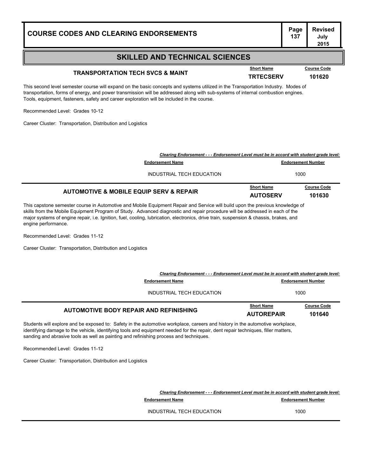| <b>COURSE CODES AND CLEARING ENDORSEMENTS</b>                                                                                                                                                                                                                                                                                                                       | Page<br>137               | <b>Revised</b><br>July<br>2015 |
|---------------------------------------------------------------------------------------------------------------------------------------------------------------------------------------------------------------------------------------------------------------------------------------------------------------------------------------------------------------------|---------------------------|--------------------------------|
| <b>SKILLED AND TECHNICAL SCIENCES</b>                                                                                                                                                                                                                                                                                                                               |                           |                                |
| <b>Short Name</b><br><b>TRANSPORTATION TECH SVCS &amp; MAINT</b><br><b>TRTECSERV</b>                                                                                                                                                                                                                                                                                |                           | <b>Course Code</b><br>101620   |
| This second level semester course will expand on the basic concepts and systems utilized in the Transportation Industry. Modes of<br>transportation, forms of energy, and power transmission will be addressed along with sub-systems of internal combustion engines.<br>Tools, equipment, fasteners, safety and career exploration will be included in the course. |                           |                                |
| Recommended Level: Grades 10-12<br>Career Cluster: Transportation, Distribution and Logistics                                                                                                                                                                                                                                                                       |                           |                                |
|                                                                                                                                                                                                                                                                                                                                                                     |                           |                                |
| Clearing Endorsement - - - Endorsement Level must be in accord with student grade level:                                                                                                                                                                                                                                                                            |                           |                                |
| <b>Endorsement Name</b>                                                                                                                                                                                                                                                                                                                                             | <b>Endorsement Number</b> |                                |
| INDUSTRIAL TECH EDUCATION                                                                                                                                                                                                                                                                                                                                           | 1000                      |                                |

| <b>AUTOMOTIVE &amp; MOBILE EQUIP SERV &amp; REPAIR</b> | <b>Short Name</b> | <b>Course Code</b> |
|--------------------------------------------------------|-------------------|--------------------|
|                                                        | <b>AUTOSERV</b>   | 101630             |

This capstone semester course in Automotive and Mobile Equipment Repair and Service will build upon the previous knowledge of skills from the Mobile Equipment Program of Study. Advanced diagnostic and repair procedure will be addressed in each of the major systems of engine repair, i.e. Ignition, fuel, cooling, lubrication, electronics, drive train, suspension & chassis, brakes, and engine performance.

Recommended Level: Grades 11-12

Career Cluster: Transportation, Distribution and Logistics

| Clearing Endorsement - - - Endorsement Level must be in accord with student grade level: |                   |                           |
|------------------------------------------------------------------------------------------|-------------------|---------------------------|
| <b>Endorsement Name</b>                                                                  |                   | <b>Endorsement Number</b> |
| INDUSTRIAL TECH EDUCATION                                                                | 1000              |                           |
| AUTOMOTIVE BODY REPAIR AND REFINISHING                                                   | <b>Short Name</b> | <b>Course Code</b>        |
|                                                                                          | <b>AUTOREPAIR</b> | 101640                    |

Students will explore and be exposed to: Safety in the automotive workplace, careers and history in the automotive workplace, identifying damage to the vehicle, identifying tools and equipment needed for the repair, dent repair techniques, filler matters, sanding and abrasive tools as well as painting and refinishing process and techniques.

Recommended Level: Grades 11-12

Career Cluster: Transportation, Distribution and Logistics

*Clearing Endorsement - - - Endorsement Level must be in accord with student grade level:* **Endorsement Name Endorsement Number** INDUSTRIAL TECH EDUCATION 1000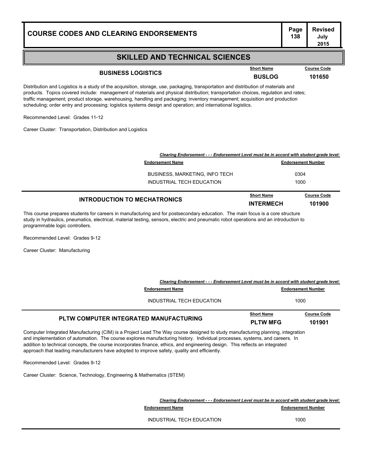### **Page Revised July**

### **SKILLED AND TECHNICAL SCIENCES**

## **BUSINESS LOGISTICS BUSLOG <sup>101650</sup>**

**Course Code** 

Distribution and Logistics is a study of the acquisition, storage, use, packaging, transportation and distribution of materials and products. Topics covered include: management of materials and physical distribution; transportation choices, regulation and rates; traffic management; product storage, warehousing, handling and packaging; inventory management; acquisition and production scheduling; order entry and processing; logistics systems design and operation; and international logistics.

Recommended Level: Grades 11-12

Career Cluster: Transportation, Distribution and Logistics

| <b>INTRODUCTION TO MECHATRONICS</b>                                                      | <b>Short Name</b><br><b>INTERMECH</b> | <b>Course Code</b><br>101900 |
|------------------------------------------------------------------------------------------|---------------------------------------|------------------------------|
| INDUSTRIAL TECH EDUCATION                                                                | 1000                                  |                              |
| BUSINESS, MARKETING, INFO TECH                                                           |                                       | 0304                         |
| <b>Endorsement Name</b>                                                                  |                                       | <b>Endorsement Number</b>    |
| Clearing Endorsement - - - Endorsement Level must be in accord with student grade level: |                                       |                              |

This course prepares students for careers in manufacturing and for postsecondary education. The main focus is a core structure study in hydraulics, pneumatics, electrical, material testing, sensors, electric and pneumatic robot operations and an introduction to programmable logic controllers.

Recommended Level: Grades 9-12

Career Cluster: Manufacturing

|                                                                                                                                | Clearing Endorsement - - - Endorsement Level must be in accord with student grade level: |                              |  |
|--------------------------------------------------------------------------------------------------------------------------------|------------------------------------------------------------------------------------------|------------------------------|--|
| <b>Endorsement Name</b>                                                                                                        |                                                                                          | <b>Endorsement Number</b>    |  |
| INDUSTRIAL TECH EDUCATION                                                                                                      |                                                                                          | 1000                         |  |
| PLTW COMPUTER INTEGRATED MANUFACTURING                                                                                         | <b>Short Name</b><br><b>PLTW MFG</b>                                                     | <b>Course Code</b><br>101901 |  |
| Computer Integrated Manufacturing (CIM) is a Project Lead The Way course designed to study manufacturing planning, integration |                                                                                          |                              |  |

and implementation of automation. The course explores manufacturing history. Individual processes, systems, and careers. In addition to technical concepts, the course incorporates finance, ethics, and engineering design. This reflects an integrated approach that leading manufacturers have adopted to improve safety, quality and efficiently.

Recommended Level: Grades 9-12

Career Cluster: Science, Technology, Engineering & Mathematics (STEM)

|                           | Clearing Endorsement - - - Endorsement Level must be in accord with student grade level: |  |
|---------------------------|------------------------------------------------------------------------------------------|--|
| <b>Endorsement Name</b>   | <b>Endorsement Number</b>                                                                |  |
| INDUSTRIAL TECH EDUCATION | 1000                                                                                     |  |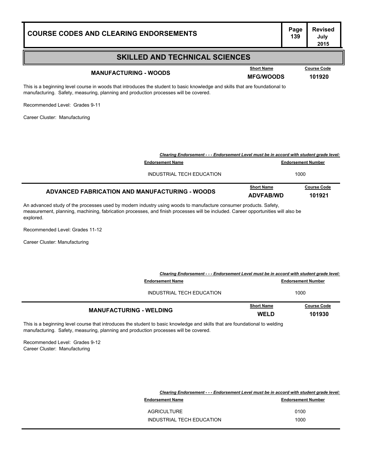| <b>COURSE CODES AND CLEARING ENDORSEMENTS</b>                                                                                                                                                                                                                      |                                                                                                                     |                                       | Page<br>139               | <b>Revised</b><br>July<br>2015 |
|--------------------------------------------------------------------------------------------------------------------------------------------------------------------------------------------------------------------------------------------------------------------|---------------------------------------------------------------------------------------------------------------------|---------------------------------------|---------------------------|--------------------------------|
|                                                                                                                                                                                                                                                                    | <b>SKILLED AND TECHNICAL SCIENCES</b>                                                                               |                                       |                           |                                |
| <b>MANUFACTURING - WOODS</b>                                                                                                                                                                                                                                       |                                                                                                                     | <b>Short Name</b><br><b>MFG/WOODS</b> |                           | <b>Course Code</b><br>101920   |
| This is a beginning level course in woods that introduces the student to basic knowledge and skills that are foundational to<br>manufacturing. Safety, measuring, planning and production processes will be covered.                                               |                                                                                                                     |                                       |                           |                                |
| Recommended Level: Grades 9-11                                                                                                                                                                                                                                     |                                                                                                                     |                                       |                           |                                |
| Career Cluster: Manufacturing                                                                                                                                                                                                                                      |                                                                                                                     |                                       |                           |                                |
|                                                                                                                                                                                                                                                                    | Clearing Endorsement - - - Endorsement Level must be in accord with student grade level:                            |                                       |                           |                                |
|                                                                                                                                                                                                                                                                    | <b>Endorsement Name</b>                                                                                             |                                       | <b>Endorsement Number</b> |                                |
|                                                                                                                                                                                                                                                                    | INDUSTRIAL TECH EDUCATION                                                                                           |                                       | 1000                      |                                |
| <b>ADVANCED FABRICATION AND MANUFACTURING - WOODS</b>                                                                                                                                                                                                              |                                                                                                                     | <b>Short Name</b><br><b>ADVFAB/WD</b> |                           | <b>Course Code</b><br>101921   |
| An advanced study of the processes used by modern industry using woods to manufacture consumer products. Safety,<br>measurement, planning, machining, fabrication processes, and finish processes will be included. Career opportunities will also be<br>explored. |                                                                                                                     |                                       |                           |                                |
| Recommended Level: Grades 11-12                                                                                                                                                                                                                                    |                                                                                                                     |                                       |                           |                                |
| Career Cluster: Manufacturing                                                                                                                                                                                                                                      |                                                                                                                     |                                       |                           |                                |
|                                                                                                                                                                                                                                                                    | Clearing Endorsement - - - Endorsement Level must be in accord with student grade level:<br><b>Endorsement Name</b> |                                       | <b>Endorsement Number</b> |                                |
|                                                                                                                                                                                                                                                                    | INDUSTRIAL TECH EDUCATION                                                                                           |                                       | 1000                      |                                |
| <b>MANUFACTURING - WELDING</b>                                                                                                                                                                                                                                     |                                                                                                                     | <b>Short Name</b>                     |                           | <b>Course Code</b>             |
| This is a beginning level course that introduces the student to basic knowledge and skills that are foundational to welding<br>manufacturing. Safety, measuring, planning and production processes will be covered.<br>Recommended Level: Grades 9-12              |                                                                                                                     | <b>WELD</b>                           |                           | 101930                         |
| Career Cluster: Manufacturing                                                                                                                                                                                                                                      |                                                                                                                     |                                       |                           |                                |

|                           | Clearing Endorsement - - - Endorsement Level must be in accord with student grade level: |
|---------------------------|------------------------------------------------------------------------------------------|
| <b>Endorsement Name</b>   | <b>Endorsement Number</b>                                                                |
| AGRICULTURE               | 0100                                                                                     |
| INDUSTRIAL TECH EDUCATION | 1000                                                                                     |

Ŧ.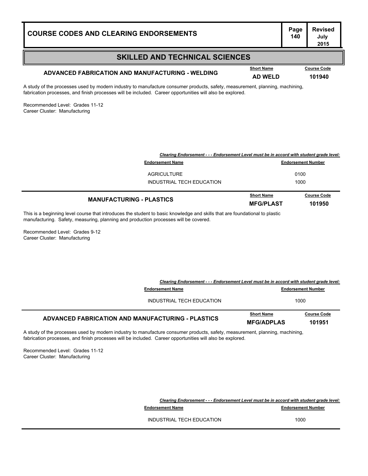| <b>COURSE CODES AND CLEARING ENDORSEMENTS</b> | Page<br>140 |
|-----------------------------------------------|-------------|
|                                               |             |

### **SKILLED AND TECHNICAL SCIENCES**

## **ADVANCED FABRICATION AND MANUFACTURING - WELDING AD WELD <sup>101940</sup>**

**Course Code** 

A study of the processes used by modern industry to manufacture consumer products, safety, measurement, planning, machining, fabrication processes, and finish processes will be included. Career opportunities will also be explored.

Recommended Level: Grades 11-12 Career Cluster: Manufacturing

| <b>Course Code</b>                                                                       |
|------------------------------------------------------------------------------------------|
|                                                                                          |
|                                                                                          |
| Clearing Endorsement - - - Endorsement Level must be in accord with student grade level: |
| <b>Endorsement Number</b>                                                                |

This is a beginning level course that introduces the student to basic knowledge and skills that are foundational to plastic manufacturing. Safety, measuring, planning and production processes will be covered.

Recommended Level: Grades 9-12 Career Cluster: Manufacturing

|                                                                                                                          | Clearing Endorsement - - - Endorsement Level must be in accord with student grade level: |                              |
|--------------------------------------------------------------------------------------------------------------------------|------------------------------------------------------------------------------------------|------------------------------|
| <b>Endorsement Name</b>                                                                                                  |                                                                                          | <b>Endorsement Number</b>    |
| INDUSTRIAL TECH EDUCATION                                                                                                |                                                                                          | 1000                         |
| ADVANCED FABRICATION AND MANUFACTURING - PLASTICS                                                                        | <b>Short Name</b><br><b>MFG/ADPLAS</b>                                                   | <b>Course Code</b><br>101951 |
| $\mu$ of the presences used by modern industry to manufacture consumer products, eafety measurement, planning, moobining |                                                                                          |                              |

A study of the processes used by modern industry to manufacture consumer products, safety, measurement, planning, machining, fabrication processes, and finish processes will be included. Career opportunities will also be explored.

Recommended Level: Grades 11-12 Career Cluster: Manufacturing

> *Clearing Endorsement - - - Endorsement Level must be in accord with student grade level:* **Endorsement Name Endorsement Number** 140.000 **Endorsement Number** INDUSTRIAL TECH EDUCATION 1000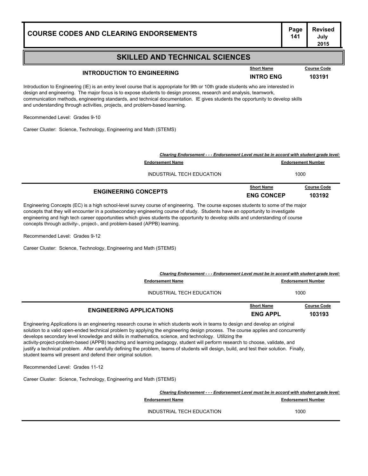| <b>COURSE CODES AND CLEARING ENDORSEMENTS</b>                                                                                                                                                                                                                                                                                                                                                                                                                            |                                                                                          |                                       | Page<br>141               | Revised<br>July<br>2015      |
|--------------------------------------------------------------------------------------------------------------------------------------------------------------------------------------------------------------------------------------------------------------------------------------------------------------------------------------------------------------------------------------------------------------------------------------------------------------------------|------------------------------------------------------------------------------------------|---------------------------------------|---------------------------|------------------------------|
|                                                                                                                                                                                                                                                                                                                                                                                                                                                                          | <b>SKILLED AND TECHNICAL SCIENCES</b>                                                    |                                       |                           |                              |
| <b>INTRODUCTION TO ENGINEERING</b>                                                                                                                                                                                                                                                                                                                                                                                                                                       |                                                                                          | <b>Short Name</b><br><b>INTRO ENG</b> |                           | <b>Course Code</b><br>103191 |
| Introduction to Engineering (IE) is an entry level course that is appropriate for 9th or 10th grade students who are interested in<br>design and engineering. The major focus is to expose students to design process, research and analysis, teamwork,<br>communication methods, engineering standards, and technical documentation. IE gives students the opportunity to develop skills<br>and understanding through activities, projects, and problem-based learning. |                                                                                          |                                       |                           |                              |
| Recommended Level: Grades 9-10                                                                                                                                                                                                                                                                                                                                                                                                                                           |                                                                                          |                                       |                           |                              |
| Career Cluster: Science, Technology, Engineering and Math (STEMS)                                                                                                                                                                                                                                                                                                                                                                                                        |                                                                                          |                                       |                           |                              |
|                                                                                                                                                                                                                                                                                                                                                                                                                                                                          | Clearing Endorsement - - - Endorsement Level must be in accord with student grade level: |                                       |                           |                              |
|                                                                                                                                                                                                                                                                                                                                                                                                                                                                          | <b>Endorsement Name</b>                                                                  |                                       | <b>Endorsement Number</b> |                              |
|                                                                                                                                                                                                                                                                                                                                                                                                                                                                          | INDUSTRIAL TECH EDUCATION                                                                |                                       | 1000                      |                              |

|                             | <b>Short Name</b> | <b>Course Code</b> |
|-----------------------------|-------------------|--------------------|
| <b>ENGINEERING CONCEPTS</b> | <b>ENG CONCEP</b> | 103192             |

**Page Revised**

Engineering Concepts (EC) is a high school-level survey course of engineering. The course exposes students to some of the major concepts that they will encounter in a postsecondary engineering course of study. Students have an opportunity to investigate engineering and high tech career opportunities which gives students the opportunity to develop skills and understanding of course concepts through activity-, project-, and problem-based (APPB) learning.

Recommended Level: Grades 9-12

Career Cluster: Science, Technology, Engineering and Math (STEMS)

| Clearing Endorsement - - - Endorsement Level must be in accord with student grade level: |                                      |                              |
|------------------------------------------------------------------------------------------|--------------------------------------|------------------------------|
| <b>Endorsement Name</b>                                                                  | <b>Endorsement Number</b>            |                              |
| INDUSTRIAL TECH EDUCATION                                                                | 1000                                 |                              |
| <b>ENGINEERING APPLICATIONS</b>                                                          | <b>Short Name</b><br><b>ENG APPL</b> | <b>Course Code</b><br>103193 |

Engineering Applications is an engineering research course in which students work in teams to design and develop an original solution to a valid open-ended technical problem by applying the engineering design process. The course applies and concurrently develops secondary level knowledge and skills in mathematics, science, and technology. Utilizing the activity-project-problem-based (APPB) teaching and learning pedagogy, student will perform research to choose, validate, and justify a technical problem. After carefully defining the problem, teams of students will design, build, and test their solution. Finally, student teams will present and defend their original solution.

Recommended Level: Grades 11-12

Career Cluster: Science, Technology, Engineering and Math (STEMS)

| Clearing Endorsement - - - Endorsement Level must be in accord with student grade level: |                           |
|------------------------------------------------------------------------------------------|---------------------------|
| <b>Endorsement Name</b>                                                                  | <b>Endorsement Number</b> |
| INDUSTRIAL TECH EDUCATION                                                                | 1000                      |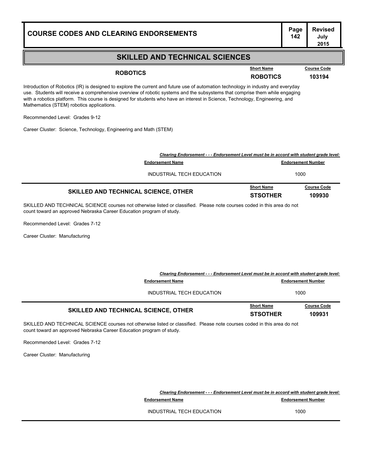### **SKILLED AND TECHNICAL SCIENCES**

**ROBOTICS ROBOTICS <sup>103194</sup> Short Name Course Code**

Introduction of Robotics (IR) is designed to explore the current and future use of automation technology in industry and everyday use. Students will receive a comprehensive overview of robotic systems and the subsystems that comprise them while engaging with a robotics platform. This course is designed for students who have an interest in Science, Technology, Engineering, and Mathematics (STEM) robotics applications.

Recommended Level: Grades 9-12

Career Cluster: Science, Technology, Engineering and Math (STEM)

| Clearing Endorsement - - - Endorsement Level must be in accord with student grade level: |                                      |                              |
|------------------------------------------------------------------------------------------|--------------------------------------|------------------------------|
| <b>Endorsement Name</b>                                                                  |                                      | <b>Endorsement Number</b>    |
| INDUSTRIAL TECH EDUCATION                                                                |                                      | 1000                         |
| <b>SKILLED AND TECHNICAL SCIENCE, OTHER</b>                                              | <b>Short Name</b><br><b>STSOTHER</b> | <b>Course Code</b><br>109930 |
|                                                                                          |                                      |                              |

SKILLED AND TECHNICAL SCIENCE courses not otherwise listed or classified. Please note courses coded in this area do not count toward an approved Nebraska Career Education program of study.

Recommended Level: Grades 7-12

Career Cluster: Manufacturing

| Clearing Endorsement - - - Endorsement Level must be in accord with student grade level: |                                      |                              |
|------------------------------------------------------------------------------------------|--------------------------------------|------------------------------|
| <b>Endorsement Name</b>                                                                  |                                      | <b>Endorsement Number</b>    |
| INDUSTRIAL TECH EDUCATION                                                                |                                      | 1000                         |
| <b>SKILLED AND TECHNICAL SCIENCE, OTHER</b>                                              | <b>Short Name</b><br><b>STSOTHER</b> | <b>Course Code</b><br>109931 |

SKILLED AND TECHNICAL SCIENCE courses not otherwise listed or classified. Please note courses coded in this area do not count toward an approved Nebraska Career Education program of study.

Recommended Level: Grades 7-12

Career Cluster: Manufacturing

*Clearing Endorsement - - - Endorsement Level must be in accord with student grade level:* **Endorsement Name Endorsement Number** 

INDUSTRIAL TECH EDUCATION 1000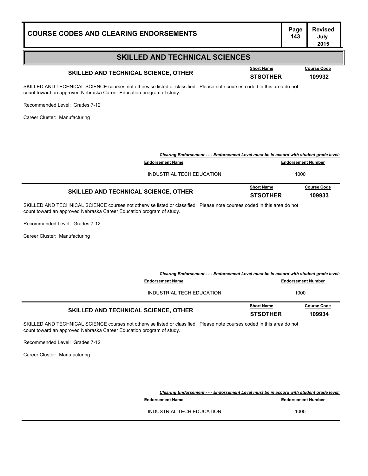| <b>COURSE CODES AND CLEARING ENDORSEMENTS</b>                                                                                                                                                   |                                      | Page<br>143               | <b>Revised</b><br>July<br>2015 |
|-------------------------------------------------------------------------------------------------------------------------------------------------------------------------------------------------|--------------------------------------|---------------------------|--------------------------------|
| <b>SKILLED AND TECHNICAL SCIENCES</b>                                                                                                                                                           |                                      |                           |                                |
| SKILLED AND TECHNICAL SCIENCE, OTHER                                                                                                                                                            | <b>Short Name</b><br><b>STSOTHER</b> |                           | <b>Course Code</b><br>109932   |
| SKILLED AND TECHNICAL SCIENCE courses not otherwise listed or classified. Please note courses coded in this area do not<br>count toward an approved Nebraska Career Education program of study. |                                      |                           |                                |
| Recommended Level: Grades 7-12                                                                                                                                                                  |                                      |                           |                                |
| Career Cluster: Manufacturing                                                                                                                                                                   |                                      |                           |                                |
|                                                                                                                                                                                                 |                                      |                           |                                |
|                                                                                                                                                                                                 |                                      |                           |                                |
| Clearing Endorsement - - - Endorsement Level must be in accord with student grade level:                                                                                                        |                                      |                           |                                |
| <b>Endorsement Name</b>                                                                                                                                                                         |                                      | <b>Endorsement Number</b> |                                |
| INDUSTRIAL TECH EDUCATION                                                                                                                                                                       |                                      | 1000                      |                                |
| SKILLED AND TECHNICAL SCIENCE, OTHER                                                                                                                                                            | <b>Short Name</b>                    |                           | <b>Course Code</b>             |
|                                                                                                                                                                                                 | <b>STSOTHER</b>                      |                           | 109933                         |
| SKILLED AND TECHNICAL SCIENCE courses not otherwise listed or classified. Please note courses coded in this area do not<br>count toward an approved Nebraska Career Education program of study. |                                      |                           |                                |
| Recommended Level: Grades 7-12                                                                                                                                                                  |                                      |                           |                                |
| Career Cluster: Manufacturing                                                                                                                                                                   |                                      |                           |                                |
|                                                                                                                                                                                                 |                                      |                           |                                |
|                                                                                                                                                                                                 |                                      |                           |                                |
| Clearing Endorsement - - - Endorsement Level must be in accord with student grade level:                                                                                                        |                                      |                           |                                |
| <b>Endorsement Name</b>                                                                                                                                                                         |                                      | <b>Endorsement Number</b> |                                |
| INDUSTRIAL TECH EDUCATION                                                                                                                                                                       |                                      | 1000                      |                                |
| SKILLED AND TECHNICAL SCIENCE, OTHER                                                                                                                                                            | <b>Short Name</b>                    |                           | <b>Course Code</b>             |
|                                                                                                                                                                                                 | <b>STSOTHER</b>                      |                           | 109934                         |

SKILLED AND TECHNICAL SCIENCE courses not otherwise listed or classified. Please note courses coded in this area do not count toward an approved Nebraska Career Education program of study.

Recommended Level: Grades 7-12

Career Cluster: Manufacturing

*Clearing Endorsement - - - Endorsement Level must be in accord with student grade level:* **Endorsement Name Endorsement Number** 143.000 **Endorsement Number** 

INDUSTRIAL TECH EDUCATION 1000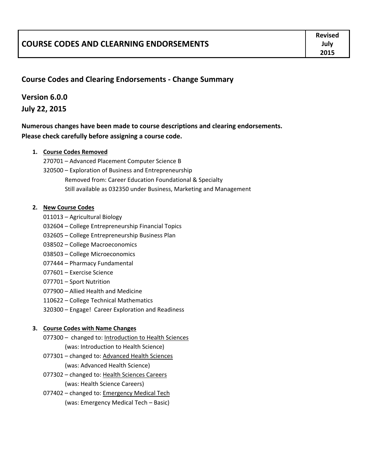|                                                | <b>Revised</b> |
|------------------------------------------------|----------------|
| <b>COURSE CODES AND CLEARNING ENDORSEMENTS</b> | July           |
|                                                | 2015           |

### **Course Codes and Clearing Endorsements ‐ Change Summary**

### **Version 6.0.0 July 22, 2015**

**Numerous changes have been made to course descriptions and clearing endorsements. Please check carefully before assigning a course code.**

#### **1. Course Codes Removed**

270701 – Advanced Placement Computer Science B 320500 – Exploration of Business and Entrepreneurship Removed from: Career Education Foundational & Specialty Still available as 032350 under Business, Marketing and Management

#### **2. New Course Codes**

- 011013 Agricultural Biology
- 032604 College Entrepreneurship Financial Topics
- 032605 College Entrepreneurship Business Plan
- 038502 College Macroeconomics
- 038503 College Microeconomics
- 077444 Pharmacy Fundamental
- 077601 Exercise Science
- 077701 Sport Nutrition
- 077900 Allied Health and Medicine
- 110622 College Technical Mathematics
- 320300 Engage! Career Exploration and Readiness

#### **3. Course Codes with Name Changes**

- 077300 changed to: Introduction to Health Sciences (was: Introduction to Health Science)
- 077301 changed to: Advanced Health Sciences (was: Advanced Health Science)
- 077302 changed to: Health Sciences Careers (was: Health Science Careers)
- 077402 changed to: **Emergency Medical Tech** (was: Emergency Medical Tech – Basic)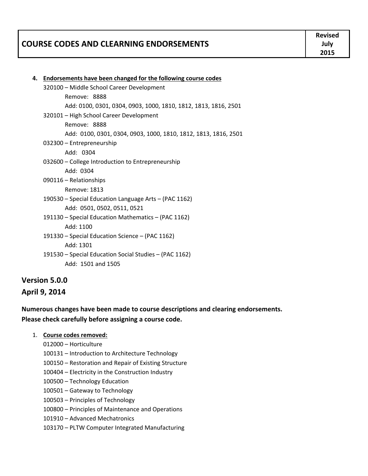|                                                | <b>Revised</b> |
|------------------------------------------------|----------------|
| <b>COURSE CODES AND CLEARNING ENDORSEMENTS</b> | Julv           |
|                                                | 2015           |

| 4. Endorsements have been changed for the following course codes |
|------------------------------------------------------------------|
| 320100 - Middle School Career Development                        |
| Remove: 8888                                                     |
| Add: 0100, 0301, 0304, 0903, 1000, 1810, 1812, 1813, 1816, 2501  |
| 320101 - High School Career Development                          |
| Remove: 8888                                                     |
| Add: 0100, 0301, 0304, 0903, 1000, 1810, 1812, 1813, 1816, 2501  |
| 032300 - Entrepreneurship                                        |
| Add: 0304                                                        |
| 032600 - College Introduction to Entrepreneurship                |
| Add: 0304                                                        |
| 090116 - Relationships                                           |
| Remove: 1813                                                     |
| 190530 – Special Education Language Arts – (PAC 1162)            |
| Add: 0501, 0502, 0511, 0521                                      |
| 191130 - Special Education Mathematics - (PAC 1162)              |
| Add: 1100                                                        |
| 191330 – Special Education Science – (PAC 1162)                  |
| Add: 1301                                                        |
| 191530 – Special Education Social Studies – (PAC 1162)           |
| Add: 1501 and 1505                                               |
|                                                                  |

# **Version 5.0.0 April 9, 2014**

## **Numerous changes have been made to course descriptions and clearing endorsements. Please check carefully before assigning a course code.**

- 1. **Course codes removed:**
	- 012000 Horticulture
	- 100131 Introduction to Architecture Technology
	- 100150 Restoration and Repair of Existing Structure
	- 100404 Electricity in the Construction Industry
	- 100500 Technology Education
	- 100501 Gateway to Technology
	- 100503 Principles of Technology
	- 100800 Principles of Maintenance and Operations
	- 101910 Advanced Mechatronics
	- 103170 PLTW Computer Integrated Manufacturing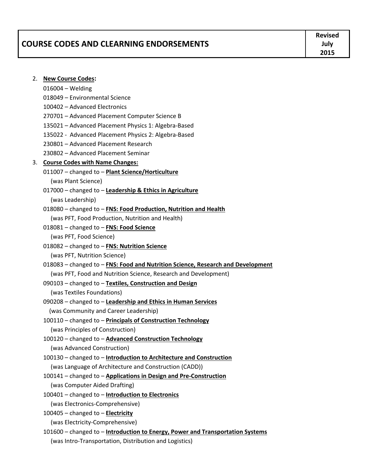|                                           | <b>Revised</b> |
|-------------------------------------------|----------------|
| l COURSE CODES AND CLEARNING ENDORSEMENTS | Julv           |
|                                           | 2015           |

#### 2. **New Course Codes:**

- 016004 Welding
- 018049 Environmental Science
- 100402 Advanced Electronics
- 270701 Advanced Placement Computer Science B
- 135021 Advanced Placement Physics 1: Algebra‐Based
- 135022 ‐ Advanced Placement Physics 2: Algebra‐Based
- 230801 Advanced Placement Research
- 230802 Advanced Placement Seminar

#### 3. **Course Codes with Name Changes:**

- 011007 changed to **Plant Science/Horticulture** (was Plant Science)
- 017000 changed to **Leadership & Ethics in Agriculture** (was Leadership)
- 018080 changed to **FNS: Food Production, Nutrition and Health** (was PFT, Food Production, Nutrition and Health)
- 018081 changed to **FNS: Food Science**

(was PFT, Food Science)

- 018082 changed to **FNS: Nutrition Science** (was PFT, Nutrition Science)
- 018083 changed to **FNS: Food and Nutrition Science, Research and Development** (was PFT, Food and Nutrition Science, Research and Development)
- 090103 changed to **Textiles, Construction and Design**

(was Textiles Foundations)

- 090208 changed to **Leadership and Ethics in Human Services** (was Community and Career Leadership)
- 100110 changed to **Principals of Construction Technology** (was Principles of Construction)
- 100120 changed to **Advanced Construction Technology** (was Advanced Construction)
- 100130 changed to **Introduction to Architecture and Construction** (was Language of Architecture and Construction (CADD))
- 100141 changed to **Applications in Design and Pre‐Construction** (was Computer Aided Drafting)
- 100401 changed to **Introduction to Electronics**

(was Electronics‐Comprehensive)

100405 – changed to – **Electricity**

- (was Electricity‐Comprehensive)
- 101600 changed to **Introduction to Energy, Power and Transportation Systems** (was Intro‐Transportation, Distribution and Logistics)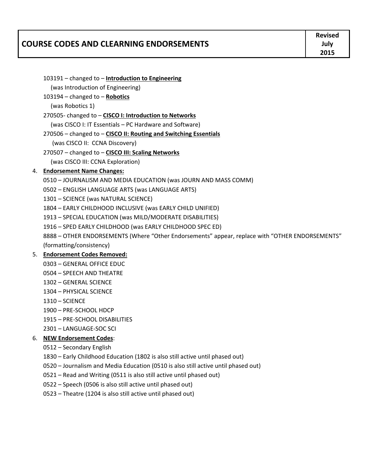|                                                | <b>Revised</b> |
|------------------------------------------------|----------------|
| <b>COURSE CODES AND CLEARNING ENDORSEMENTS</b> | July           |
|                                                | 2015           |

- changed to **Robotics**  (was Robotics 1) ‐ changed to – **CISCO I: Introduction to Networks** (was CISCO I: IT Essentials – PC Hardware and Software) – changed to – **CISCO II: Routing and Switching Essentials** (was CISCO II: CCNA Discovery) – changed to – **CISCO III: Scaling Networks**
- (was CISCO III: CCNA Exploration)

– changed to – **Introduction to Engineering**

(was Introduction of Engineering)

## 4. **Endorsement Name Changes:**

- JOURNALISM AND MEDIA EDUCATION (was JOURN AND MASS COMM)
- ENGLISH LANGUAGE ARTS (was LANGUAGE ARTS)
- SCIENCE (was NATURAL SCIENCE)
- EARLY CHILDHOOD INCLUSIVE (was EARLY CHILD UNIFIED)
- SPECIAL EDUCATION (was MILD/MODERATE DISABILITIES)
- SPED EARLY CHILDHOOD (was EARLY CHILDHOOD SPEC ED)
- OTHER ENDORSEMENTS (Where "Other Endorsements" appear, replace with "OTHER ENDORSEMENTS" (formatting/consistency)

## 5. **Endorsement Codes Removed:**

- GENERAL OFFICE EDUC
- SPEECH AND THEATRE
- GENERAL SCIENCE
- PHYSICAL SCIENCE
- SCIENCE
- PRE‐SCHOOL HDCP
- PRE‐SCHOOL DISABILITIES
- LANGUAGE‐SOC SCI

## 6. **NEW Endorsement Codes**:

- Secondary English
- Early Childhood Education (1802 is also still active until phased out)
- Journalism and Media Education (0510 is also still active until phased out)
- Read and Writing (0511 is also still active until phased out)
- Speech (0506 is also still active until phased out)
- Theatre (1204 is also still active until phased out)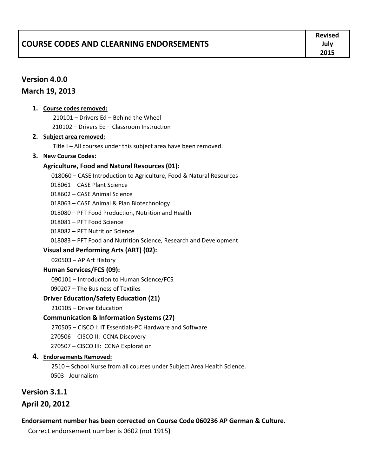|                                         | <b>Revised</b> |
|-----------------------------------------|----------------|
| COURSE CODES AND CLEARNING ENDORSEMENTS | July           |
|                                         | 2015           |

## **Version 4.0.0**

### **March 19, 2013**

#### **1. Course codes removed:**

210101 – Drivers Ed – Behind the Wheel

210102 – Drivers Ed – Classroom Instruction

#### **2. Subject area removed:**

Title I – All courses under this subject area have been removed.

### **3. New Course Codes:**

### **Agriculture, Food and Natural Resources (01):**

018060 – CASE Introduction to Agriculture, Food & Natural Resources

018061 – CASE Plant Science

018602 – CASE Animal Science

018063 – CASE Animal & Plan Biotechnology

018080 – PFT Food Production, Nutrition and Health

018081 – PFT Food Science

018082 – PFT Nutrition Science

018083 – PFT Food and Nutrition Science, Research and Development

### **Visual and Performing Arts (ART) (02):**

020503 – AP Art History

### **Human Services/FCS (09):**

090101 – Introduction to Human Science/FCS

090207 – The Business of Textiles

### **Driver Education/Safety Education (21)**

210105 – Driver Education

### **Communication & Information Systems (27)**

270505 – CISCO I: IT Essentials‐PC Hardware and Software

270506 ‐ CISCO II: CCNA Discovery

270507 – CISCO III: CCNA Exploration

### **4. Endorsements Removed:**

2510 – School Nurse from all courses under Subject Area Health Science. 0503 ‐ Journalism

## **Version 3.1.1**

## **April 20, 2012**

## **Endorsement number has been corrected on Course Code 060236 AP German & Culture.**

Correct endorsement number is 0602 (not 1915**)**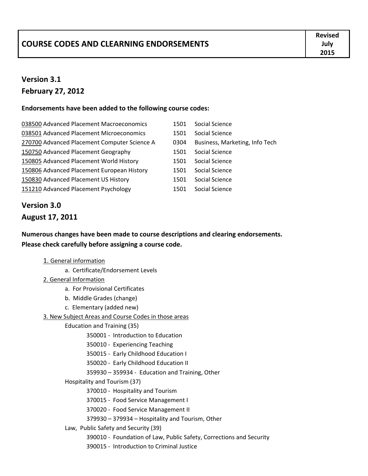|                                                | <b>Revised</b> |
|------------------------------------------------|----------------|
| <b>COURSE CODES AND CLEARNING ENDORSEMENTS</b> | July           |
|                                                | 2015           |

# **Version 3.1 February 27, 2012**

### **Endorsements have been added to the following course codes:**

- 038500 Advanced Placement Macroeconomics 1501 Social Science 038501 Advanced Placement Microeconomics 1501 Social Science 270700 Advanced Placement Computer Science A 0304 Business, Marketing, Info Tech 150750 Advanced Placement Geography 1501 Social Science 150805 Advanced Placement World History 1501 Social Science 150806 Advanced Placement European History 1501 Social Science 150830 Advanced Placement US History 1501 Social Science 151210 Advanced Placement Psychology 1501 Social Science
	-
	-
	-
	-
	-
	-
	-
	-

# **Version 3.0**

## **August 17, 2011**

**Numerous changes have been made to course descriptions and clearing endorsements. Please check carefully before assigning a course code.**

### 1. General information

- a. Certificate/Endorsement Levels
- 2. General Information
	- a. For Provisional Certificates
	- b. Middle Grades (change)
	- c. Elementary (added new)

### 3. New Subject Areas and Course Codes in those areas

- Education and Training (35)
	- 350001 ‐ Introduction to Education
	- 350010 ‐ Experiencing Teaching
	- 350015 ‐ Early Childhood Education I
	- 350020 ‐ Early Childhood Education II
	- 359930 359934 ‐ Education and Training, Other
- Hospitality and Tourism (37)
	- 370010 ‐ Hospitality and Tourism
	- 370015 ‐ Food Service Management I
	- 370020 ‐ Food Service Management II
	- 379930 379934 Hospitality and Tourism, Other
- Law, Public Safety and Security (39)
	- 390010 ‐ Foundation of Law, Public Safety, Corrections and Security
	- 390015 ‐ Introduction to Criminal Justice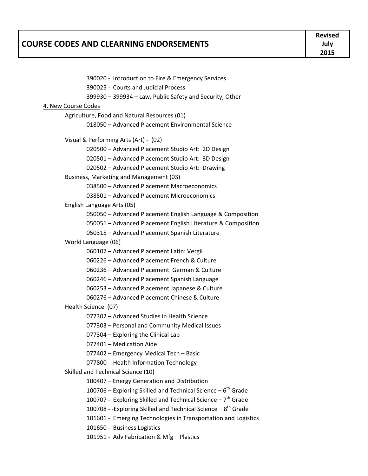|                                         | <b>Revised</b> |
|-----------------------------------------|----------------|
| COURSE CODES AND CLEARNING ENDORSEMENTS | July           |
|                                         | 2015           |

| 390020 - Introduction to Fire & Emergency Services                        |  |
|---------------------------------------------------------------------------|--|
| 390025 - Courts and Judicial Process                                      |  |
| 399930 - 399934 - Law, Public Safety and Security, Other                  |  |
| 4. New Course Codes                                                       |  |
| Agriculture, Food and Natural Resources (01)                              |  |
| 018050 - Advanced Placement Environmental Science                         |  |
|                                                                           |  |
| Visual & Performing Arts (Art) - (02)                                     |  |
| 020500 - Advanced Placement Studio Art: 2D Design                         |  |
| 020501 - Advanced Placement Studio Art: 3D Design                         |  |
| 020502 - Advanced Placement Studio Art: Drawing                           |  |
| Business, Marketing and Management (03)                                   |  |
| 038500 - Advanced Placement Macroeconomics                                |  |
| 038501 - Advanced Placement Microeconomics                                |  |
| English Language Arts (05)                                                |  |
| 050050 - Advanced Placement English Language & Composition                |  |
| 050051 - Advanced Placement English Literature & Composition              |  |
| 050315 - Advanced Placement Spanish Literature                            |  |
| World Language (06)                                                       |  |
| 060107 - Advanced Placement Latin: Vergil                                 |  |
| 060226 - Advanced Placement French & Culture                              |  |
| 060236 - Advanced Placement German & Culture                              |  |
| 060246 - Advanced Placement Spanish Language                              |  |
| 060253 - Advanced Placement Japanese & Culture                            |  |
| 060276 - Advanced Placement Chinese & Culture                             |  |
| Health Science (07)                                                       |  |
| 077302 - Advanced Studies in Health Science                               |  |
| 077303 - Personal and Community Medical Issues                            |  |
| 077304 - Exploring the Clinical Lab                                       |  |
| 077401 – Medication Aide                                                  |  |
| 077402 - Emergency Medical Tech - Basic                                   |  |
| 077800 - Health Information Technology                                    |  |
| Skilled and Technical Science (10)                                        |  |
| 100407 - Energy Generation and Distribution                               |  |
| 100706 – Exploring Skilled and Technical Science – $6th$ Grade            |  |
| 100707 - Exploring Skilled and Technical Science - 7 <sup>th</sup> Grade  |  |
| 100708 - -Exploring Skilled and Technical Science - 8 <sup>th</sup> Grade |  |
| 101601 - Emerging Technologies in Transportation and Logistics            |  |
| 101650 - Business Logistics                                               |  |
| 101951 - Adv Fabrication & Mfg - Plastics                                 |  |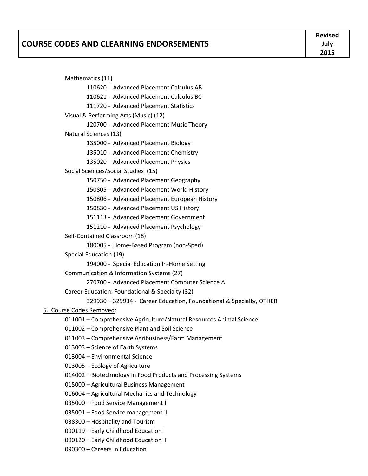|                                         | <b>Revised</b> |
|-----------------------------------------|----------------|
| COURSE CODES AND CLEARNING ENDORSEMENTS | July           |
|                                         | 2015           |

 Mathematics (11) 110620 ‐ Advanced Placement Calculus AB 110621 ‐ Advanced Placement Calculus BC 111720 ‐ Advanced Placement Statistics Visual & Performing Arts (Music) (12) 120700 ‐ Advanced Placement Music Theory Natural Sciences (13) 135000 ‐ Advanced Placement Biology 135010 ‐ Advanced Placement Chemistry 135020 ‐ Advanced Placement Physics Social Sciences/Social Studies (15) 150750 ‐ Advanced Placement Geography 150805 ‐ Advanced Placement World History 150806 ‐ Advanced Placement European History 150830 ‐ Advanced Placement US History 151113 ‐ Advanced Placement Government 151210 ‐ Advanced Placement Psychology Self‐Contained Classroom (18) 180005 ‐ Home‐Based Program (non‐Sped) Special Education (19) 194000 - Special Education In-Home Setting Communication & Information Systems (27) 270700 ‐ Advanced Placement Computer Science A Career Education, Foundational & Specialty (32) 329930 – 329934 ‐ Career Education, Foundational & Specialty, OTHER 5. Course Codes Removed: 011001 – Comprehensive Agriculture/Natural Resources Animal Science 011002 – Comprehensive Plant and Soil Science 011003 – Comprehensive Agribusiness/Farm Management 013003 – Science of Earth Systems 013004 – Environmental Science 013005 – Ecology of Agriculture 014002 – Biotechnology in Food Products and Processing Systems 015000 – Agricultural Business Management 016004 – Agricultural Mechanics and Technology 035000 – Food Service Management I 035001 – Food Service management II

- 038300 Hospitality and Tourism
- 090119 Early Childhood Education I
- 090120 Early Childhood Education II
- 090300 Careers in Education